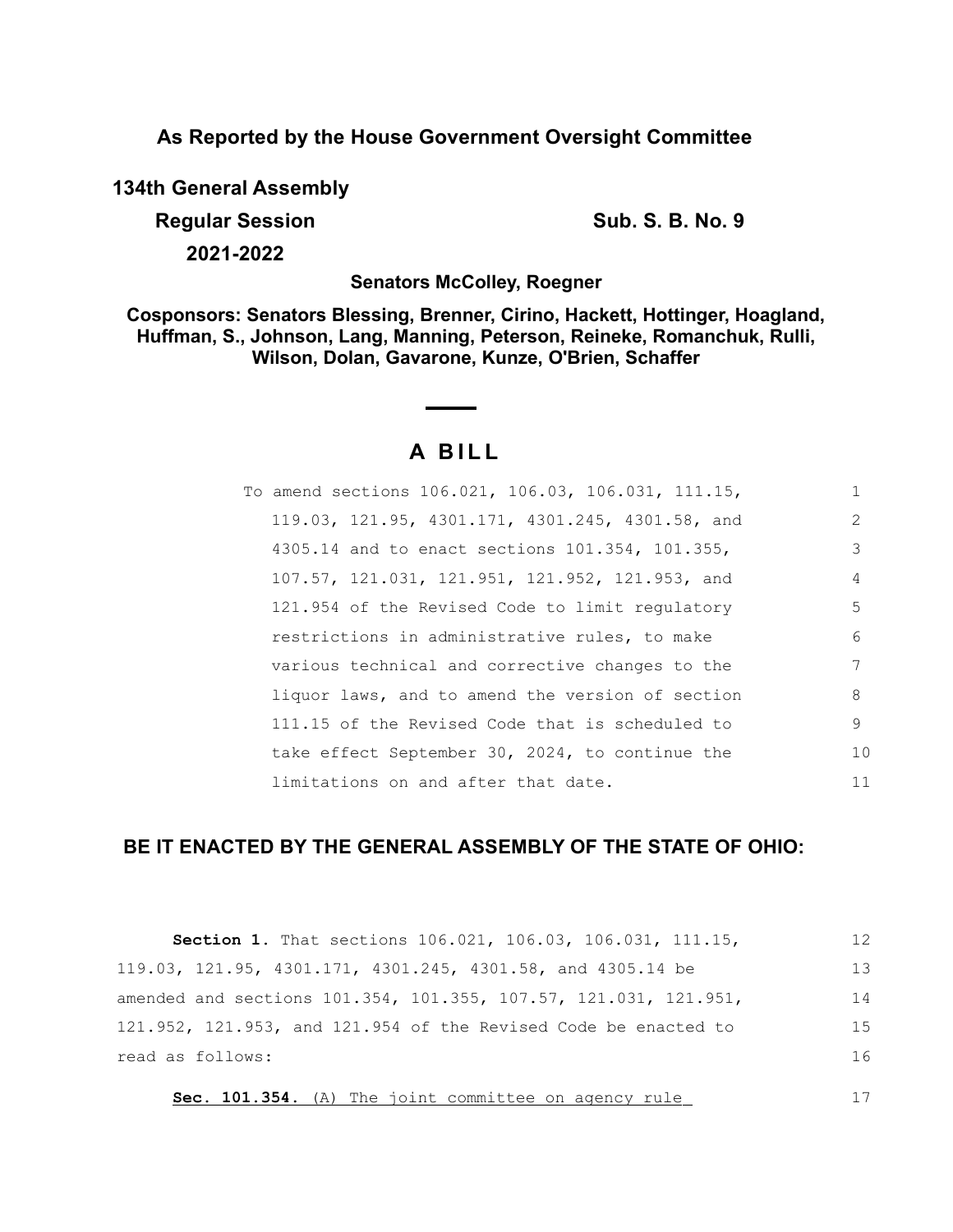**As Reported by the House Government Oversight Committee**

**134th General Assembly**

**Regular Session Sub. S. B. No. 9 Sub. S. B. No. 9** 

**2021-2022**

**Senators McColley, Roegner**

**Cosponsors: Senators Blessing, Brenner, Cirino, Hackett, Hottinger, Hoagland, Huffman, S., Johnson, Lang, Manning, Peterson, Reineke, Romanchuk, Rulli, Wilson, Dolan, Gavarone, Kunze, O'Brien, Schaffer**

# **A B I L L**

| To amend sections 106.021, 106.03, 106.031, 111.15, |               |
|-----------------------------------------------------|---------------|
| 119.03, 121.95, 4301.171, 4301.245, 4301.58, and    | $\mathcal{L}$ |
| 4305.14 and to enact sections 101.354, 101.355,     | 3             |
| 107.57, 121.031, 121.951, 121.952, 121.953, and     | 4             |
| 121.954 of the Revised Code to limit regulatory     | .5            |
| restrictions in administrative rules, to make       | 6             |
| various technical and corrective changes to the     | 7             |
| liquor laws, and to amend the version of section    | 8             |
| 111.15 of the Revised Code that is scheduled to     | 9             |
| take effect September 30, 2024, to continue the     | 10            |
| limitations on and after that date.                 | 11            |

# **BE IT ENACTED BY THE GENERAL ASSEMBLY OF THE STATE OF OHIO:**

| Section 1. That sections 106.021, 106.03, 106.031, 111.15,       | 12 |
|------------------------------------------------------------------|----|
| 119.03, 121.95, 4301.171, 4301.245, 4301.58, and 4305.14 be      | 13 |
| amended and sections 101.354, 101.355, 107.57, 121.031, 121.951, | 14 |
| 121.952, 121.953, and 121.954 of the Revised Code be enacted to  | 15 |
| read as follows:                                                 | 16 |
| Sec. 101.354. (A) The joint committee on agency rule             |    |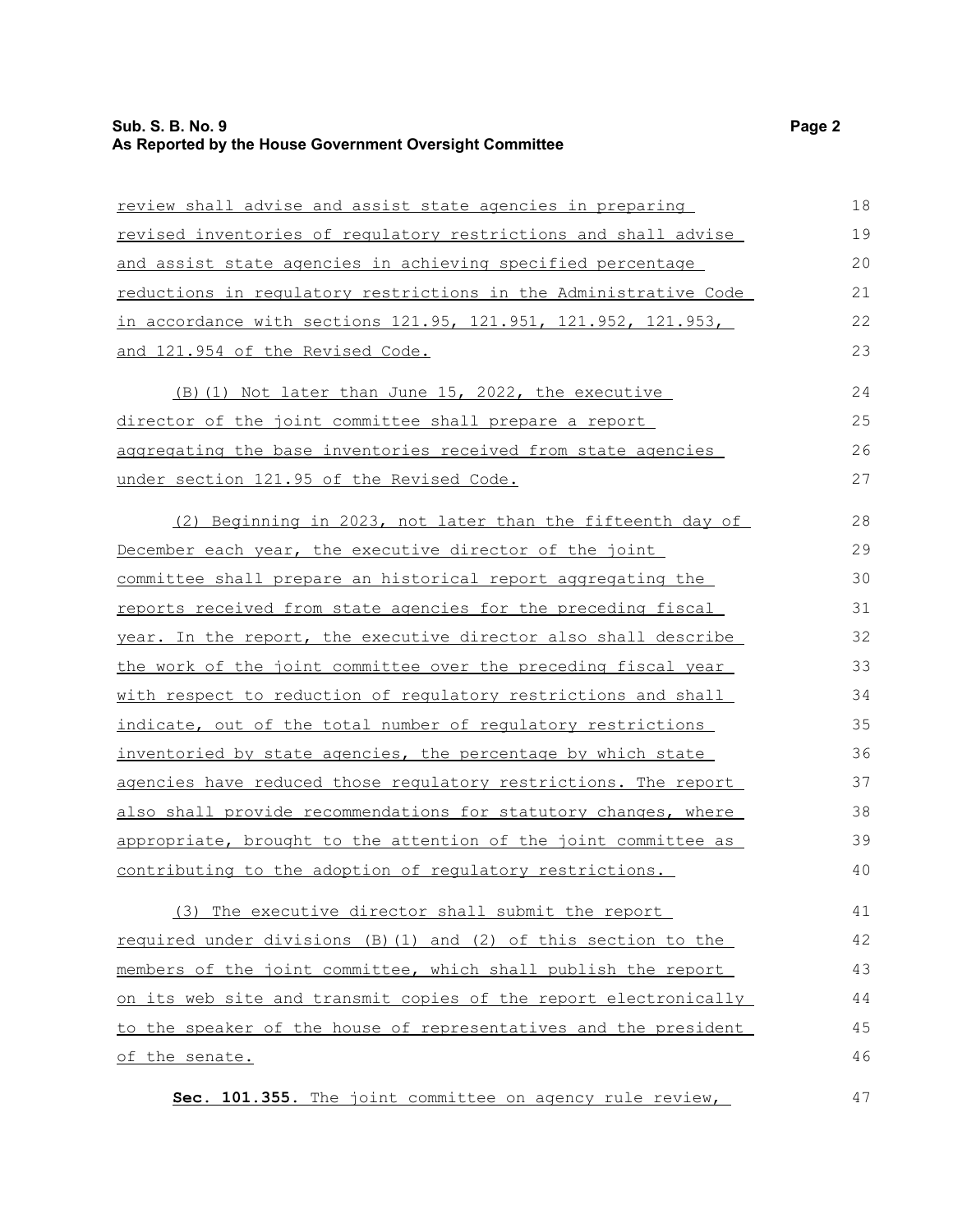| review shall advise and assist state agencies in preparing             | 18 |
|------------------------------------------------------------------------|----|
| revised inventories of regulatory restrictions and shall advise        | 19 |
| and assist state agencies in achieving specified percentage            | 20 |
| reductions in regulatory restrictions in the Administrative Code       | 21 |
| in accordance with sections 121.95, 121.951, 121.952, 121.953,         | 22 |
| and 121.954 of the Revised Code.                                       | 23 |
| (B) (1) Not later than June 15, 2022, the executive                    | 24 |
| director of the joint committee shall prepare a report                 | 25 |
| aggregating the base inventories received from state agencies          | 26 |
| under section 121.95 of the Revised Code.                              | 27 |
| (2) Beginning in 2023, not later than the fifteenth day of             | 28 |
| December each year, the executive director of the joint                | 29 |
| committee shall prepare an historical report aggregating the           | 30 |
| reports received from state agencies for the preceding fiscal          | 31 |
| year. In the report, the executive director also shall describe        | 32 |
| the work of the joint committee over the preceding fiscal year         | 33 |
| with respect to reduction of regulatory restrictions and shall         | 34 |
| indicate, out of the total number of regulatory restrictions           | 35 |
| inventoried by state agencies, the percentage by which state           | 36 |
| agencies have reduced those regulatory restrictions. The report        | 37 |
| <u>also shall provide recommendations for statutory changes, where</u> | 38 |
| appropriate, brought to the attention of the joint committee as        | 39 |
| contributing to the adoption of regulatory restrictions.               | 40 |
| (3) The executive director shall submit the report                     | 41 |
| required under divisions (B) (1) and (2) of this section to the        | 42 |
| members of the joint committee, which shall publish the report         | 43 |
| on its web site and transmit copies of the report electronically       | 44 |
| to the speaker of the house of representatives and the president       | 45 |
| of the senate.                                                         | 46 |

**Sec. 101.355.** The joint committee on agency rule review,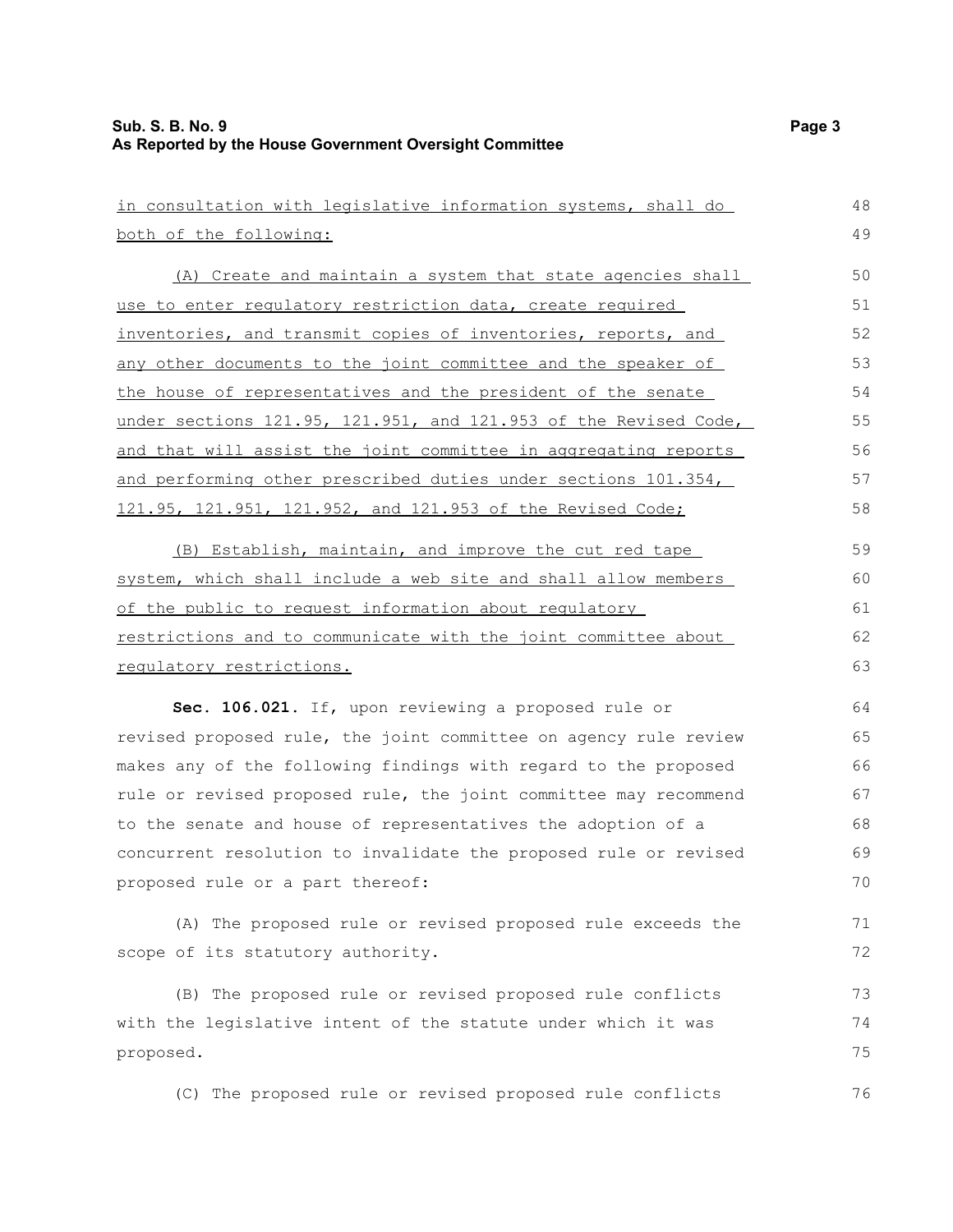| in consultation with legislative information systems, shall do   | 48 |
|------------------------------------------------------------------|----|
| both of the following:                                           | 49 |
| (A) Create and maintain a system that state agencies shall       | 50 |
| use to enter regulatory restriction data, create required        | 51 |
| inventories, and transmit copies of inventories, reports, and    | 52 |
| any other documents to the joint committee and the speaker of    | 53 |
| the house of representatives and the president of the senate     | 54 |
| under sections 121.95, 121.951, and 121.953 of the Revised Code, | 55 |
| and that will assist the joint committee in aggregating reports  | 56 |
| and performing other prescribed duties under sections 101.354,   | 57 |
| 121.95, 121.951, 121.952, and 121.953 of the Revised Code;       | 58 |
|                                                                  |    |
| (B) Establish, maintain, and improve the cut red tape            | 59 |
| system, which shall include a web site and shall allow members   | 60 |
| of the public to request information about requlatory            | 61 |
| restrictions and to communicate with the joint committee about   | 62 |
| regulatory restrictions.                                         | 63 |
| Sec. 106.021. If, upon reviewing a proposed rule or              | 64 |
| revised proposed rule, the joint committee on agency rule review | 65 |
| makes any of the following findings with regard to the proposed  | 66 |
| rule or revised proposed rule, the joint committee may recommend | 67 |
| to the senate and house of representatives the adoption of a     | 68 |
| concurrent resolution to invalidate the proposed rule or revised | 69 |
| proposed rule or a part thereof:                                 | 70 |
| (A) The proposed rule or revised proposed rule exceeds the       | 71 |
| scope of its statutory authority.                                | 72 |
| (B) The proposed rule or revised proposed rule conflicts         | 73 |
| with the legislative intent of the statute under which it was    | 74 |
| proposed.                                                        | 75 |
| (C) The proposed rule or revised proposed rule conflicts         | 76 |
|                                                                  |    |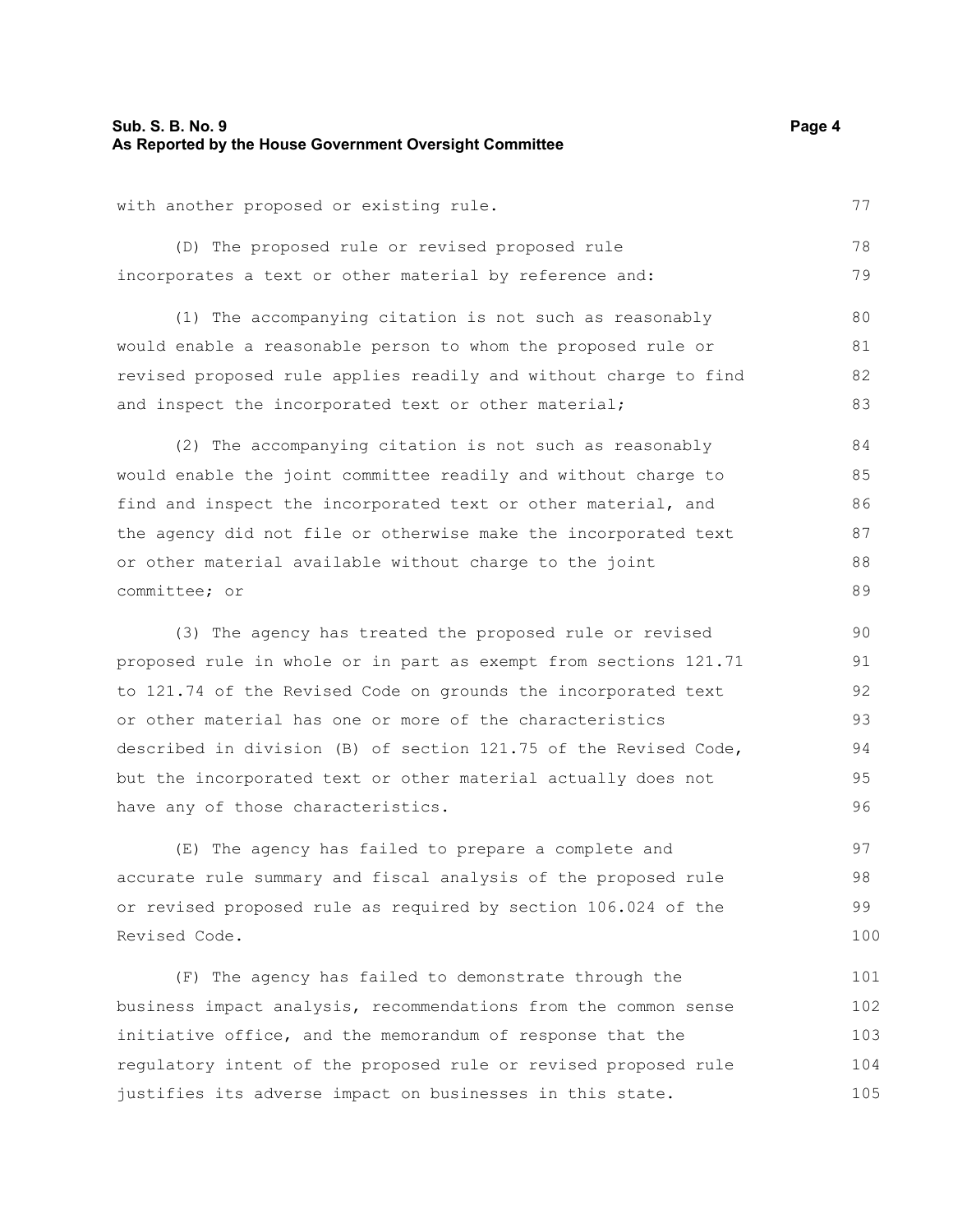#### **Sub. S. B. No. 9 Page 4 As Reported by the House Government Oversight Committee**

with another proposed or existing rule.

(D) The proposed rule or revised proposed rule incorporates a text or other material by reference and: 78 79

(1) The accompanying citation is not such as reasonably would enable a reasonable person to whom the proposed rule or revised proposed rule applies readily and without charge to find and inspect the incorporated text or other material;

(2) The accompanying citation is not such as reasonably would enable the joint committee readily and without charge to find and inspect the incorporated text or other material, and the agency did not file or otherwise make the incorporated text or other material available without charge to the joint committee; or 84 85 86 87 88 89

(3) The agency has treated the proposed rule or revised proposed rule in whole or in part as exempt from sections 121.71 to 121.74 of the Revised Code on grounds the incorporated text or other material has one or more of the characteristics described in division (B) of section 121.75 of the Revised Code, but the incorporated text or other material actually does not have any of those characteristics. 90 91 92 93 94 95 96

(E) The agency has failed to prepare a complete and accurate rule summary and fiscal analysis of the proposed rule or revised proposed rule as required by section 106.024 of the Revised Code. 97 98 99 100

(F) The agency has failed to demonstrate through the business impact analysis, recommendations from the common sense initiative office, and the memorandum of response that the regulatory intent of the proposed rule or revised proposed rule justifies its adverse impact on businesses in this state. 101 102 103 104 105

77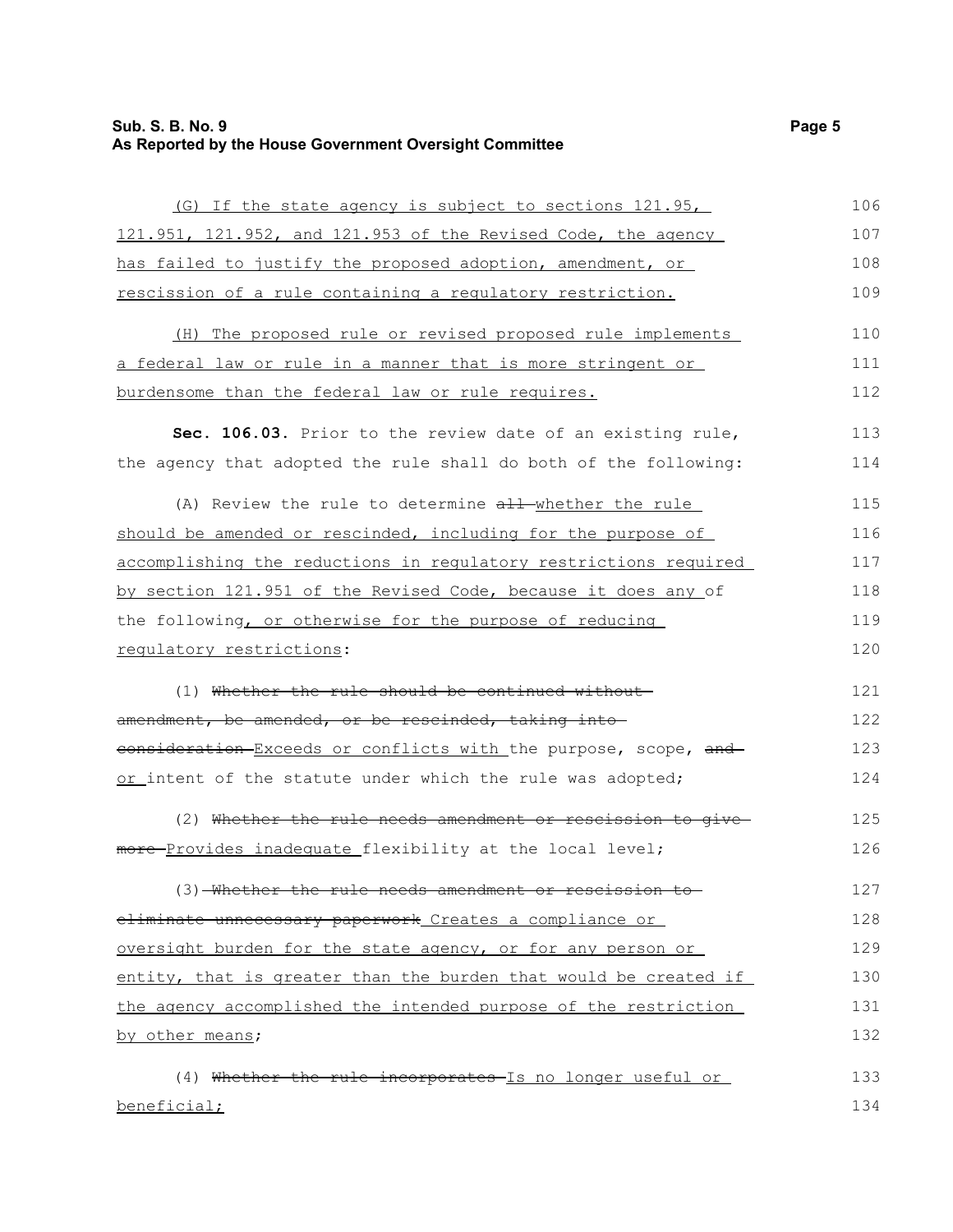# **Sub. S. B. No. 9** Page 5 **As Reported by the House Government Oversight Committee**

| (G) If the state agency is subject to sections 121.95,           | 106 |
|------------------------------------------------------------------|-----|
| 121.951, 121.952, and 121.953 of the Revised Code, the agency    | 107 |
| has failed to justify the proposed adoption, amendment, or       | 108 |
| rescission of a rule containing a regulatory restriction.        | 109 |
| (H) The proposed rule or revised proposed rule implements        | 110 |
| a federal law or rule in a manner that is more stringent or      | 111 |
| burdensome than the federal law or rule requires.                | 112 |
| Sec. 106.03. Prior to the review date of an existing rule,       | 113 |
| the agency that adopted the rule shall do both of the following: | 114 |
| (A) Review the rule to determine all whether the rule            | 115 |
| should be amended or rescinded, including for the purpose of     | 116 |
| accomplishing the reductions in regulatory restrictions required | 117 |
| by section 121.951 of the Revised Code, because it does any of   | 118 |
| the following, or otherwise for the purpose of reducing          | 119 |
| regulatory restrictions:                                         | 120 |
| (1) Whether the rule should be continued without-                | 121 |
| amendment, be amended, or be rescinded, taking into              | 122 |
| consideration Exceeds or conflicts with the purpose, scope, and  | 123 |
| or intent of the statute under which the rule was adopted;       | 124 |
| (2) Whether the rule needs amendment or rescission to give-      | 125 |
| more-Provides inadequate flexibility at the local level;         | 126 |
| (3) Whether the rule needs amendment or rescission               | 127 |
| eliminate unnecessary paperwork Creates a compliance or          | 128 |
| oversight burden for the state agency, or for any person or      | 129 |
| entity, that is greater than the burden that would be created if | 130 |
| the agency accomplished the intended purpose of the restriction  | 131 |
| by other means;                                                  | 132 |
| (4) Whether the rule incorporates Is no longer useful or         | 133 |
| beneficial;                                                      | 134 |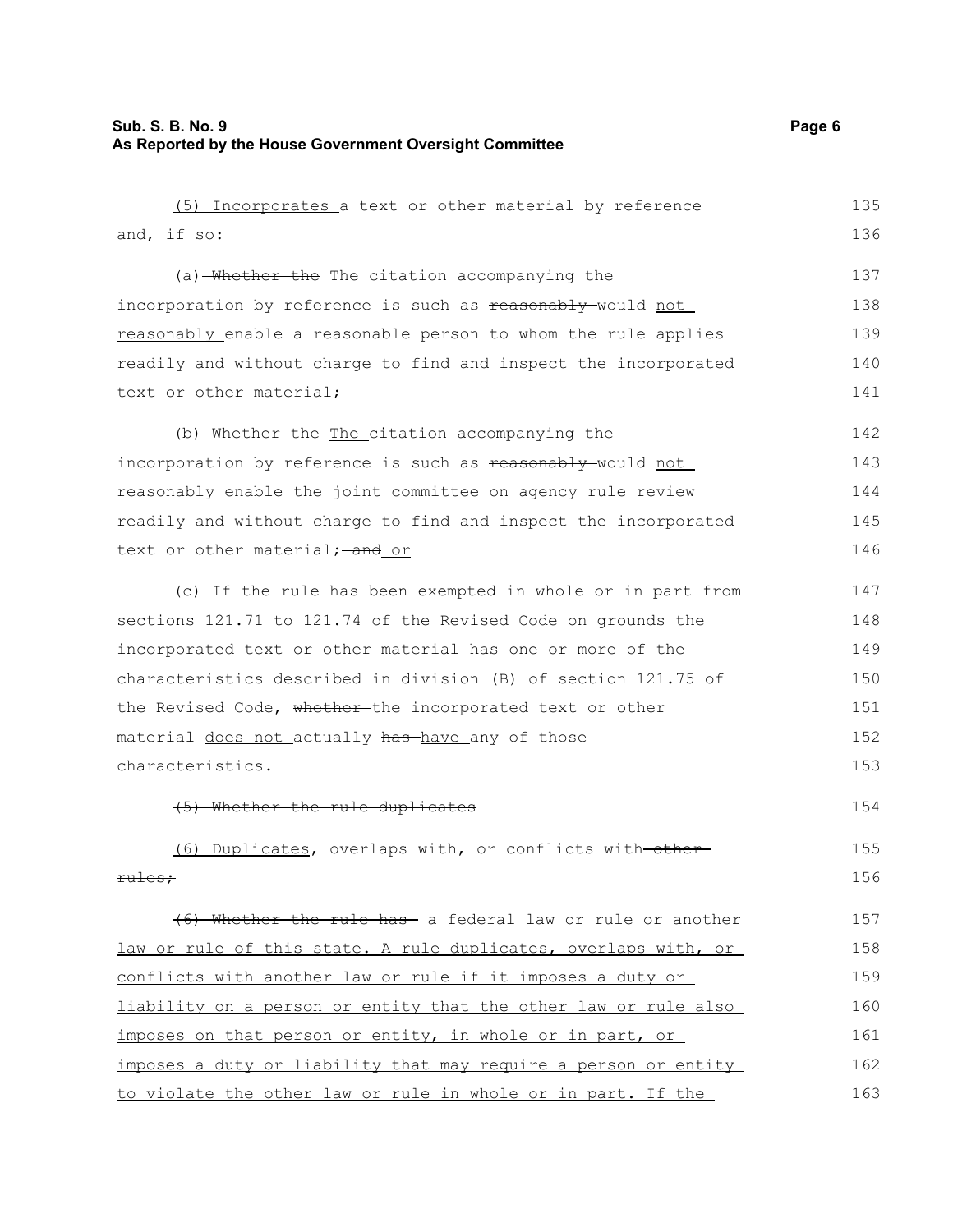| (5) Incorporates a text or other material by reference          | 135 |
|-----------------------------------------------------------------|-----|
| and, if so:                                                     | 136 |
| (a) Whether the The citation accompanying the                   | 137 |
| incorporation by reference is such as reasonably would not      | 138 |
| reasonably enable a reasonable person to whom the rule applies  | 139 |
| readily and without charge to find and inspect the incorporated | 140 |
| text or other material;                                         | 141 |
| (b) Whether the The citation accompanying the                   | 142 |
| incorporation by reference is such as reasonably-would not      | 143 |
| reasonably enable the joint committee on agency rule review     | 144 |
| readily and without charge to find and inspect the incorporated | 145 |
| text or other material; - and or                                | 146 |
| (c) If the rule has been exempted in whole or in part from      | 147 |
| sections 121.71 to 121.74 of the Revised Code on grounds the    | 148 |
| incorporated text or other material has one or more of the      | 149 |
| characteristics described in division (B) of section 121.75 of  | 150 |
| the Revised Code, whether-the incorporated text or other        | 151 |
| material does not actually has have any of those                | 152 |
| characteristics.                                                | 153 |
| (5) Whether the rule duplicates                                 | 154 |
| (6) Duplicates, overlaps with, or conflicts with-other-         | 155 |
| <del>rules:</del>                                               | 156 |
| (6) Whether the rule has a federal law or rule or another       | 157 |
| law or rule of this state. A rule duplicates, overlaps with, or | 158 |
| conflicts with another law or rule if it imposes a duty or      | 159 |
| liability on a person or entity that the other law or rule also | 160 |
| imposes on that person or entity, in whole or in part, or       | 161 |
| imposes a duty or liability that may require a person or entity | 162 |
| to violate the other law or rule in whole or in part. If the    | 163 |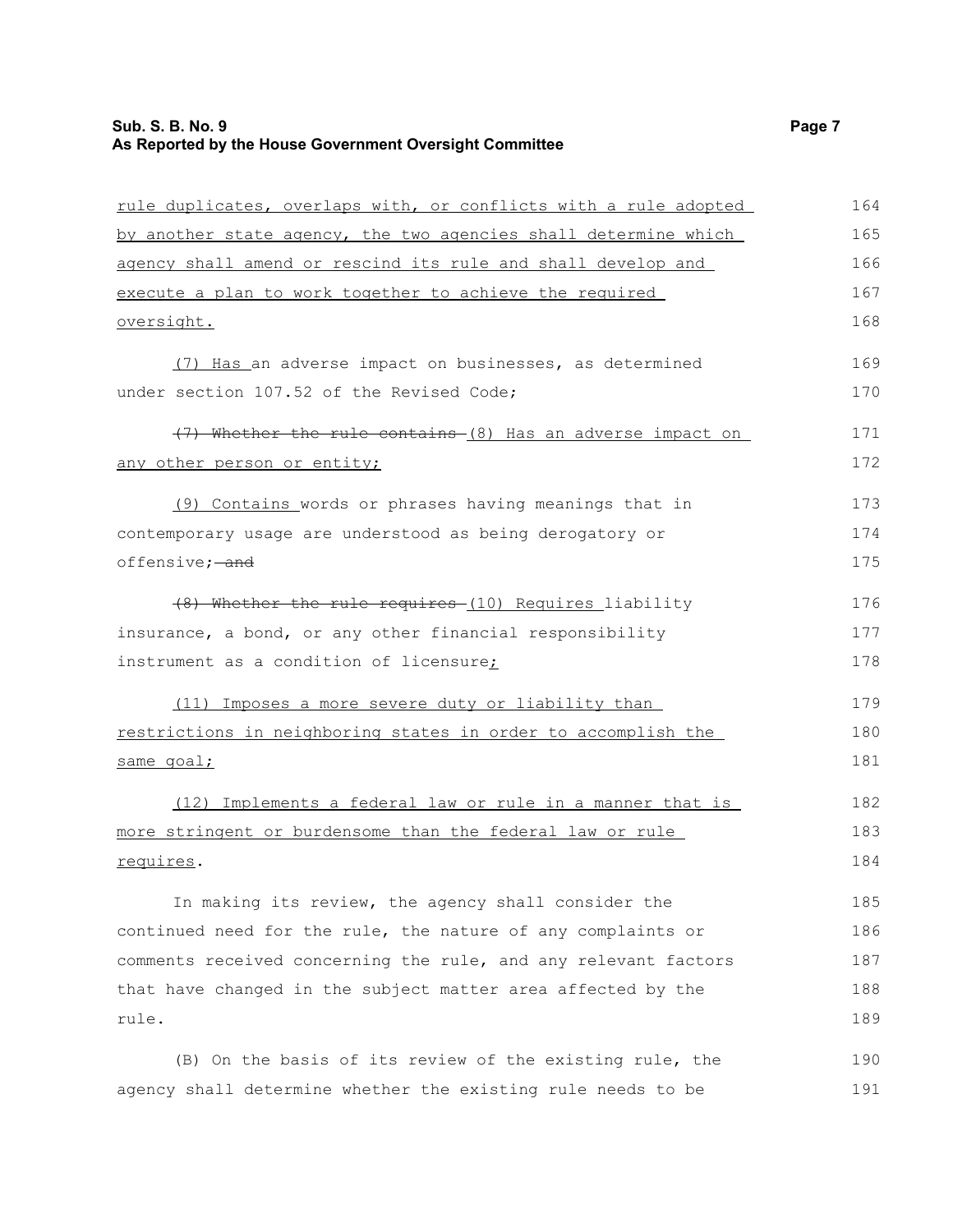# **Sub. S. B. No. 9 Page 7 As Reported by the House Government Oversight Committee**

| rule duplicates, overlaps with, or conflicts with a rule adopted | 164 |
|------------------------------------------------------------------|-----|
| by another state agency, the two agencies shall determine which  | 165 |
| agency shall amend or rescind its rule and shall develop and     | 166 |
| execute a plan to work together to achieve the required          | 167 |
| oversight.                                                       | 168 |
| (7) Has an adverse impact on businesses, as determined           | 169 |
| under section 107.52 of the Revised Code;                        | 170 |
| (7) Whether the rule contains (8) Has an adverse impact on       | 171 |
| any other person or entity;                                      | 172 |
| (9) Contains words or phrases having meanings that in            | 173 |
| contemporary usage are understood as being derogatory or         | 174 |
| offensive; and                                                   | 175 |
| (8) Whether the rule requires (10) Requires liability            | 176 |
| insurance, a bond, or any other financial responsibility         | 177 |
| instrument as a condition of licensure;                          | 178 |
| (11) Imposes a more severe duty or liability than                | 179 |
| restrictions in neighboring states in order to accomplish the    | 180 |
| same goal;                                                       | 181 |
| (12) Implements a federal law or rule in a manner that is        | 182 |
| more stringent or burdensome than the federal law or rule        | 183 |
| requires.                                                        | 184 |
| In making its review, the agency shall consider the              | 185 |
| continued need for the rule, the nature of any complaints or     | 186 |
| comments received concerning the rule, and any relevant factors  | 187 |
| that have changed in the subject matter area affected by the     | 188 |
| rule.                                                            | 189 |
| (B) On the basis of its review of the existing rule, the         | 190 |
| agency shall determine whether the existing rule needs to be     | 191 |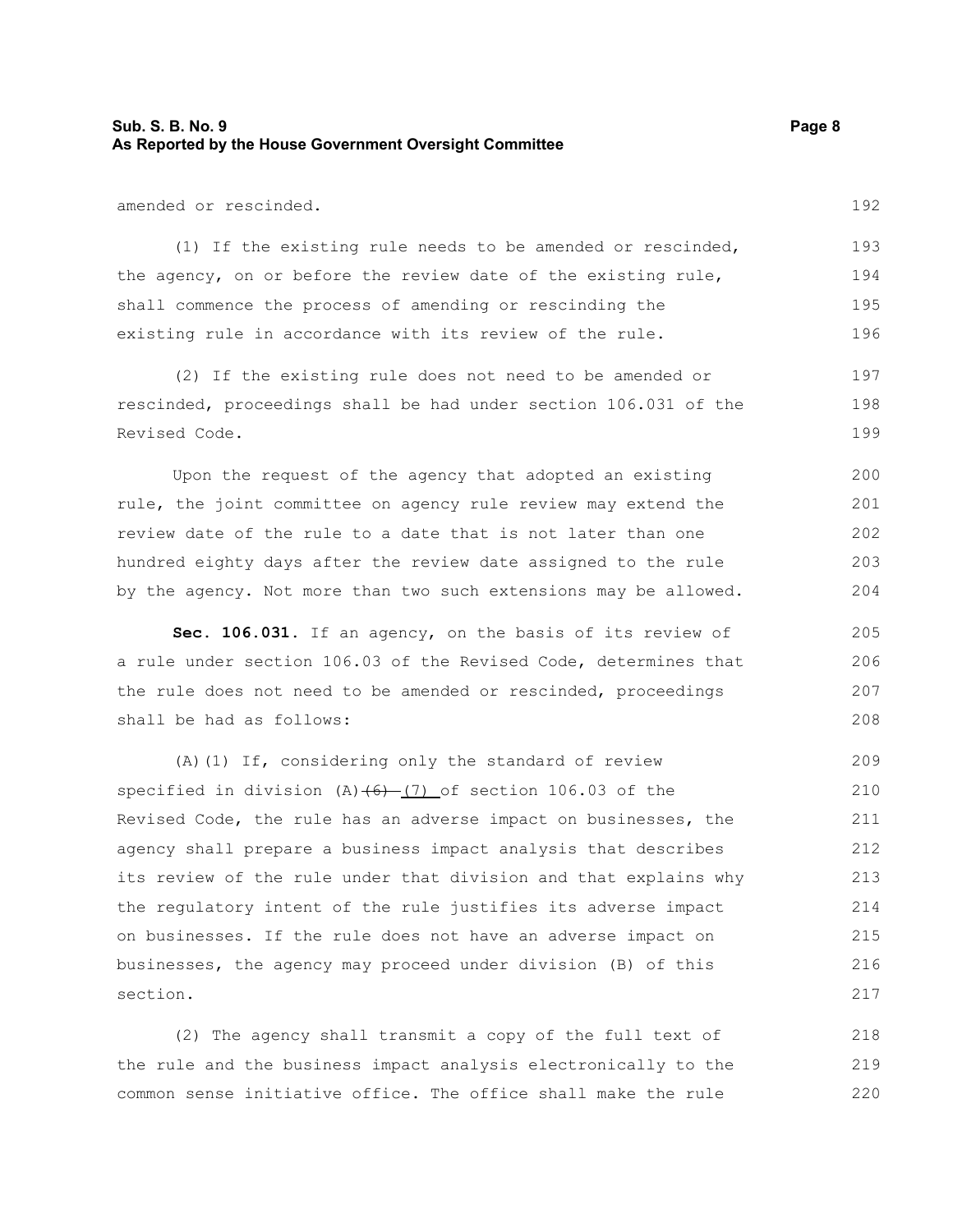#### **Sub. S. B. No. 9 Page 8 As Reported by the House Government Oversight Committee**

amended or rescinded.

(1) If the existing rule needs to be amended or rescinded, the agency, on or before the review date of the existing rule, shall commence the process of amending or rescinding the existing rule in accordance with its review of the rule. 193 194 195 196

(2) If the existing rule does not need to be amended or rescinded, proceedings shall be had under section 106.031 of the Revised Code. 197 198 199

Upon the request of the agency that adopted an existing rule, the joint committee on agency rule review may extend the review date of the rule to a date that is not later than one hundred eighty days after the review date assigned to the rule by the agency. Not more than two such extensions may be allowed. 200 201 202 203 204

**Sec. 106.031.** If an agency, on the basis of its review of a rule under section 106.03 of the Revised Code, determines that the rule does not need to be amended or rescinded, proceedings shall be had as follows:

(A)(1) If, considering only the standard of review specified in division  $(A)$   $(6)$   $(7)$  of section 106.03 of the Revised Code, the rule has an adverse impact on businesses, the agency shall prepare a business impact analysis that describes its review of the rule under that division and that explains why the regulatory intent of the rule justifies its adverse impact on businesses. If the rule does not have an adverse impact on businesses, the agency may proceed under division (B) of this section. 209 210 211 212 213 214 215 216 217

(2) The agency shall transmit a copy of the full text of the rule and the business impact analysis electronically to the common sense initiative office. The office shall make the rule 218 219 220

192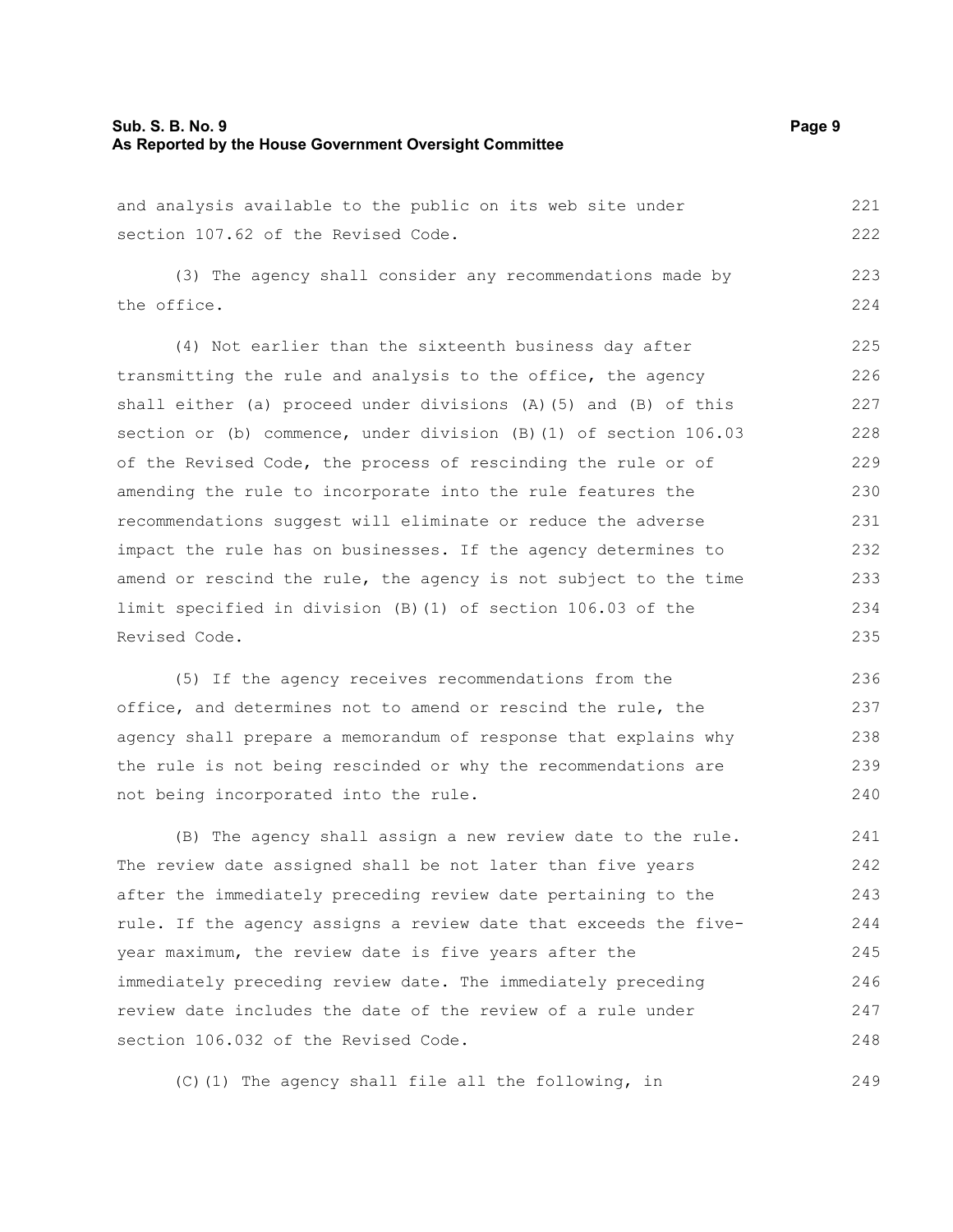#### **Sub. S. B. No. 9 Page 9 As Reported by the House Government Oversight Committee**

and analysis available to the public on its web site under section 107.62 of the Revised Code. 221 222

(3) The agency shall consider any recommendations made by the office.

(4) Not earlier than the sixteenth business day after transmitting the rule and analysis to the office, the agency shall either (a) proceed under divisions (A)(5) and (B) of this section or (b) commence, under division (B)(1) of section 106.03 of the Revised Code, the process of rescinding the rule or of amending the rule to incorporate into the rule features the recommendations suggest will eliminate or reduce the adverse impact the rule has on businesses. If the agency determines to amend or rescind the rule, the agency is not subject to the time limit specified in division (B)(1) of section 106.03 of the Revised Code. 225 226 227 228 229 230 231 232 233 234 235

(5) If the agency receives recommendations from the office, and determines not to amend or rescind the rule, the agency shall prepare a memorandum of response that explains why the rule is not being rescinded or why the recommendations are not being incorporated into the rule. 236 237 238 239 240

(B) The agency shall assign a new review date to the rule. The review date assigned shall be not later than five years after the immediately preceding review date pertaining to the rule. If the agency assigns a review date that exceeds the fiveyear maximum, the review date is five years after the immediately preceding review date. The immediately preceding review date includes the date of the review of a rule under section 106.032 of the Revised Code. 241 242 243 244 245 246 247 248

(C)(1) The agency shall file all the following, in

223 224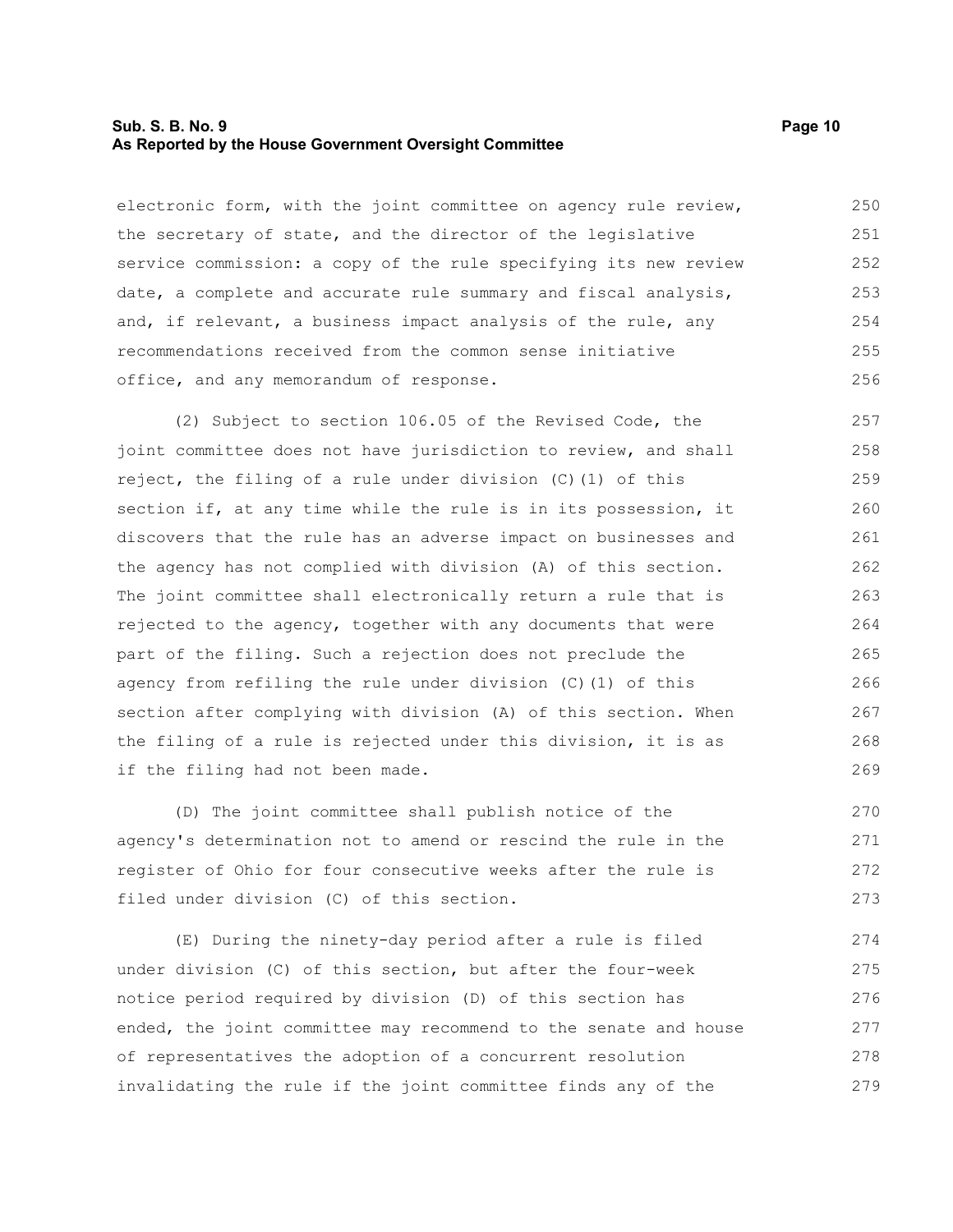#### **Sub. S. B. No. 9 Page 10 As Reported by the House Government Oversight Committee**

electronic form, with the joint committee on agency rule review, the secretary of state, and the director of the legislative service commission: a copy of the rule specifying its new review date, a complete and accurate rule summary and fiscal analysis, and, if relevant, a business impact analysis of the rule, any recommendations received from the common sense initiative office, and any memorandum of response. 250 251 252 253 254 255 256

(2) Subject to section 106.05 of the Revised Code, the joint committee does not have jurisdiction to review, and shall reject, the filing of a rule under division (C)(1) of this section if, at any time while the rule is in its possession, it discovers that the rule has an adverse impact on businesses and the agency has not complied with division (A) of this section. The joint committee shall electronically return a rule that is rejected to the agency, together with any documents that were part of the filing. Such a rejection does not preclude the agency from refiling the rule under division (C)(1) of this section after complying with division (A) of this section. When the filing of a rule is rejected under this division, it is as if the filing had not been made. 257 258 259 260 261 262 263 264 265 266 267 268 269

(D) The joint committee shall publish notice of the agency's determination not to amend or rescind the rule in the register of Ohio for four consecutive weeks after the rule is filed under division (C) of this section. 270 271 272 273

(E) During the ninety-day period after a rule is filed under division (C) of this section, but after the four-week notice period required by division (D) of this section has ended, the joint committee may recommend to the senate and house of representatives the adoption of a concurrent resolution invalidating the rule if the joint committee finds any of the 274 275 276 277 278 279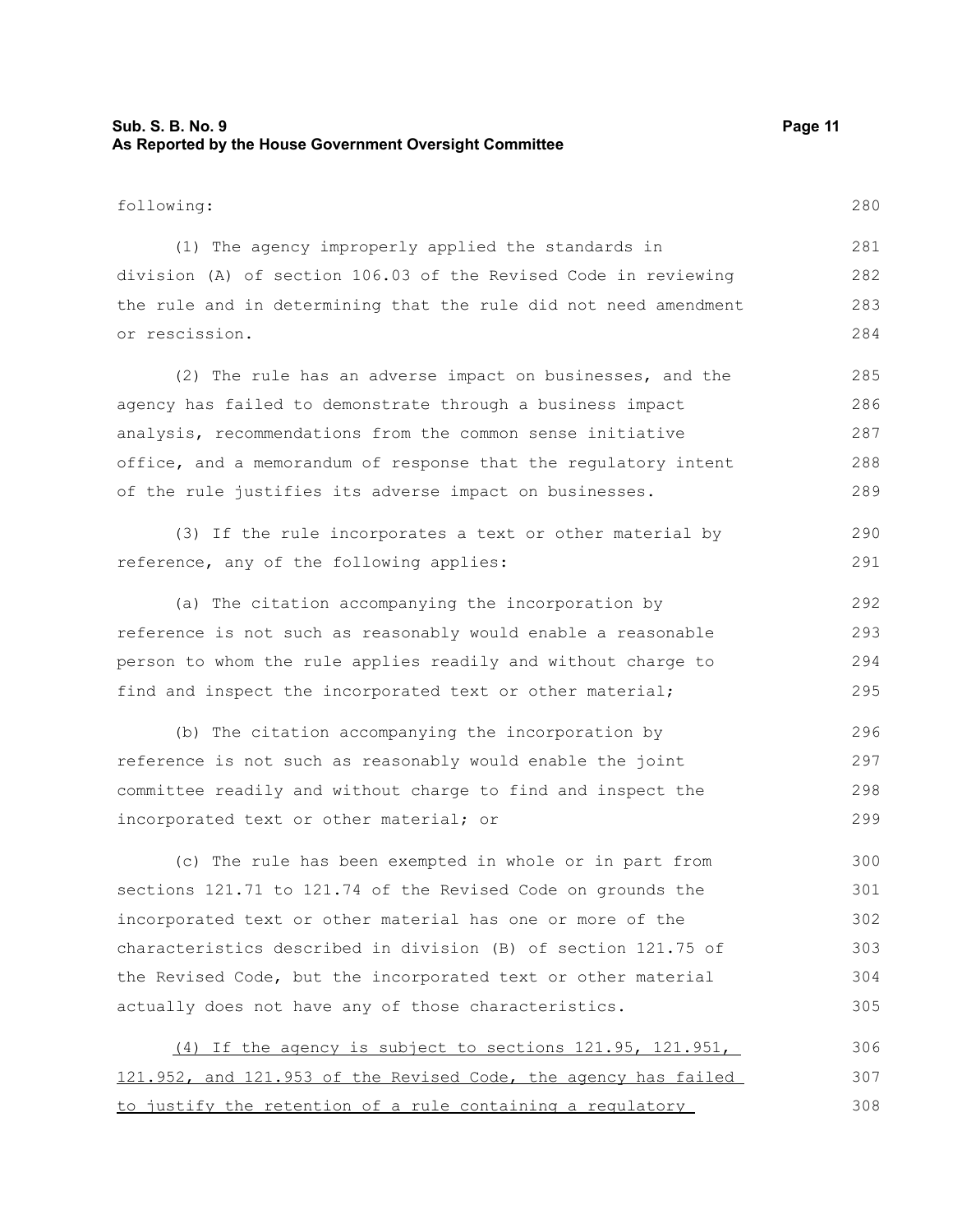#### **Sub. S. B. No. 9 Page 11 As Reported by the House Government Oversight Committee**

following:

280

(1) The agency improperly applied the standards in division (A) of section 106.03 of the Revised Code in reviewing the rule and in determining that the rule did not need amendment or rescission. 281 282 283 284

(2) The rule has an adverse impact on businesses, and the agency has failed to demonstrate through a business impact analysis, recommendations from the common sense initiative office, and a memorandum of response that the regulatory intent of the rule justifies its adverse impact on businesses. 285 286 287 288 289

(3) If the rule incorporates a text or other material by reference, any of the following applies: 290 291

(a) The citation accompanying the incorporation by reference is not such as reasonably would enable a reasonable person to whom the rule applies readily and without charge to find and inspect the incorporated text or other material; 292 293 294 295

(b) The citation accompanying the incorporation by reference is not such as reasonably would enable the joint committee readily and without charge to find and inspect the incorporated text or other material; or 296 297 298 299

(c) The rule has been exempted in whole or in part from sections 121.71 to 121.74 of the Revised Code on grounds the incorporated text or other material has one or more of the characteristics described in division (B) of section 121.75 of the Revised Code, but the incorporated text or other material actually does not have any of those characteristics. 300 301 302 303 304 305

(4) If the agency is subject to sections 121.95, 121.951, 121.952, and 121.953 of the Revised Code, the agency has failed to justify the retention of a rule containing a regulatory 306 307 308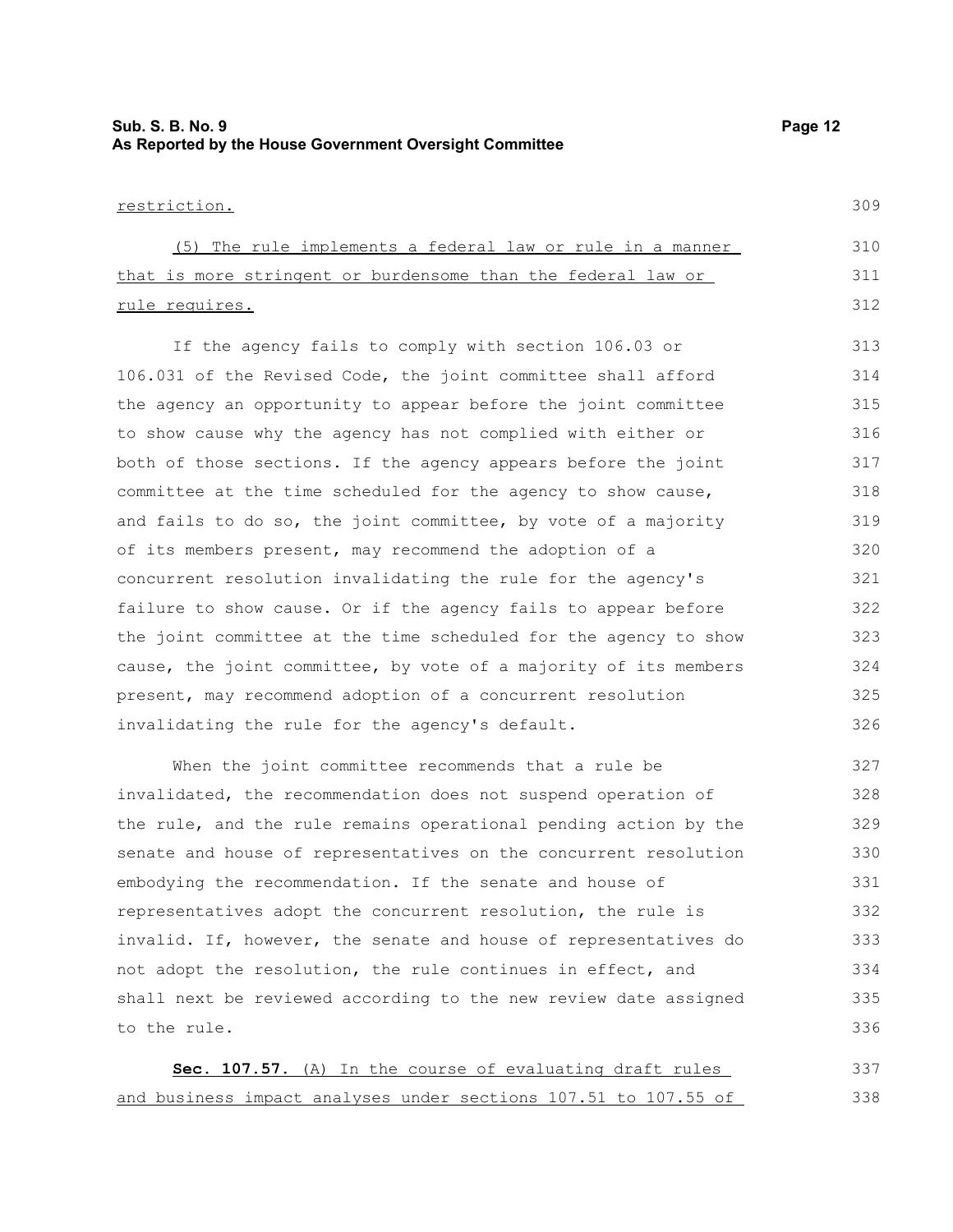## **Sub. S. B. No. 9 Page 12 As Reported by the House Government Oversight Committee**

309

#### restriction.

| (5) The rule implements a federal law or rule in a manner    | 310 |
|--------------------------------------------------------------|-----|
| that is more stringent or burdensome than the federal law or | 311 |
| rule requires.                                               | 312 |

If the agency fails to comply with section 106.03 or 106.031 of the Revised Code, the joint committee shall afford the agency an opportunity to appear before the joint committee to show cause why the agency has not complied with either or both of those sections. If the agency appears before the joint committee at the time scheduled for the agency to show cause, and fails to do so, the joint committee, by vote of a majority of its members present, may recommend the adoption of a concurrent resolution invalidating the rule for the agency's failure to show cause. Or if the agency fails to appear before the joint committee at the time scheduled for the agency to show cause, the joint committee, by vote of a majority of its members present, may recommend adoption of a concurrent resolution invalidating the rule for the agency's default. 313 314 315 316 317 318 319 320 321 322 323 324 325 326

When the joint committee recommends that a rule be invalidated, the recommendation does not suspend operation of the rule, and the rule remains operational pending action by the senate and house of representatives on the concurrent resolution embodying the recommendation. If the senate and house of representatives adopt the concurrent resolution, the rule is invalid. If, however, the senate and house of representatives do not adopt the resolution, the rule continues in effect, and shall next be reviewed according to the new review date assigned to the rule. 327 328 329 330 331 332 333 334 335 336

 **Sec. 107.57.** (A) In the course of evaluating draft rules and business impact analyses under sections 107.51 to 107.55 of 337 338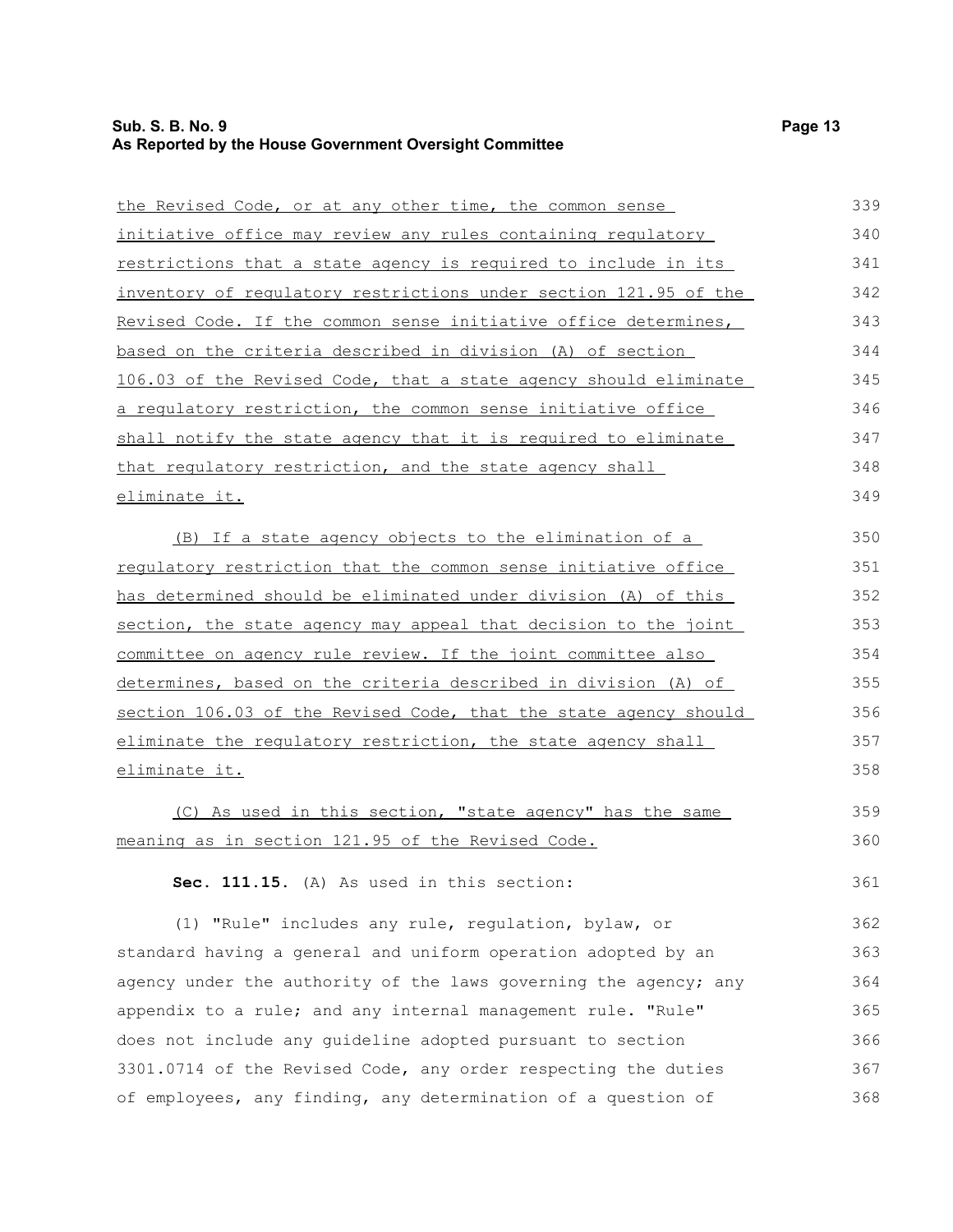| the Revised Code, or at any other time, the common sense               | 339 |
|------------------------------------------------------------------------|-----|
| initiative office may review any rules containing regulatory           | 340 |
| restrictions that a state agency is required to include in its         | 341 |
| inventory of regulatory restrictions under section 121.95 of the       | 342 |
| Revised Code. If the common sense initiative office determines,        | 343 |
| based on the criteria described in division (A) of section             | 344 |
| 106.03 of the Revised Code, that a state agency should eliminate       | 345 |
| <u>a requlatory restriction, the common sense initiative office </u>   | 346 |
| shall notify the state agency that it is required to eliminate         | 347 |
| that regulatory restriction, and the state agency shall                | 348 |
| <u>eliminate it.</u>                                                   | 349 |
| (B) If a state agency objects to the elimination of a                  | 350 |
| requlatory restriction that the common sense initiative office         | 351 |
| has determined should be eliminated under division (A) of this         | 352 |
| <u>section, the state agency may appeal that decision to the joint</u> | 353 |
| committee on agency rule review. If the joint committee also           | 354 |
| determines, based on the criteria described in division (A) of         | 355 |
| section 106.03 of the Revised Code, that the state agency should       | 356 |
| eliminate the regulatory restriction, the state agency shall           | 357 |
| eliminate it.                                                          | 358 |
| (C) As used in this section, "state agency" has the same               | 359 |
| meaning as in section 121.95 of the Revised Code.                      | 360 |

**Sec. 111.15.** (A) As used in this section:

(1) "Rule" includes any rule, regulation, bylaw, or standard having a general and uniform operation adopted by an agency under the authority of the laws governing the agency; any appendix to a rule; and any internal management rule. "Rule" does not include any guideline adopted pursuant to section 3301.0714 of the Revised Code, any order respecting the duties of employees, any finding, any determination of a question of 362 363 364 365 366 367 368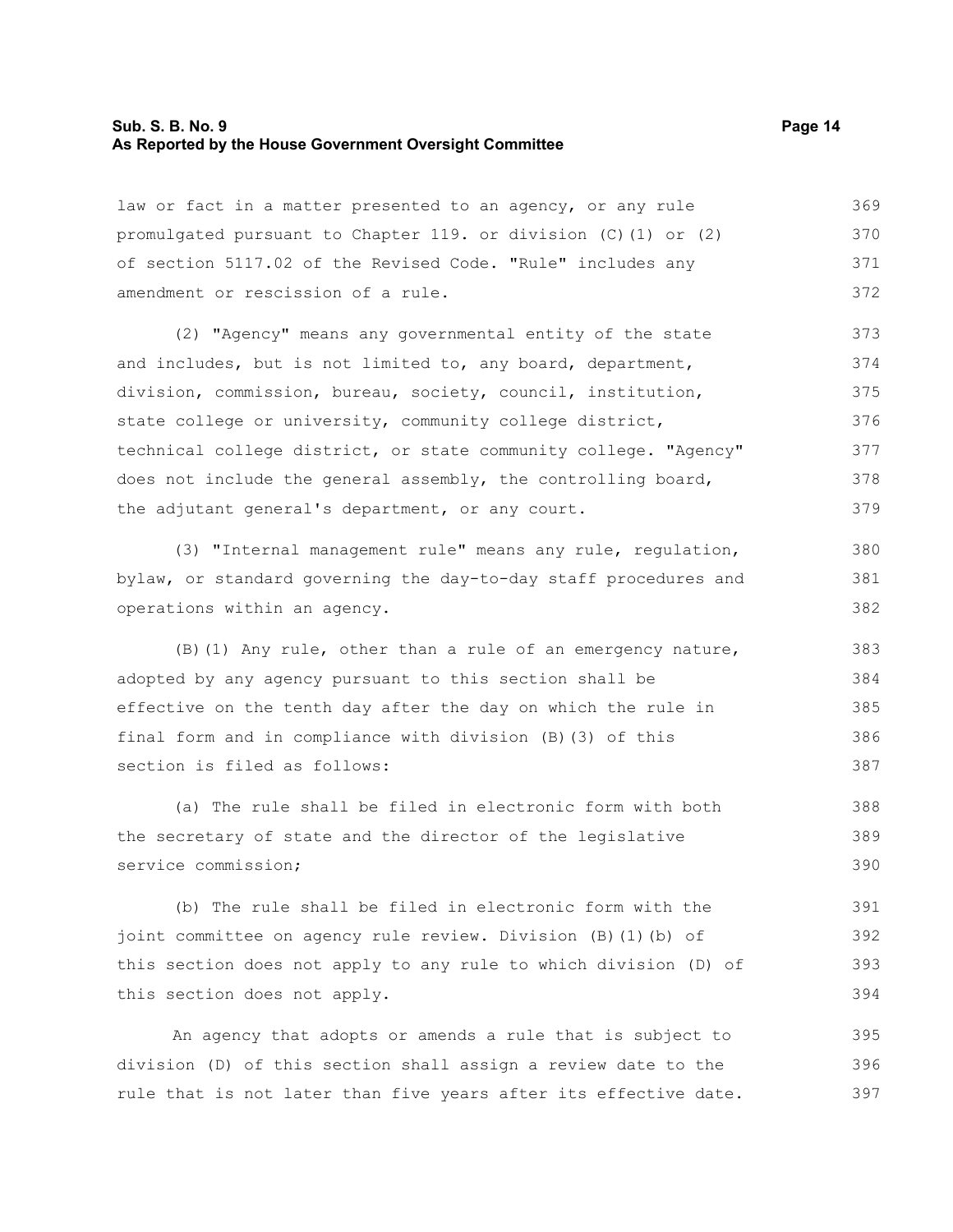#### **Sub. S. B. No. 9 Page 14 As Reported by the House Government Oversight Committee**

law or fact in a matter presented to an agency, or any rule promulgated pursuant to Chapter 119. or division (C)(1) or (2) of section 5117.02 of the Revised Code. "Rule" includes any amendment or rescission of a rule. 369 370 371 372

(2) "Agency" means any governmental entity of the state and includes, but is not limited to, any board, department, division, commission, bureau, society, council, institution, state college or university, community college district, technical college district, or state community college. "Agency" does not include the general assembly, the controlling board, the adjutant general's department, or any court. 373 374 375 376 377 378 379

(3) "Internal management rule" means any rule, regulation, bylaw, or standard governing the day-to-day staff procedures and operations within an agency.

(B)(1) Any rule, other than a rule of an emergency nature, adopted by any agency pursuant to this section shall be effective on the tenth day after the day on which the rule in final form and in compliance with division (B)(3) of this section is filed as follows: 383 384 385 386 387

(a) The rule shall be filed in electronic form with both the secretary of state and the director of the legislative service commission; 388 389 390

(b) The rule shall be filed in electronic form with the joint committee on agency rule review. Division (B)(1)(b) of this section does not apply to any rule to which division (D) of this section does not apply. 391 392 393 394

An agency that adopts or amends a rule that is subject to division (D) of this section shall assign a review date to the rule that is not later than five years after its effective date. 395 396 397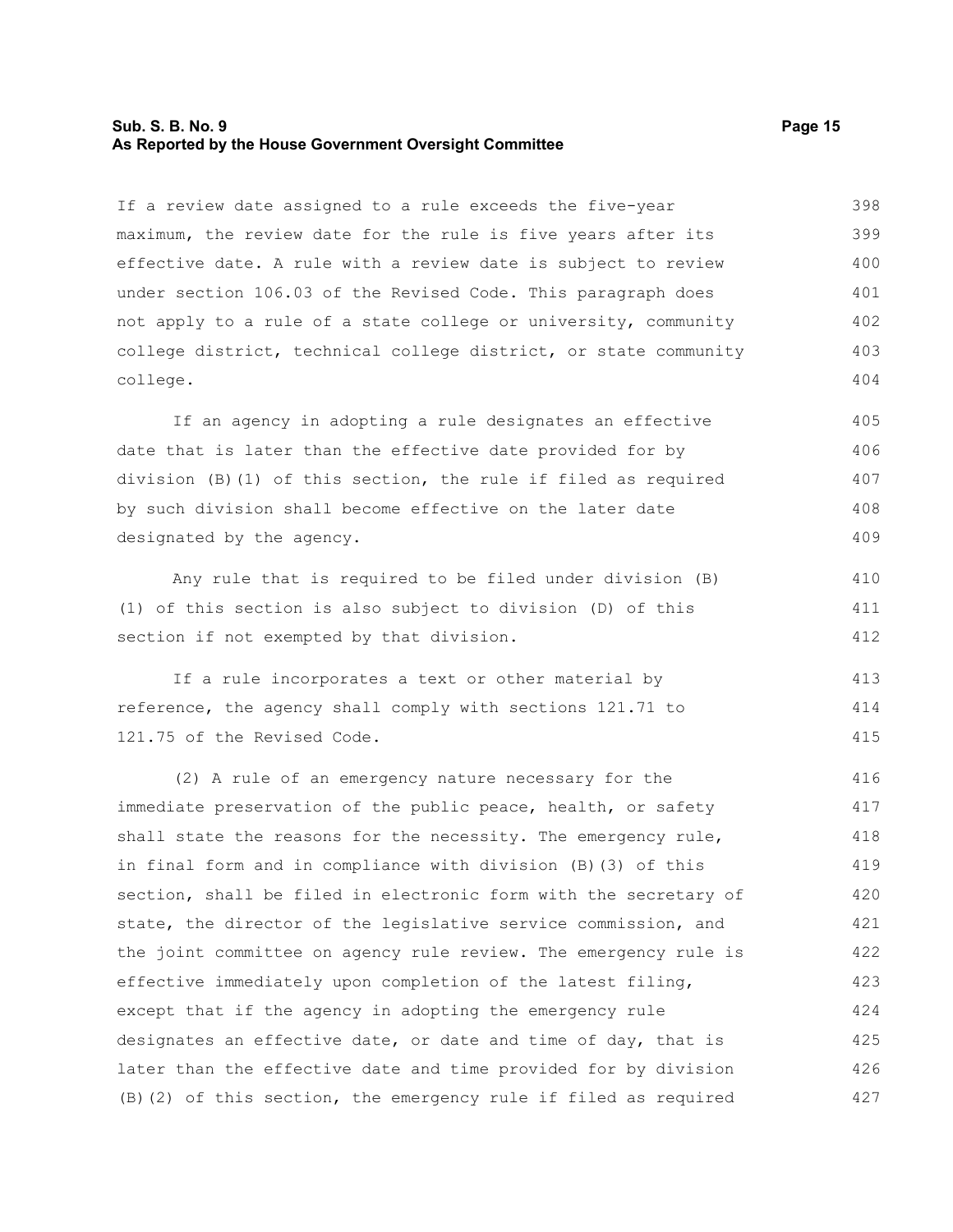#### **Sub. S. B. No. 9 Page 15 As Reported by the House Government Oversight Committee**

If a review date assigned to a rule exceeds the five-year maximum, the review date for the rule is five years after its effective date. A rule with a review date is subject to review under section 106.03 of the Revised Code. This paragraph does not apply to a rule of a state college or university, community college district, technical college district, or state community college. 398 399 400 401 402 403 404

If an agency in adopting a rule designates an effective date that is later than the effective date provided for by division (B)(1) of this section, the rule if filed as required by such division shall become effective on the later date designated by the agency. 405 406 407 408 409

Any rule that is required to be filed under division (B) (1) of this section is also subject to division (D) of this section if not exempted by that division.

If a rule incorporates a text or other material by reference, the agency shall comply with sections 121.71 to 121.75 of the Revised Code. 413 414 415

(2) A rule of an emergency nature necessary for the immediate preservation of the public peace, health, or safety shall state the reasons for the necessity. The emergency rule, in final form and in compliance with division (B)(3) of this section, shall be filed in electronic form with the secretary of state, the director of the legislative service commission, and the joint committee on agency rule review. The emergency rule is effective immediately upon completion of the latest filing, except that if the agency in adopting the emergency rule designates an effective date, or date and time of day, that is later than the effective date and time provided for by division (B)(2) of this section, the emergency rule if filed as required 416 417 418 419 420 421 422 423 424 425 426 427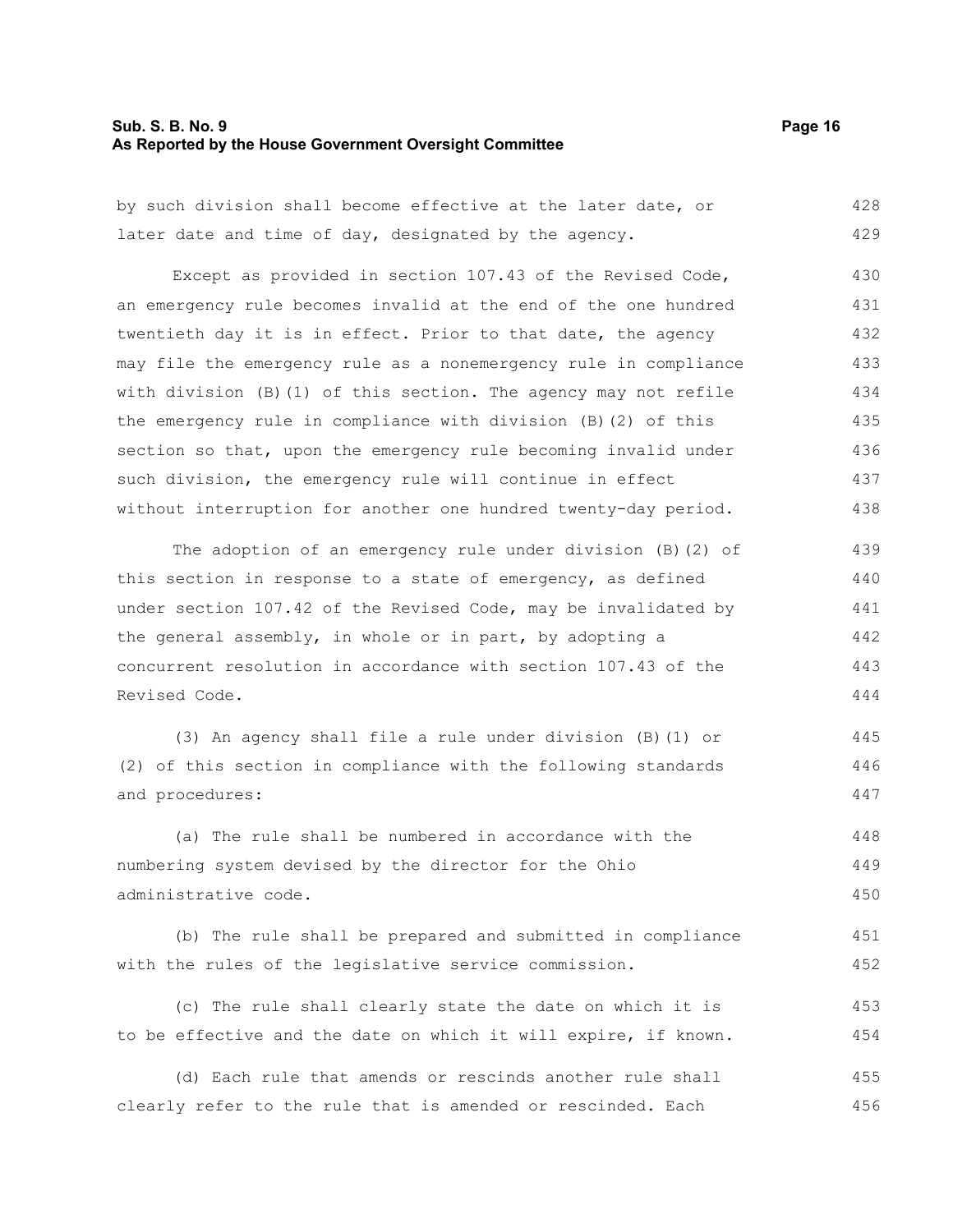#### **Sub. S. B. No. 9 Page 16 As Reported by the House Government Oversight Committee**

by such division shall become effective at the later date, or later date and time of day, designated by the agency. 428 429

Except as provided in section 107.43 of the Revised Code, an emergency rule becomes invalid at the end of the one hundred twentieth day it is in effect. Prior to that date, the agency may file the emergency rule as a nonemergency rule in compliance with division (B)(1) of this section. The agency may not refile the emergency rule in compliance with division (B)(2) of this section so that, upon the emergency rule becoming invalid under such division, the emergency rule will continue in effect without interruption for another one hundred twenty-day period. 430 431 432 433 434 435 436 437 438

The adoption of an emergency rule under division (B)(2) of this section in response to a state of emergency, as defined under section 107.42 of the Revised Code, may be invalidated by the general assembly, in whole or in part, by adopting a concurrent resolution in accordance with section 107.43 of the Revised Code. 439 440 441 442 443 444

(3) An agency shall file a rule under division (B)(1) or (2) of this section in compliance with the following standards and procedures: 445 446 447

(a) The rule shall be numbered in accordance with the numbering system devised by the director for the Ohio administrative code. 448 449 450

```
(b) The rule shall be prepared and submitted in compliance
with the rules of the legislative service commission. 
                                                                           451
                                                                           452
```
(c) The rule shall clearly state the date on which it is to be effective and the date on which it will expire, if known. 453 454

(d) Each rule that amends or rescinds another rule shall clearly refer to the rule that is amended or rescinded. Each 455 456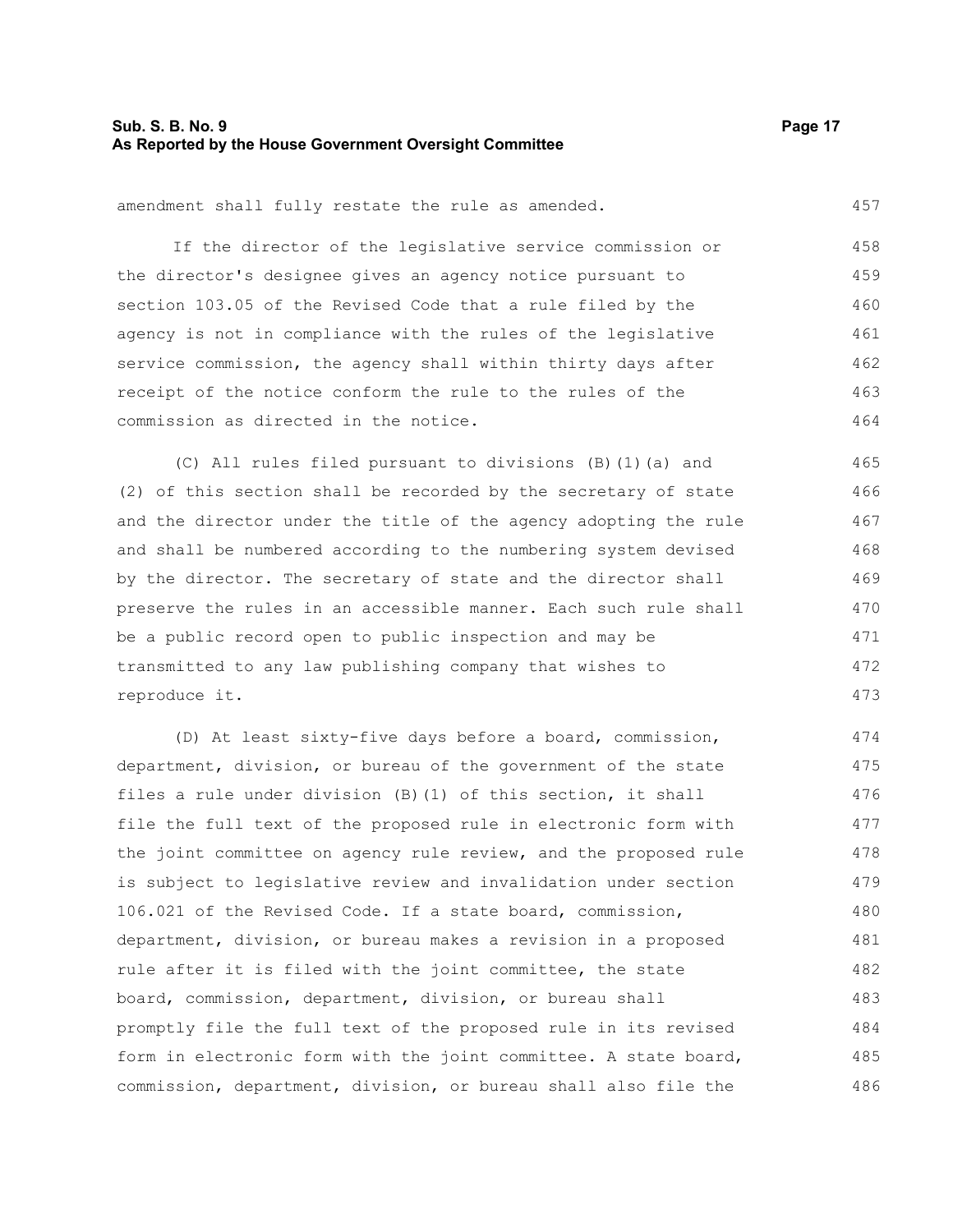#### **Sub. S. B. No. 9 Page 17 As Reported by the House Government Oversight Committee**

457

amendment shall fully restate the rule as amended.

If the director of the legislative service commission or the director's designee gives an agency notice pursuant to section 103.05 of the Revised Code that a rule filed by the agency is not in compliance with the rules of the legislative service commission, the agency shall within thirty days after receipt of the notice conform the rule to the rules of the commission as directed in the notice. 458 459 460 461 462 463 464

(C) All rules filed pursuant to divisions (B)(1)(a) and (2) of this section shall be recorded by the secretary of state and the director under the title of the agency adopting the rule and shall be numbered according to the numbering system devised by the director. The secretary of state and the director shall preserve the rules in an accessible manner. Each such rule shall be a public record open to public inspection and may be transmitted to any law publishing company that wishes to reproduce it. 465 466 467 468 469 470 471 472 473

(D) At least sixty-five days before a board, commission, department, division, or bureau of the government of the state files a rule under division (B)(1) of this section, it shall file the full text of the proposed rule in electronic form with the joint committee on agency rule review, and the proposed rule is subject to legislative review and invalidation under section 106.021 of the Revised Code. If a state board, commission, department, division, or bureau makes a revision in a proposed rule after it is filed with the joint committee, the state board, commission, department, division, or bureau shall promptly file the full text of the proposed rule in its revised form in electronic form with the joint committee. A state board, commission, department, division, or bureau shall also file the 474 475 476 477 478 479 480 481 482 483 484 485 486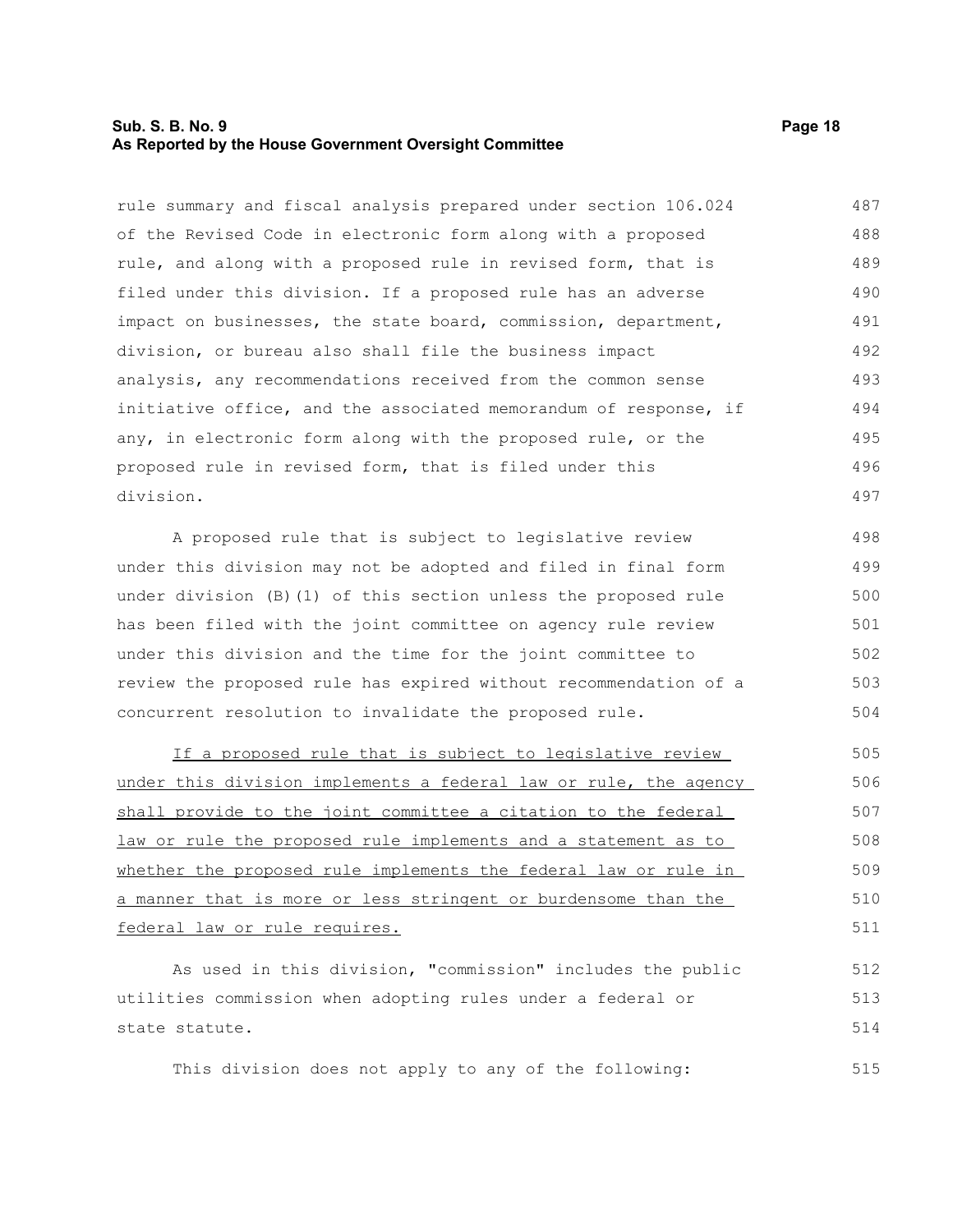#### **Sub. S. B. No. 9 Page 18 As Reported by the House Government Oversight Committee**

rule summary and fiscal analysis prepared under section 106.024 of the Revised Code in electronic form along with a proposed rule, and along with a proposed rule in revised form, that is filed under this division. If a proposed rule has an adverse impact on businesses, the state board, commission, department, division, or bureau also shall file the business impact analysis, any recommendations received from the common sense initiative office, and the associated memorandum of response, if any, in electronic form along with the proposed rule, or the proposed rule in revised form, that is filed under this division. 487 488 489 490 491 492 493 494 495 496 497

A proposed rule that is subject to legislative review under this division may not be adopted and filed in final form under division (B)(1) of this section unless the proposed rule has been filed with the joint committee on agency rule review under this division and the time for the joint committee to review the proposed rule has expired without recommendation of a concurrent resolution to invalidate the proposed rule. 498 499 500 501 502 503 504

If a proposed rule that is subject to legislative review under this division implements a federal law or rule, the agency shall provide to the joint committee a citation to the federal law or rule the proposed rule implements and a statement as to whether the proposed rule implements the federal law or rule in a manner that is more or less stringent or burdensome than the federal law or rule requires. 505 506 507 508 509 510 511

As used in this division, "commission" includes the public utilities commission when adopting rules under a federal or state statute. 512 513 514

This division does not apply to any of the following: 515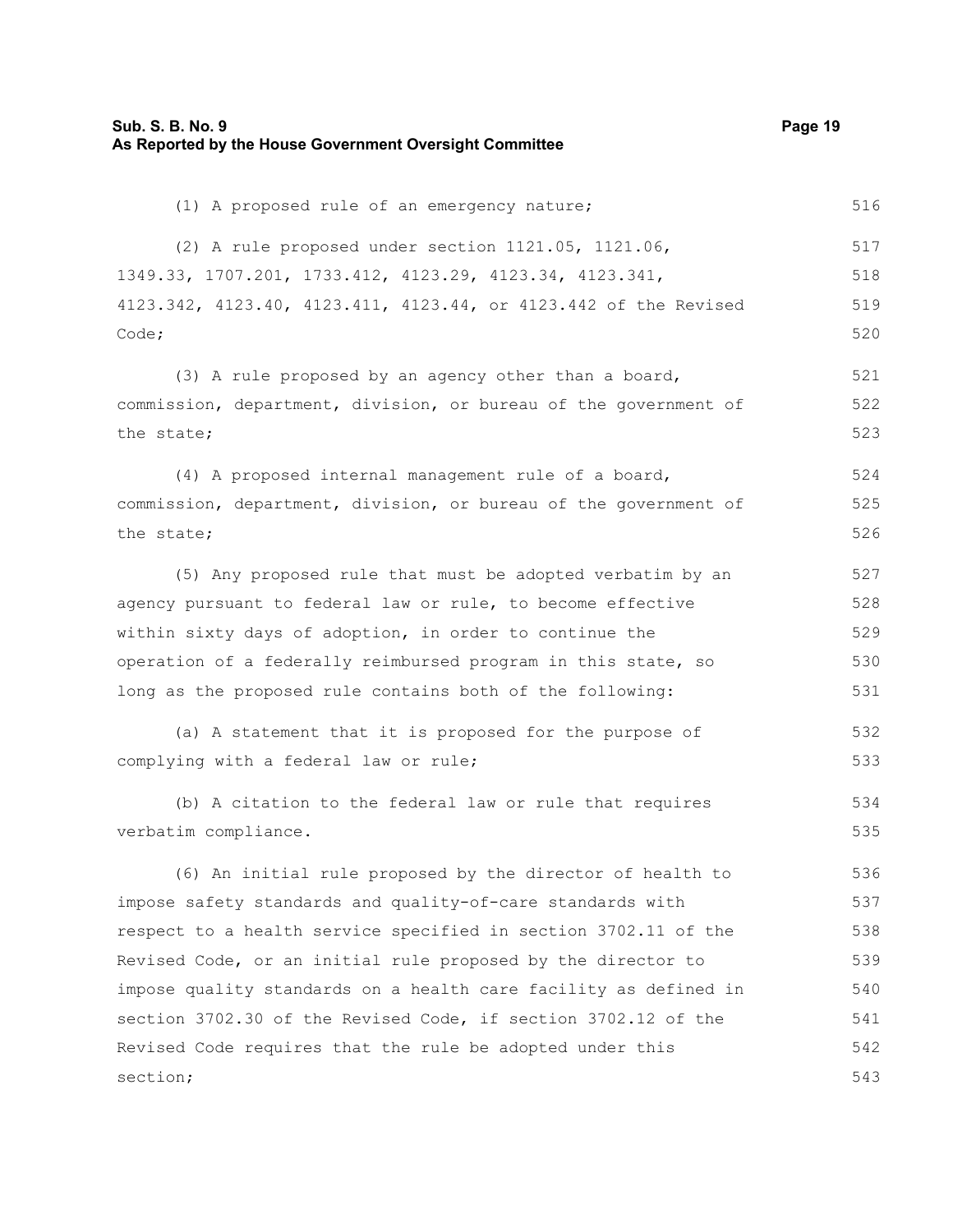| Sub. S. B. No. 9<br>As Reported by the House Government Oversight Committee | Page 19 |
|-----------------------------------------------------------------------------|---------|
| (1) A proposed rule of an emergency nature;                                 | 516     |
| (2) A rule proposed under section 1121.05, 1121.06,                         | 517     |
| 1349.33, 1707.201, 1733.412, 4123.29, 4123.34, 4123.341,                    | 518     |
| 4123.342, 4123.40, 4123.411, 4123.44, or 4123.442 of the Revised            | 519     |
| Code;                                                                       | 520     |
| (3) A rule proposed by an agency other than a board,                        | 521     |
| commission, department, division, or bureau of the government of            | 522     |
| the state;                                                                  | 523     |
| (4) A proposed internal management rule of a board,                         | 524     |
| commission, department, division, or bureau of the government of            | 525     |
| the state;                                                                  | 526     |
| (5) Any proposed rule that must be adopted verbatim by an                   | 527     |
| agency pursuant to federal law or rule, to become effective                 | 528     |
| within sixty days of adoption, in order to continue the                     | 529     |
| operation of a federally reimbursed program in this state, so               | 530     |
| long as the proposed rule contains both of the following:                   | 531     |
| (a) A statement that it is proposed for the purpose of                      | 532     |
| complying with a federal law or rule;                                       | 533     |
| (b) A citation to the federal law or rule that requires                     | 534     |
| verbatim compliance.                                                        | 535     |
| (6) An initial rule proposed by the director of health to                   | 536     |
| impose safety standards and quality-of-care standards with                  | 537     |
| respect to a health service specified in section 3702.11 of the             | 538     |
| Revised Code, or an initial rule proposed by the director to                | 539     |
| impose quality standards on a health care facility as defined in            | 540     |
| section 3702.30 of the Revised Code, if section 3702.12 of the              | 541     |
| Revised Code requires that the rule be adopted under this                   | 542     |
| section;                                                                    | 543     |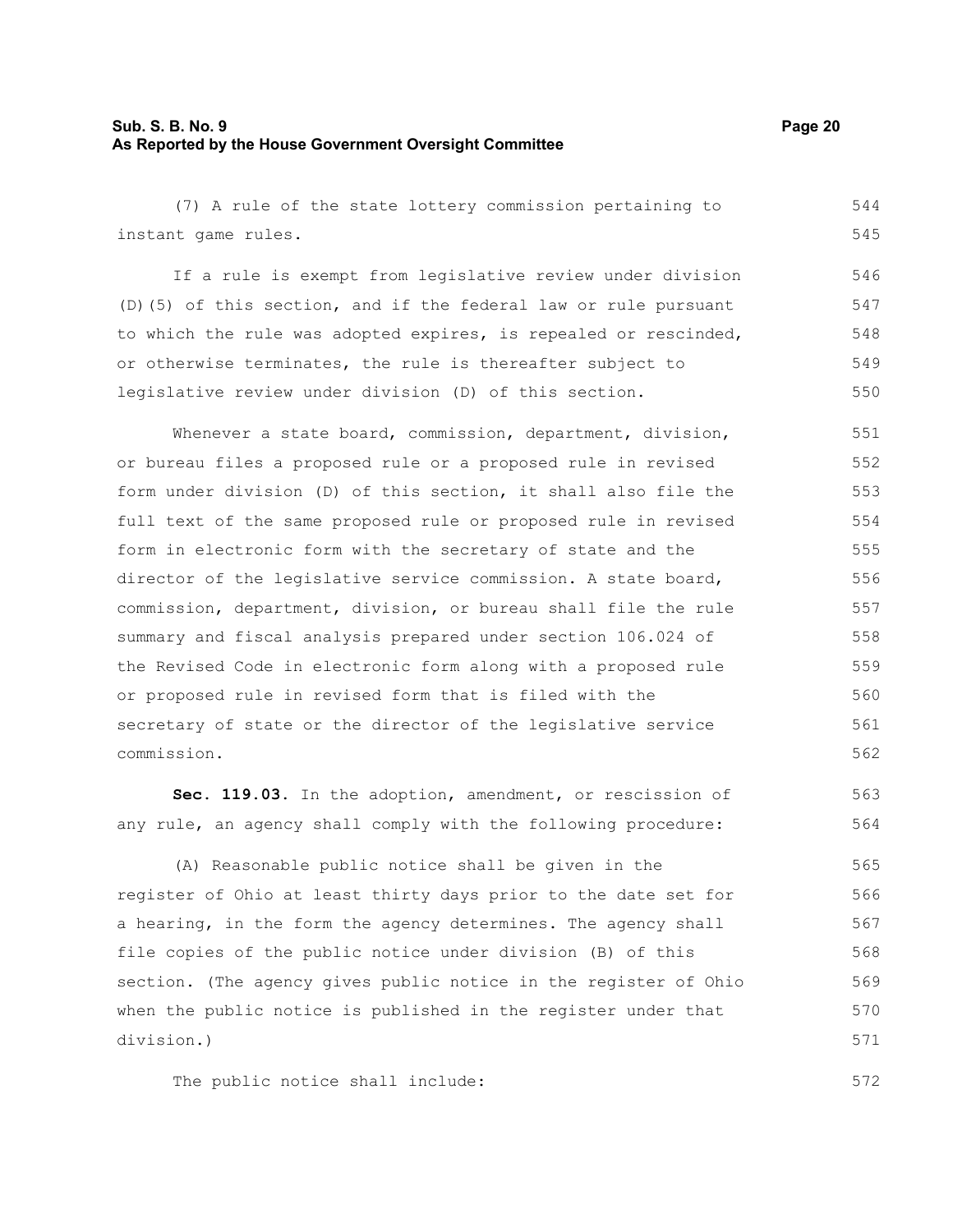#### **Sub. S. B. No. 9 Page 20 As Reported by the House Government Oversight Committee**

(7) A rule of the state lottery commission pertaining to instant game rules. If a rule is exempt from legislative review under division (D)(5) of this section, and if the federal law or rule pursuant to which the rule was adopted expires, is repealed or rescinded, or otherwise terminates, the rule is thereafter subject to legislative review under division (D) of this section. Whenever a state board, commission, department, division, or bureau files a proposed rule or a proposed rule in revised form under division (D) of this section, it shall also file the full text of the same proposed rule or proposed rule in revised form in electronic form with the secretary of state and the director of the legislative service commission. A state board, commission, department, division, or bureau shall file the rule summary and fiscal analysis prepared under section 106.024 of the Revised Code in electronic form along with a proposed rule or proposed rule in revised form that is filed with the secretary of state or the director of the legislative service commission. **Sec. 119.03.** In the adoption, amendment, or rescission of any rule, an agency shall comply with the following procedure: 544 545 546 547 548 549 550 551 552 553 554 555 556 557 558 559 560 561 562 563 564

(A) Reasonable public notice shall be given in the register of Ohio at least thirty days prior to the date set for a hearing, in the form the agency determines. The agency shall file copies of the public notice under division (B) of this section. (The agency gives public notice in the register of Ohio when the public notice is published in the register under that division.) 565 566 567 568 569 570 571

The public notice shall include: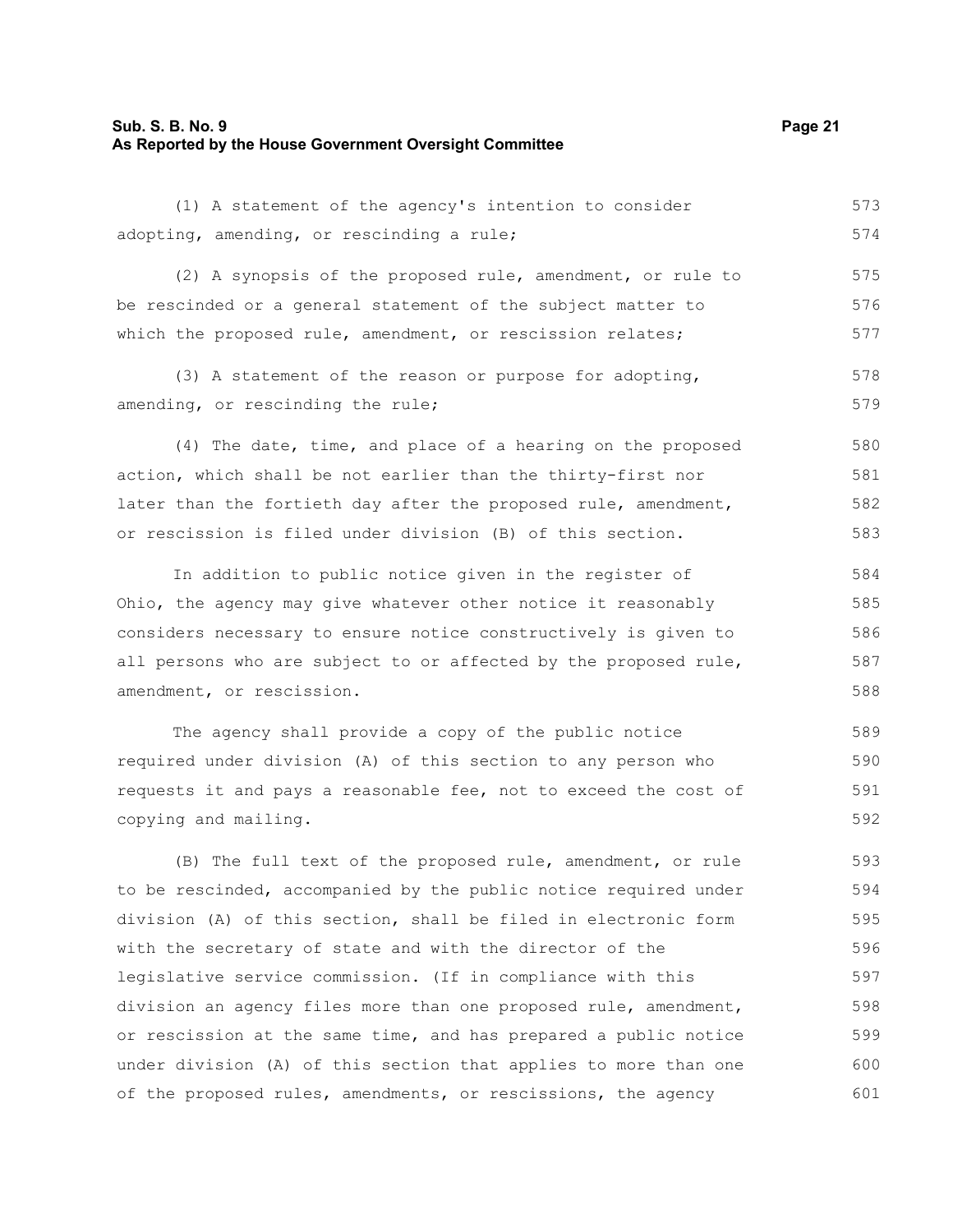#### **Sub. S. B. No. 9 Page 21 As Reported by the House Government Oversight Committee**

(1) A statement of the agency's intention to consider adopting, amending, or rescinding a rule; 573 574

(2) A synopsis of the proposed rule, amendment, or rule to be rescinded or a general statement of the subject matter to which the proposed rule, amendment, or rescission relates; 575 576 577

(3) A statement of the reason or purpose for adopting, amending, or rescinding the rule; 578 579

(4) The date, time, and place of a hearing on the proposed action, which shall be not earlier than the thirty-first nor later than the fortieth day after the proposed rule, amendment, or rescission is filed under division (B) of this section. 580 581 582 583

In addition to public notice given in the register of Ohio, the agency may give whatever other notice it reasonably considers necessary to ensure notice constructively is given to all persons who are subject to or affected by the proposed rule, amendment, or rescission. 584 585 586 587 588

The agency shall provide a copy of the public notice required under division (A) of this section to any person who requests it and pays a reasonable fee, not to exceed the cost of copying and mailing. 589 590 591 592

(B) The full text of the proposed rule, amendment, or rule to be rescinded, accompanied by the public notice required under division (A) of this section, shall be filed in electronic form with the secretary of state and with the director of the legislative service commission. (If in compliance with this division an agency files more than one proposed rule, amendment, or rescission at the same time, and has prepared a public notice under division (A) of this section that applies to more than one of the proposed rules, amendments, or rescissions, the agency 593 594 595 596 597 598 599 600 601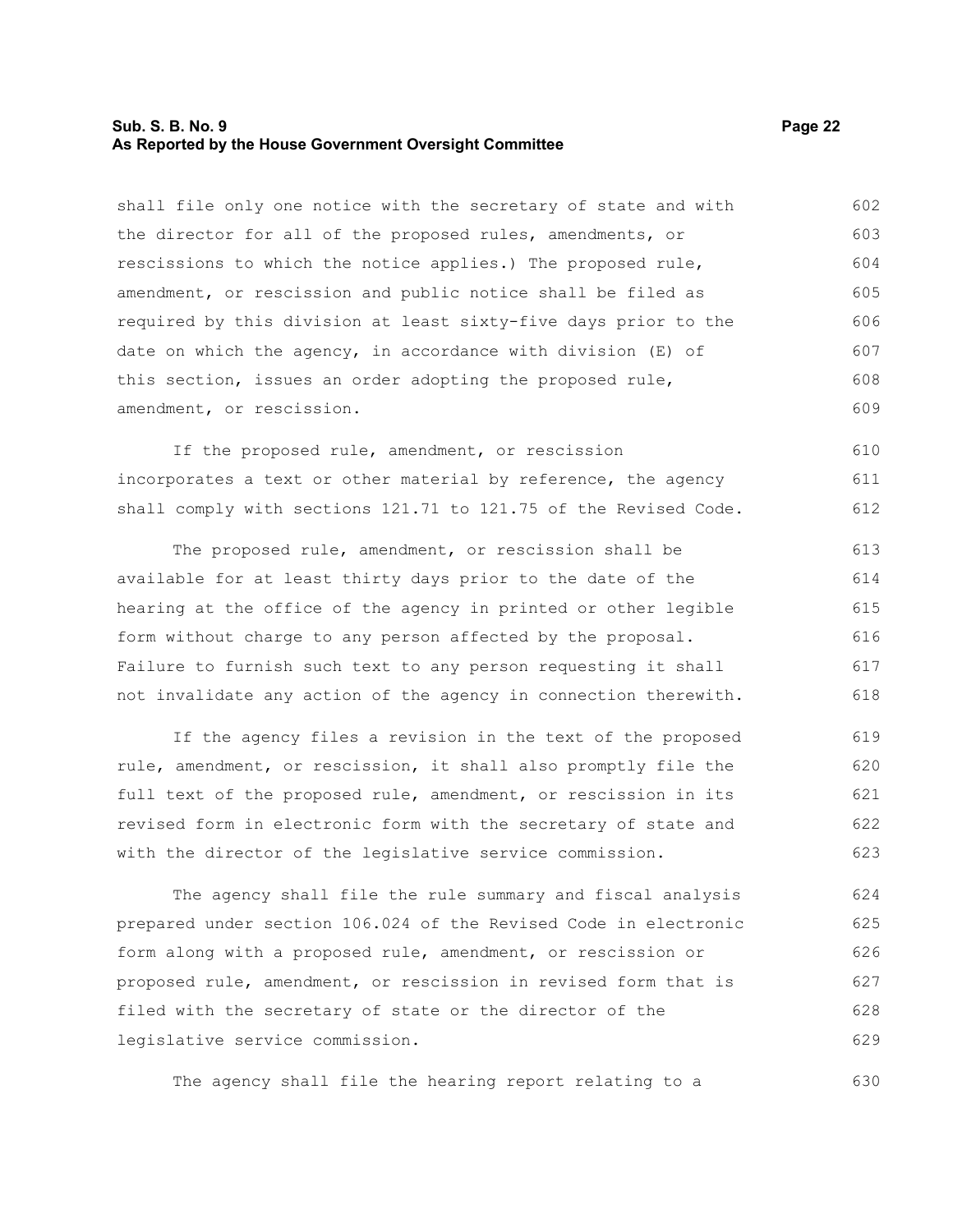#### **Sub. S. B. No. 9 Page 22 As Reported by the House Government Oversight Committee**

shall file only one notice with the secretary of state and with the director for all of the proposed rules, amendments, or rescissions to which the notice applies.) The proposed rule, amendment, or rescission and public notice shall be filed as required by this division at least sixty-five days prior to the date on which the agency, in accordance with division (E) of this section, issues an order adopting the proposed rule, amendment, or rescission. 602 603 604 605 606 607 608 609

If the proposed rule, amendment, or rescission incorporates a text or other material by reference, the agency shall comply with sections 121.71 to 121.75 of the Revised Code. 610 611 612

The proposed rule, amendment, or rescission shall be available for at least thirty days prior to the date of the hearing at the office of the agency in printed or other legible form without charge to any person affected by the proposal. Failure to furnish such text to any person requesting it shall not invalidate any action of the agency in connection therewith. 613 614 615 616 617 618

If the agency files a revision in the text of the proposed rule, amendment, or rescission, it shall also promptly file the full text of the proposed rule, amendment, or rescission in its revised form in electronic form with the secretary of state and with the director of the legislative service commission. 619 620 621 622 623

The agency shall file the rule summary and fiscal analysis prepared under section 106.024 of the Revised Code in electronic form along with a proposed rule, amendment, or rescission or proposed rule, amendment, or rescission in revised form that is filed with the secretary of state or the director of the legislative service commission. 624 625 626 627 628 629

The agency shall file the hearing report relating to a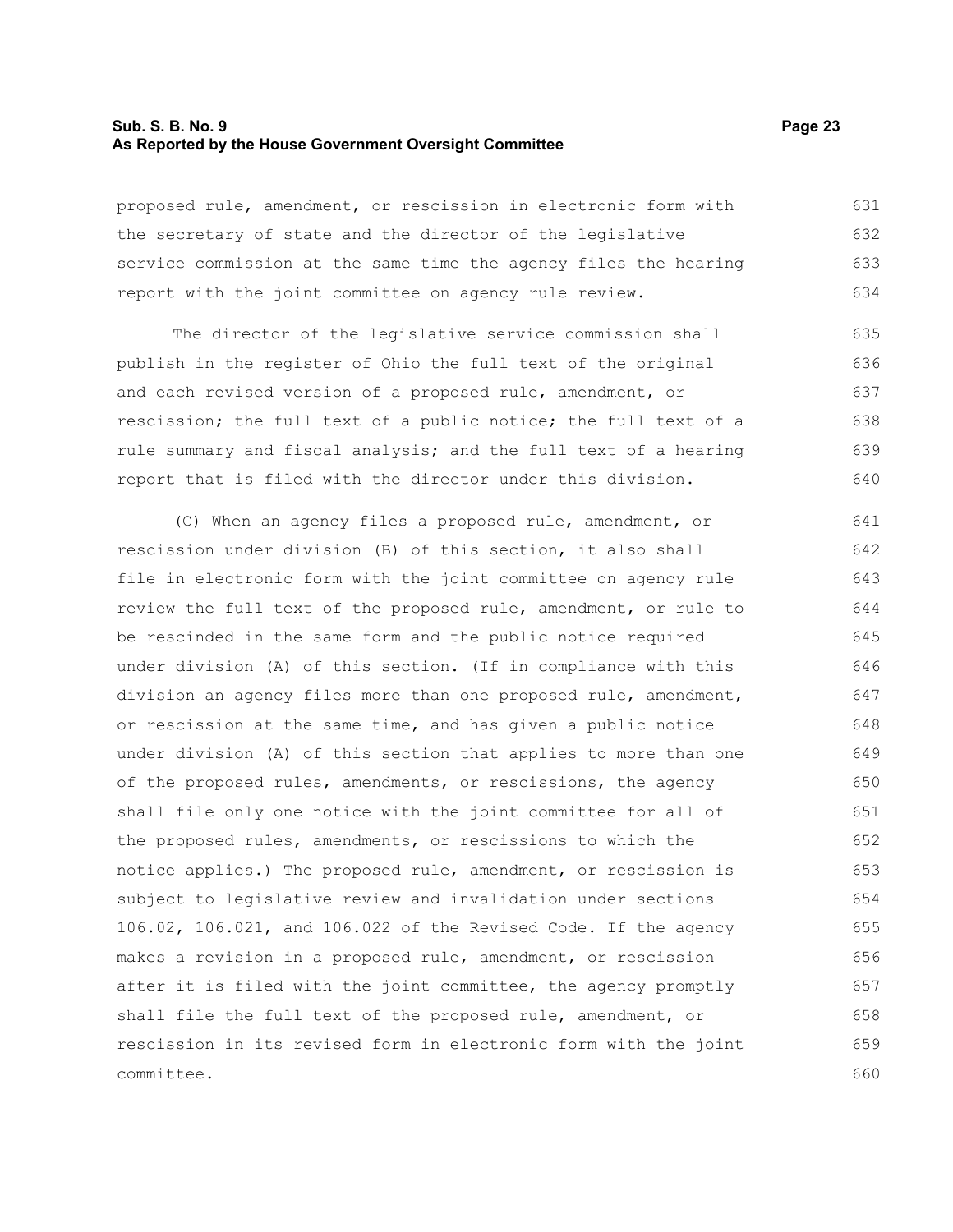#### **Sub. S. B. No. 9 Page 23 As Reported by the House Government Oversight Committee**

proposed rule, amendment, or rescission in electronic form with the secretary of state and the director of the legislative service commission at the same time the agency files the hearing report with the joint committee on agency rule review. 631 632 633 634

The director of the legislative service commission shall publish in the register of Ohio the full text of the original and each revised version of a proposed rule, amendment, or rescission; the full text of a public notice; the full text of a rule summary and fiscal analysis; and the full text of a hearing report that is filed with the director under this division. 635 636 637 638 639 640

(C) When an agency files a proposed rule, amendment, or rescission under division (B) of this section, it also shall file in electronic form with the joint committee on agency rule review the full text of the proposed rule, amendment, or rule to be rescinded in the same form and the public notice required under division (A) of this section. (If in compliance with this division an agency files more than one proposed rule, amendment, or rescission at the same time, and has given a public notice under division (A) of this section that applies to more than one of the proposed rules, amendments, or rescissions, the agency shall file only one notice with the joint committee for all of the proposed rules, amendments, or rescissions to which the notice applies.) The proposed rule, amendment, or rescission is subject to legislative review and invalidation under sections 106.02, 106.021, and 106.022 of the Revised Code. If the agency makes a revision in a proposed rule, amendment, or rescission after it is filed with the joint committee, the agency promptly shall file the full text of the proposed rule, amendment, or rescission in its revised form in electronic form with the joint committee. 641 642 643 644 645 646 647 648 649 650 651 652 653 654 655 656 657 658 659 660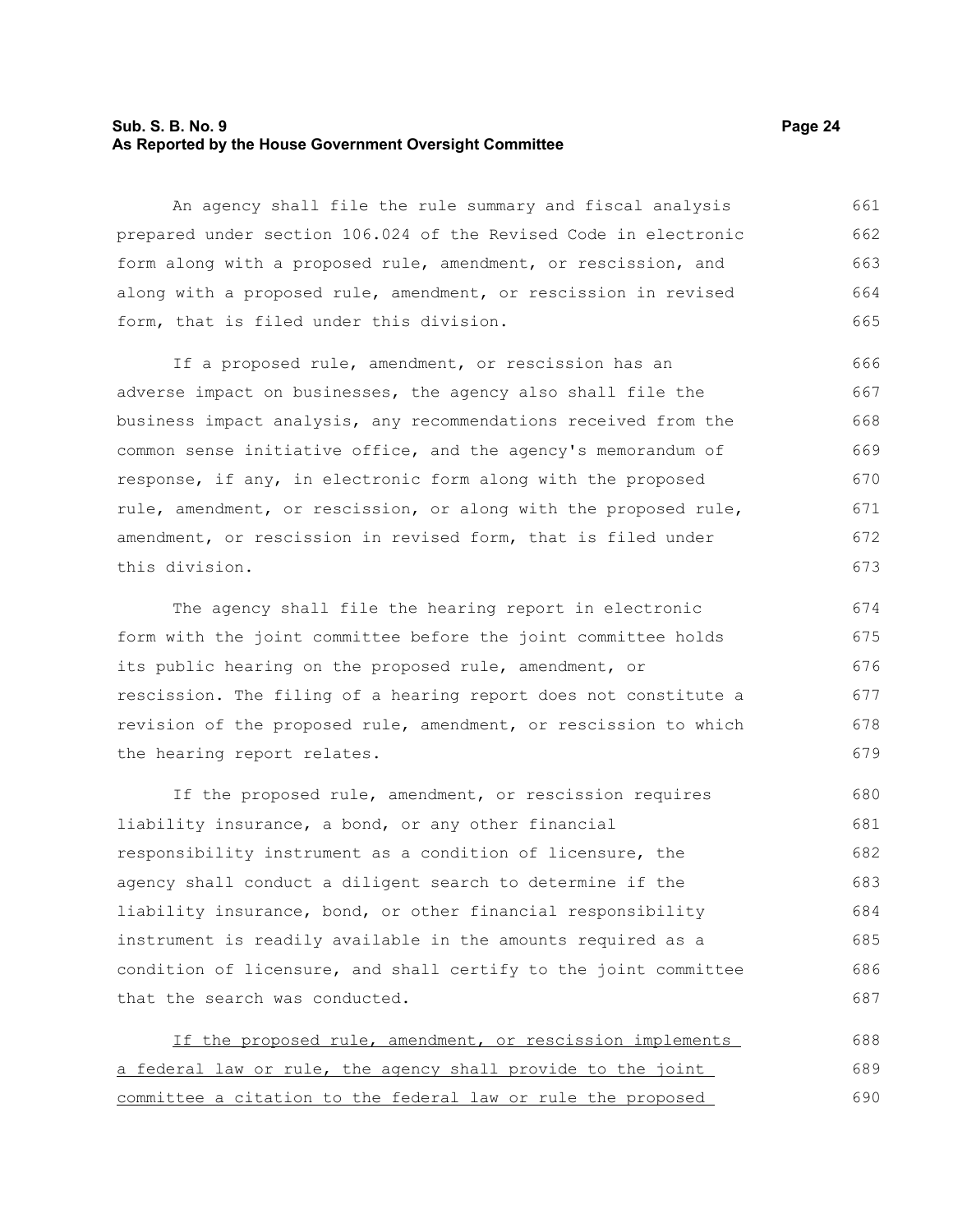#### **Sub. S. B. No. 9 Page 24 As Reported by the House Government Oversight Committee**

An agency shall file the rule summary and fiscal analysis prepared under section 106.024 of the Revised Code in electronic form along with a proposed rule, amendment, or rescission, and along with a proposed rule, amendment, or rescission in revised form, that is filed under this division. 661 662 663 664 665

If a proposed rule, amendment, or rescission has an adverse impact on businesses, the agency also shall file the business impact analysis, any recommendations received from the common sense initiative office, and the agency's memorandum of response, if any, in electronic form along with the proposed rule, amendment, or rescission, or along with the proposed rule, amendment, or rescission in revised form, that is filed under this division. 666 667 668 669 670 671 672 673

The agency shall file the hearing report in electronic form with the joint committee before the joint committee holds its public hearing on the proposed rule, amendment, or rescission. The filing of a hearing report does not constitute a revision of the proposed rule, amendment, or rescission to which the hearing report relates. 674 675 676 677 678 679

If the proposed rule, amendment, or rescission requires liability insurance, a bond, or any other financial responsibility instrument as a condition of licensure, the agency shall conduct a diligent search to determine if the liability insurance, bond, or other financial responsibility instrument is readily available in the amounts required as a condition of licensure, and shall certify to the joint committee that the search was conducted. 680 681 682 683 684 685 686 687

| If the proposed rule, amendment, or rescission implements    | 688 |
|--------------------------------------------------------------|-----|
| a federal law or rule, the agency shall provide to the joint | 689 |
| committee a citation to the federal law or rule the proposed | 690 |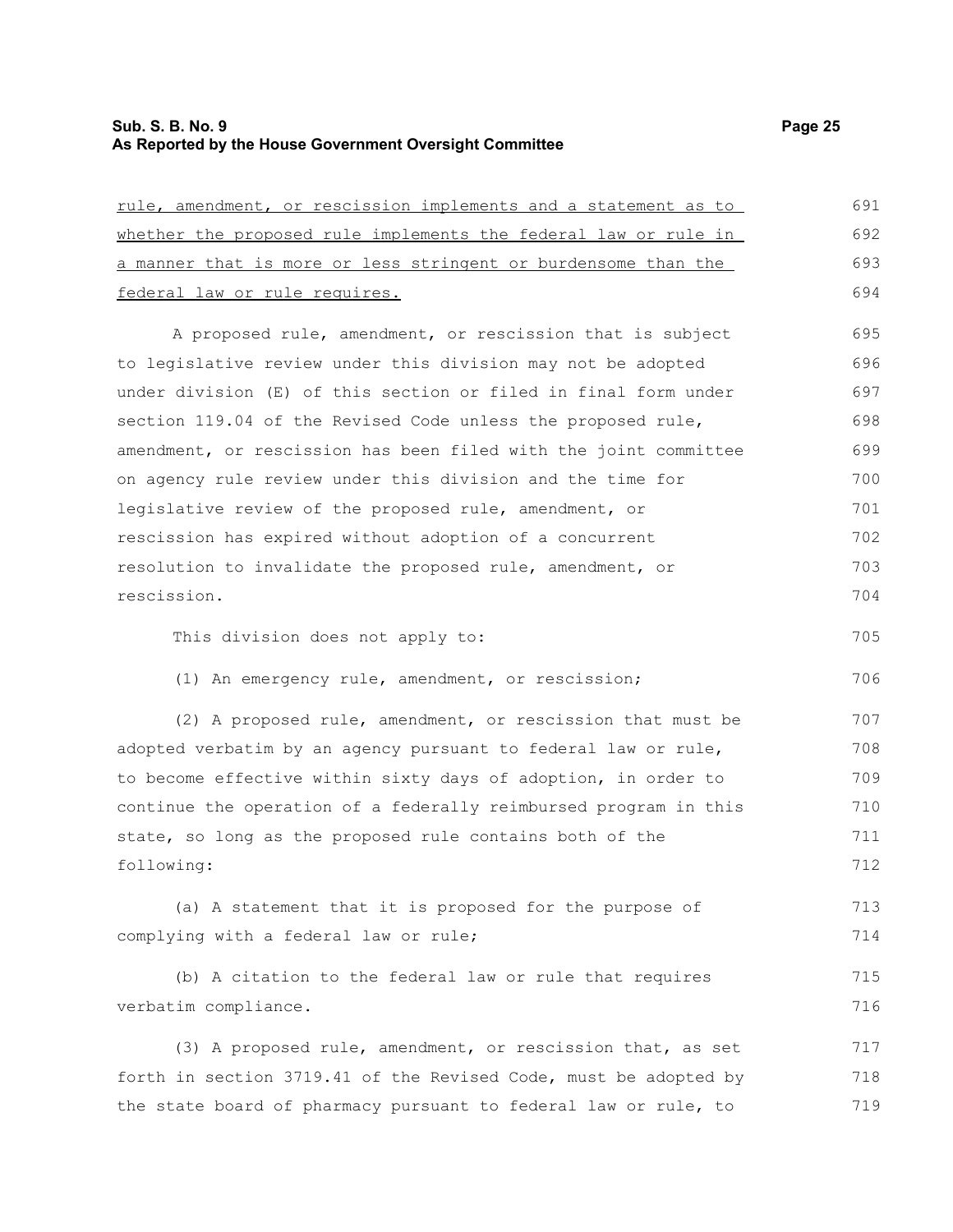## **Sub. S. B. No. 9 Page 25 As Reported by the House Government Oversight Committee**

| whether the proposed rule implements the federal law or rule in  | 692 |
|------------------------------------------------------------------|-----|
| a manner that is more or less stringent or burdensome than the   | 693 |
| federal law or rule requires.                                    | 694 |
| A proposed rule, amendment, or rescission that is subject        | 695 |
| to legislative review under this division may not be adopted     | 696 |
| under division (E) of this section or filed in final form under  | 697 |
| section 119.04 of the Revised Code unless the proposed rule,     | 698 |
| amendment, or rescission has been filed with the joint committee | 699 |
| on agency rule review under this division and the time for       | 700 |
| legislative review of the proposed rule, amendment, or           | 701 |
| rescission has expired without adoption of a concurrent          | 702 |
| resolution to invalidate the proposed rule, amendment, or        | 703 |
| rescission.                                                      | 704 |
| This division does not apply to:                                 | 705 |
| (1) An emergency rule, amendment, or rescission;                 | 706 |
| (2) A proposed rule, amendment, or rescission that must be       | 707 |
| adopted verbatim by an agency pursuant to federal law or rule,   | 708 |
| to become effective within sixty days of adoption, in order to   | 709 |
| continue the operation of a federally reimbursed program in this | 710 |
| state, so long as the proposed rule contains both of the         | 711 |
| following:                                                       | 712 |

(a) A statement that it is proposed for the purpose of complying with a federal law or rule; 713 714

(b) A citation to the federal law or rule that requires verbatim compliance. 715 716

(3) A proposed rule, amendment, or rescission that, as set forth in section 3719.41 of the Revised Code, must be adopted by the state board of pharmacy pursuant to federal law or rule, to 717 718 719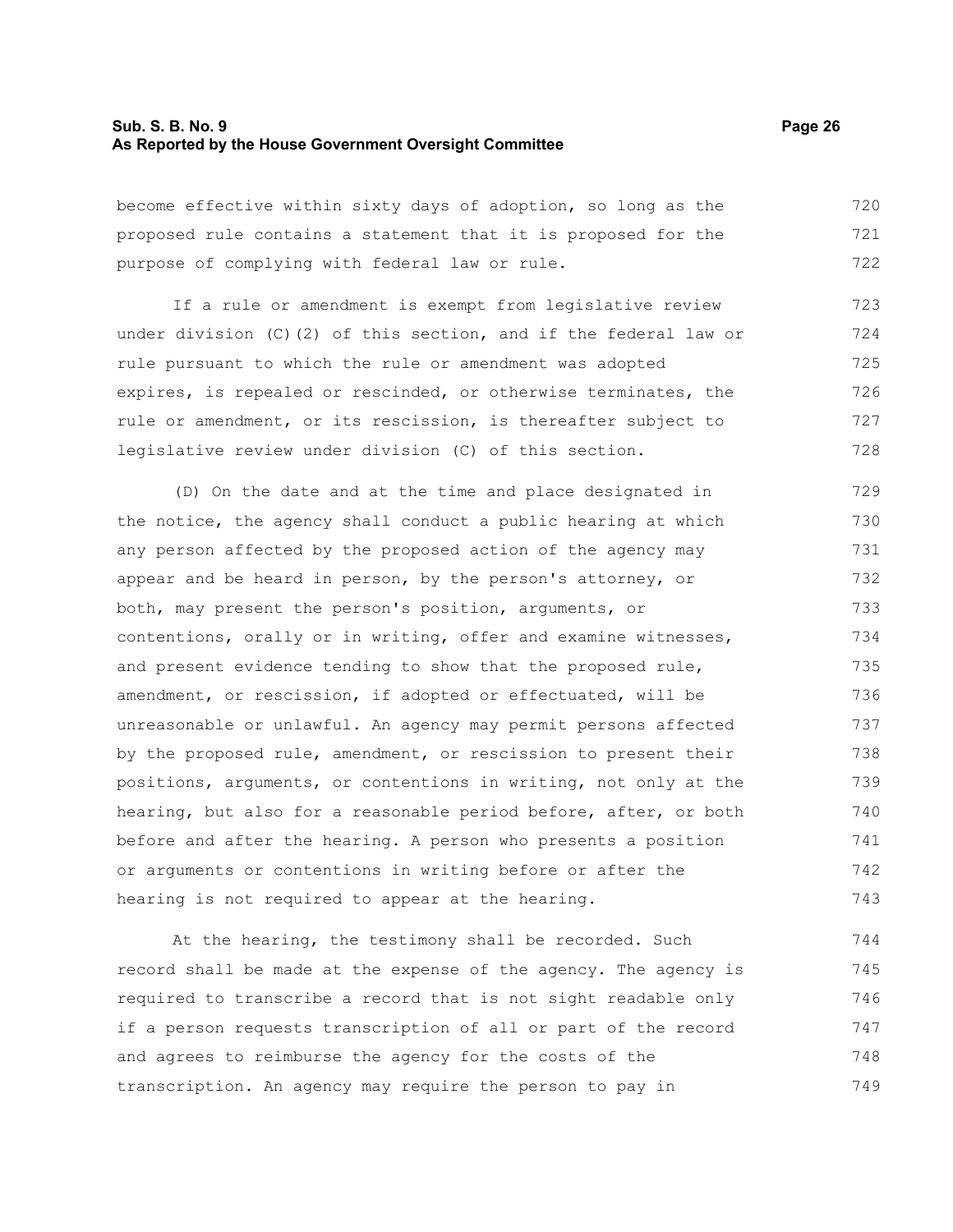#### **Sub. S. B. No. 9 Page 26 As Reported by the House Government Oversight Committee**

become effective within sixty days of adoption, so long as the proposed rule contains a statement that it is proposed for the purpose of complying with federal law or rule. 720 721 722

If a rule or amendment is exempt from legislative review under division (C)(2) of this section, and if the federal law or rule pursuant to which the rule or amendment was adopted expires, is repealed or rescinded, or otherwise terminates, the rule or amendment, or its rescission, is thereafter subject to legislative review under division (C) of this section. 723 724 725 726 727 728

(D) On the date and at the time and place designated in the notice, the agency shall conduct a public hearing at which any person affected by the proposed action of the agency may appear and be heard in person, by the person's attorney, or both, may present the person's position, arguments, or contentions, orally or in writing, offer and examine witnesses, and present evidence tending to show that the proposed rule, amendment, or rescission, if adopted or effectuated, will be unreasonable or unlawful. An agency may permit persons affected by the proposed rule, amendment, or rescission to present their positions, arguments, or contentions in writing, not only at the hearing, but also for a reasonable period before, after, or both before and after the hearing. A person who presents a position or arguments or contentions in writing before or after the hearing is not required to appear at the hearing. 729 730 731 732 733 734 735 736 737 738 739 740 741 742 743

At the hearing, the testimony shall be recorded. Such record shall be made at the expense of the agency. The agency is required to transcribe a record that is not sight readable only if a person requests transcription of all or part of the record and agrees to reimburse the agency for the costs of the transcription. An agency may require the person to pay in 744 745 746 747 748 749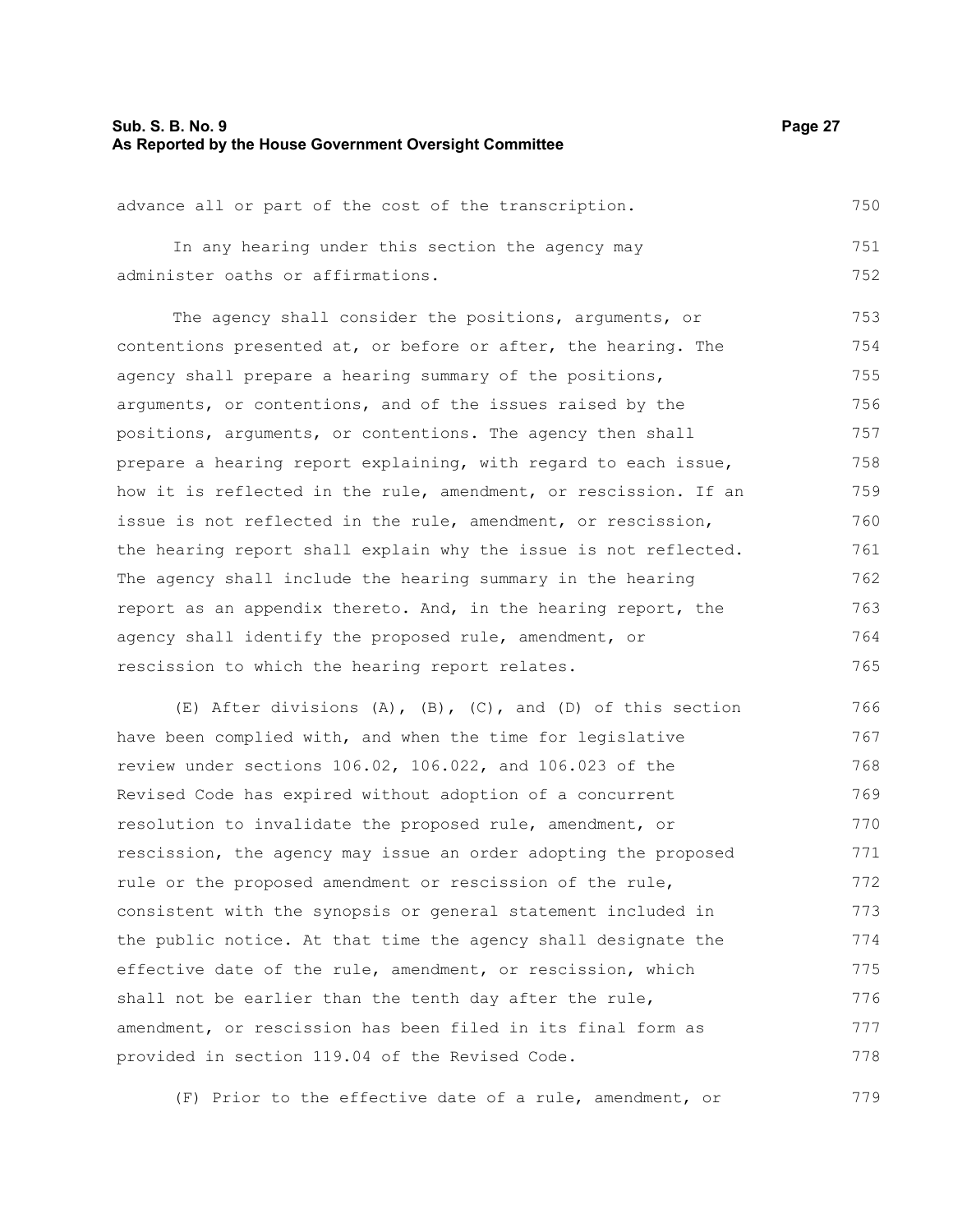#### **Sub. S. B. No. 9 Page 27 As Reported by the House Government Oversight Committee**

advance all or part of the cost of the transcription. In any hearing under this section the agency may administer oaths or affirmations. 750 751 752

The agency shall consider the positions, arguments, or contentions presented at, or before or after, the hearing. The agency shall prepare a hearing summary of the positions, arguments, or contentions, and of the issues raised by the positions, arguments, or contentions. The agency then shall prepare a hearing report explaining, with regard to each issue, how it is reflected in the rule, amendment, or rescission. If an issue is not reflected in the rule, amendment, or rescission, the hearing report shall explain why the issue is not reflected. The agency shall include the hearing summary in the hearing report as an appendix thereto. And, in the hearing report, the agency shall identify the proposed rule, amendment, or rescission to which the hearing report relates. 753 754 755 756 757 758 759 760 761 762 763 764 765

(E) After divisions  $(A)$ ,  $(B)$ ,  $(C)$ , and  $(D)$  of this section have been complied with, and when the time for legislative review under sections 106.02, 106.022, and 106.023 of the Revised Code has expired without adoption of a concurrent resolution to invalidate the proposed rule, amendment, or rescission, the agency may issue an order adopting the proposed rule or the proposed amendment or rescission of the rule, consistent with the synopsis or general statement included in the public notice. At that time the agency shall designate the effective date of the rule, amendment, or rescission, which shall not be earlier than the tenth day after the rule, amendment, or rescission has been filed in its final form as provided in section 119.04 of the Revised Code. 766 767 768 769 770 771 772 773 774 775 776 777 778

(F) Prior to the effective date of a rule, amendment, or 779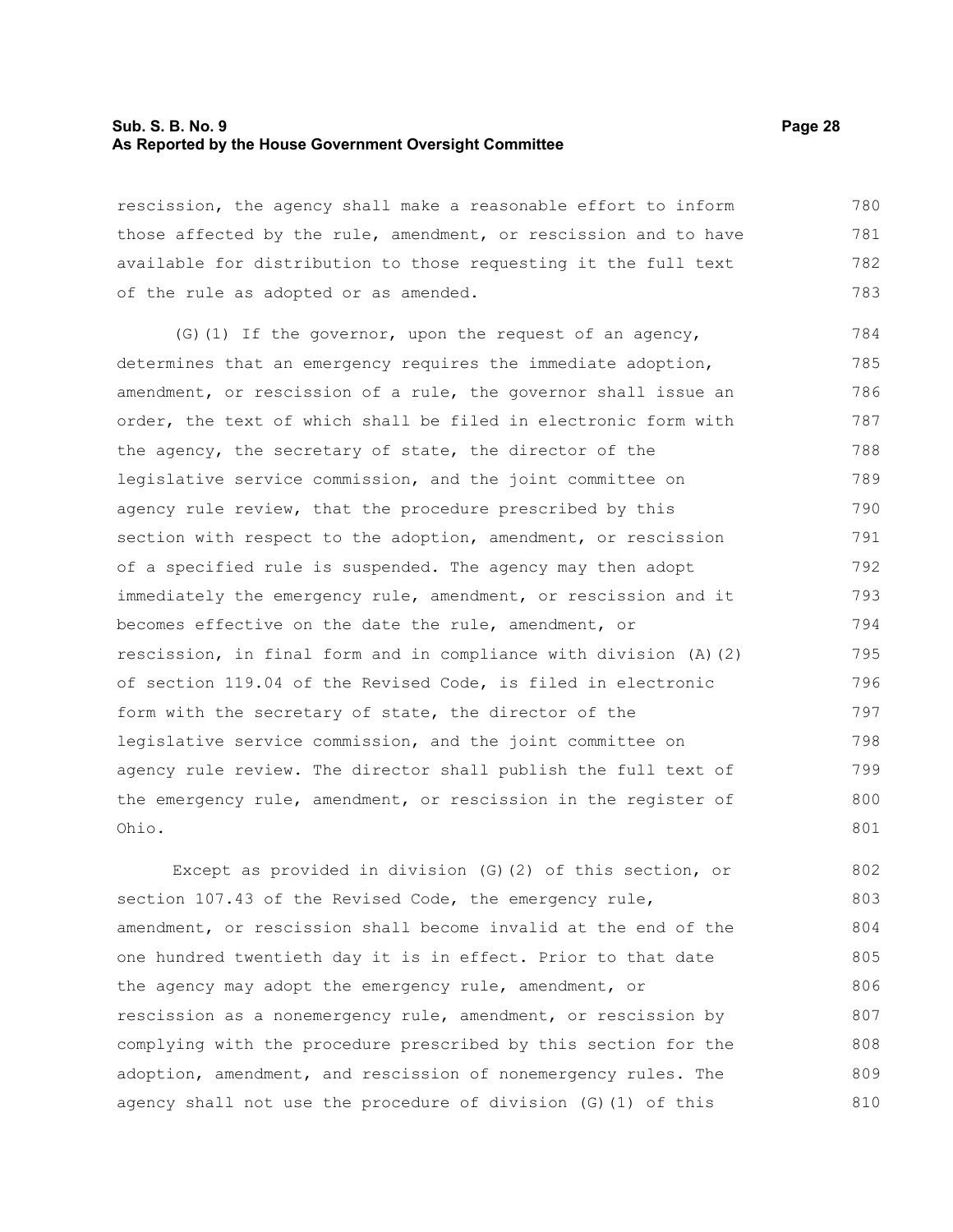#### **Sub. S. B. No. 9 Page 28 As Reported by the House Government Oversight Committee**

rescission, the agency shall make a reasonable effort to inform those affected by the rule, amendment, or rescission and to have available for distribution to those requesting it the full text of the rule as adopted or as amended. 780 781 782 783

(G)(1) If the governor, upon the request of an agency, determines that an emergency requires the immediate adoption, amendment, or rescission of a rule, the governor shall issue an order, the text of which shall be filed in electronic form with the agency, the secretary of state, the director of the legislative service commission, and the joint committee on agency rule review, that the procedure prescribed by this section with respect to the adoption, amendment, or rescission of a specified rule is suspended. The agency may then adopt immediately the emergency rule, amendment, or rescission and it becomes effective on the date the rule, amendment, or rescission, in final form and in compliance with division (A)(2) of section 119.04 of the Revised Code, is filed in electronic form with the secretary of state, the director of the legislative service commission, and the joint committee on agency rule review. The director shall publish the full text of the emergency rule, amendment, or rescission in the register of Ohio. 784 785 786 787 788 789 790 791 792 793 794 795 796 797 798 799 800 801

Except as provided in division (G)(2) of this section, or section 107.43 of the Revised Code, the emergency rule, amendment, or rescission shall become invalid at the end of the one hundred twentieth day it is in effect. Prior to that date the agency may adopt the emergency rule, amendment, or rescission as a nonemergency rule, amendment, or rescission by complying with the procedure prescribed by this section for the adoption, amendment, and rescission of nonemergency rules. The agency shall not use the procedure of division (G)(1) of this 802 803 804 805 806 807 808 809 810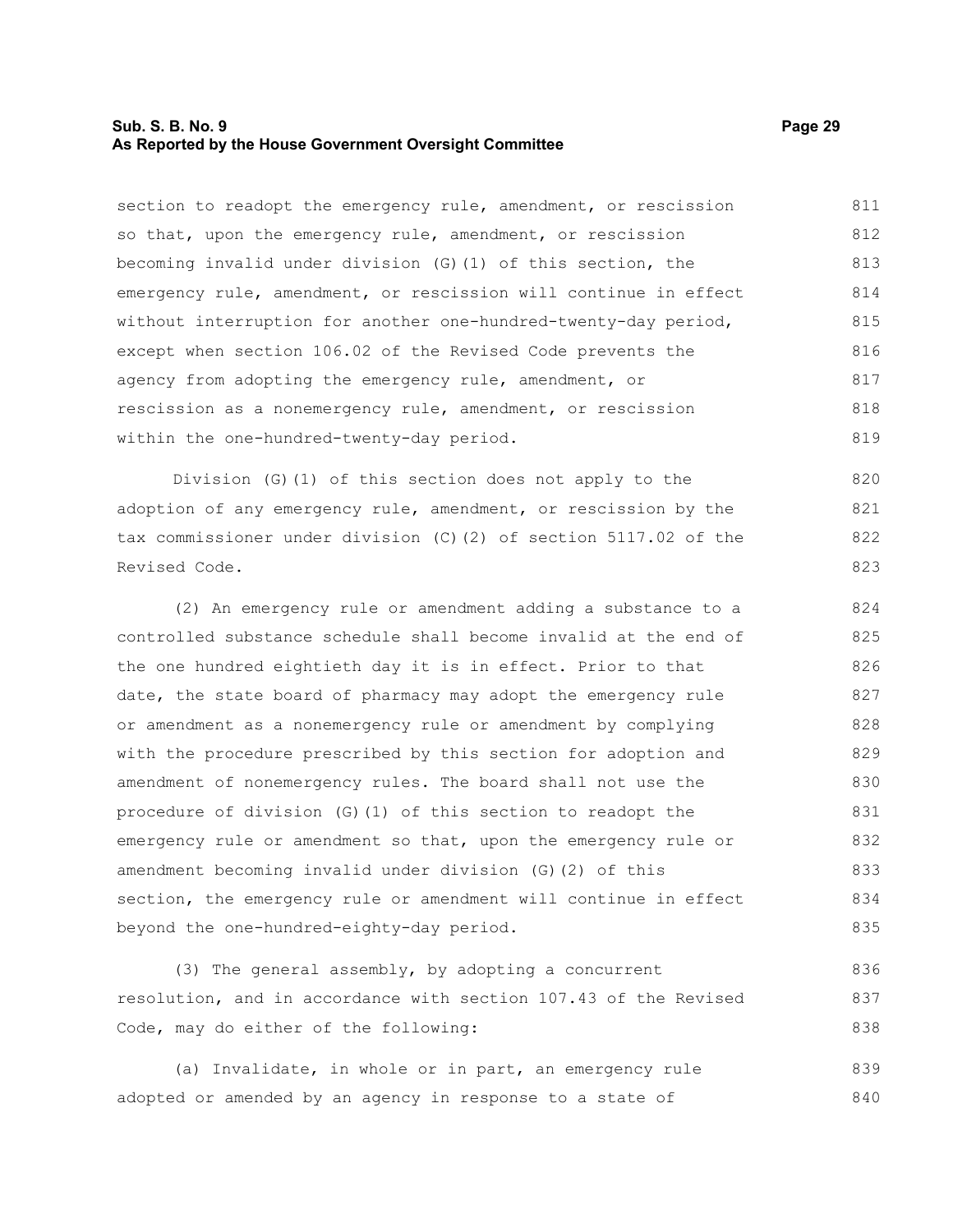#### **Sub. S. B. No. 9 Page 29 As Reported by the House Government Oversight Committee**

section to readopt the emergency rule, amendment, or rescission so that, upon the emergency rule, amendment, or rescission becoming invalid under division (G)(1) of this section, the emergency rule, amendment, or rescission will continue in effect without interruption for another one-hundred-twenty-day period, except when section 106.02 of the Revised Code prevents the agency from adopting the emergency rule, amendment, or rescission as a nonemergency rule, amendment, or rescission within the one-hundred-twenty-day period. 811 812 813 814 815 816 817 818 819

Division (G)(1) of this section does not apply to the adoption of any emergency rule, amendment, or rescission by the tax commissioner under division (C)(2) of section 5117.02 of the Revised Code.

(2) An emergency rule or amendment adding a substance to a controlled substance schedule shall become invalid at the end of the one hundred eightieth day it is in effect. Prior to that date, the state board of pharmacy may adopt the emergency rule or amendment as a nonemergency rule or amendment by complying with the procedure prescribed by this section for adoption and amendment of nonemergency rules. The board shall not use the procedure of division (G)(1) of this section to readopt the emergency rule or amendment so that, upon the emergency rule or amendment becoming invalid under division (G)(2) of this section, the emergency rule or amendment will continue in effect beyond the one-hundred-eighty-day period. 824 825 826 827 828 829 830 831 832 833 834 835

(3) The general assembly, by adopting a concurrent resolution, and in accordance with section 107.43 of the Revised Code, may do either of the following: 836 837 838

(a) Invalidate, in whole or in part, an emergency rule adopted or amended by an agency in response to a state of 839 840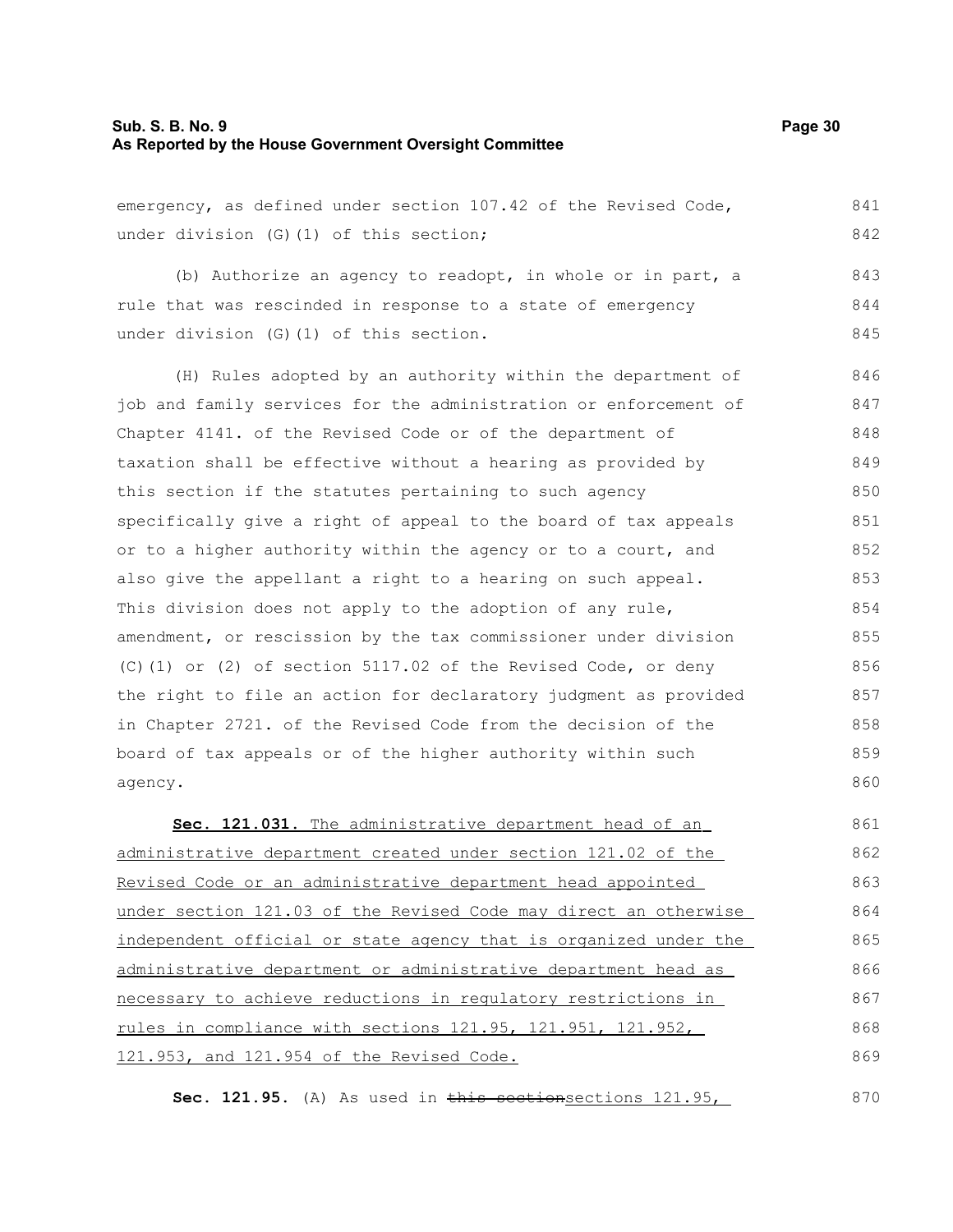#### **Sub. S. B. No. 9 Page 30 As Reported by the House Government Oversight Committee**

emergency, as defined under section 107.42 of the Revised Code, under division (G)(1) of this section; 841 842

(b) Authorize an agency to readopt, in whole or in part, a rule that was rescinded in response to a state of emergency under division (G)(1) of this section. 843 844 845

(H) Rules adopted by an authority within the department of job and family services for the administration or enforcement of Chapter 4141. of the Revised Code or of the department of taxation shall be effective without a hearing as provided by this section if the statutes pertaining to such agency specifically give a right of appeal to the board of tax appeals or to a higher authority within the agency or to a court, and also give the appellant a right to a hearing on such appeal. This division does not apply to the adoption of any rule, amendment, or rescission by the tax commissioner under division (C)(1) or (2) of section 5117.02 of the Revised Code, or deny the right to file an action for declaratory judgment as provided in Chapter 2721. of the Revised Code from the decision of the board of tax appeals or of the higher authority within such agency. 846 847 848 849 850 851 852 853 854 855 856 857 858 859 860

 **Sec. 121.031.** The administrative department head of an administrative department created under section 121.02 of the Revised Code or an administrative department head appointed under section 121.03 of the Revised Code may direct an otherwise independent official or state agency that is organized under the administrative department or administrative department head as necessary to achieve reductions in regulatory restrictions in rules in compliance with sections 121.95, 121.951, 121.952, 121.953, and 121.954 of the Revised Code. 861 862 863 864 865 866 867 868 869

Sec. 121.95. (A) As used in this sectionsections 121.95, 870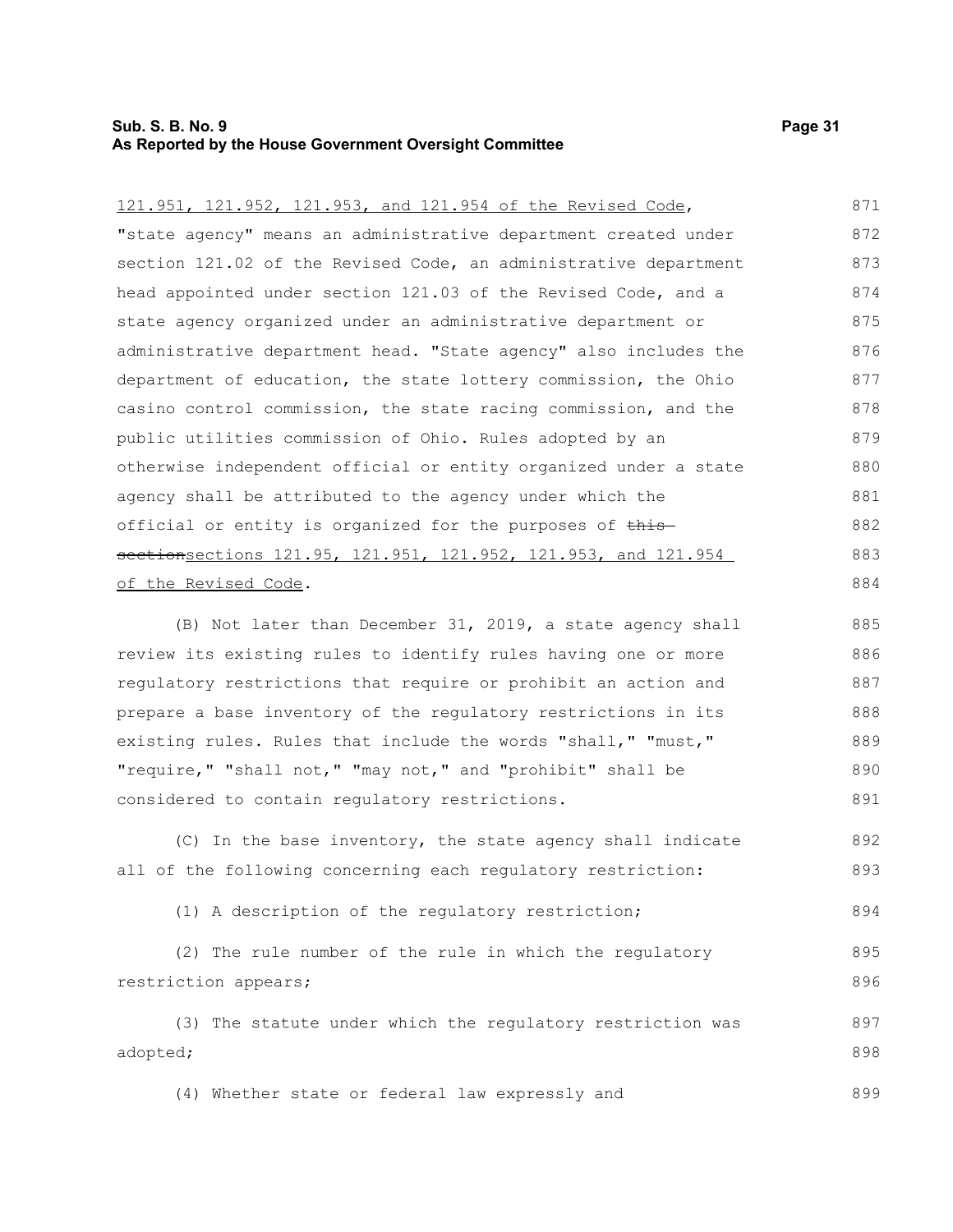#### **Sub. S. B. No. 9 Page 31 As Reported by the House Government Oversight Committee**

| 121.951, 121.952, 121.953, and 121.954 of the Revised Code,      | 871 |
|------------------------------------------------------------------|-----|
| "state agency" means an administrative department created under  | 872 |
| section 121.02 of the Revised Code, an administrative department | 873 |
| head appointed under section 121.03 of the Revised Code, and a   | 874 |
| state agency organized under an administrative department or     | 875 |
| administrative department head. "State agency" also includes the | 876 |
| department of education, the state lottery commission, the Ohio  | 877 |
| casino control commission, the state racing commission, and the  | 878 |
| public utilities commission of Ohio. Rules adopted by an         | 879 |
| otherwise independent official or entity organized under a state | 880 |
| agency shall be attributed to the agency under which the         | 881 |
| official or entity is organized for the purposes of this-        | 882 |
| sectionsections 121.95, 121.951, 121.952, 121.953, and 121.954   | 883 |
| of the Revised Code.                                             | 884 |
|                                                                  |     |

(B) Not later than December 31, 2019, a state agency shall review its existing rules to identify rules having one or more regulatory restrictions that require or prohibit an action and prepare a base inventory of the regulatory restrictions in its existing rules. Rules that include the words "shall," "must," "require," "shall not," "may not," and "prohibit" shall be considered to contain regulatory restrictions. 885 886 887 888 889 890 891

(C) In the base inventory, the state agency shall indicate all of the following concerning each regulatory restriction: 892 893

(1) A description of the regulatory restriction; 894

(2) The rule number of the rule in which the regulatory restriction appears; 895 896

(3) The statute under which the regulatory restriction was adopted; 897 898

(4) Whether state or federal law expressly and 899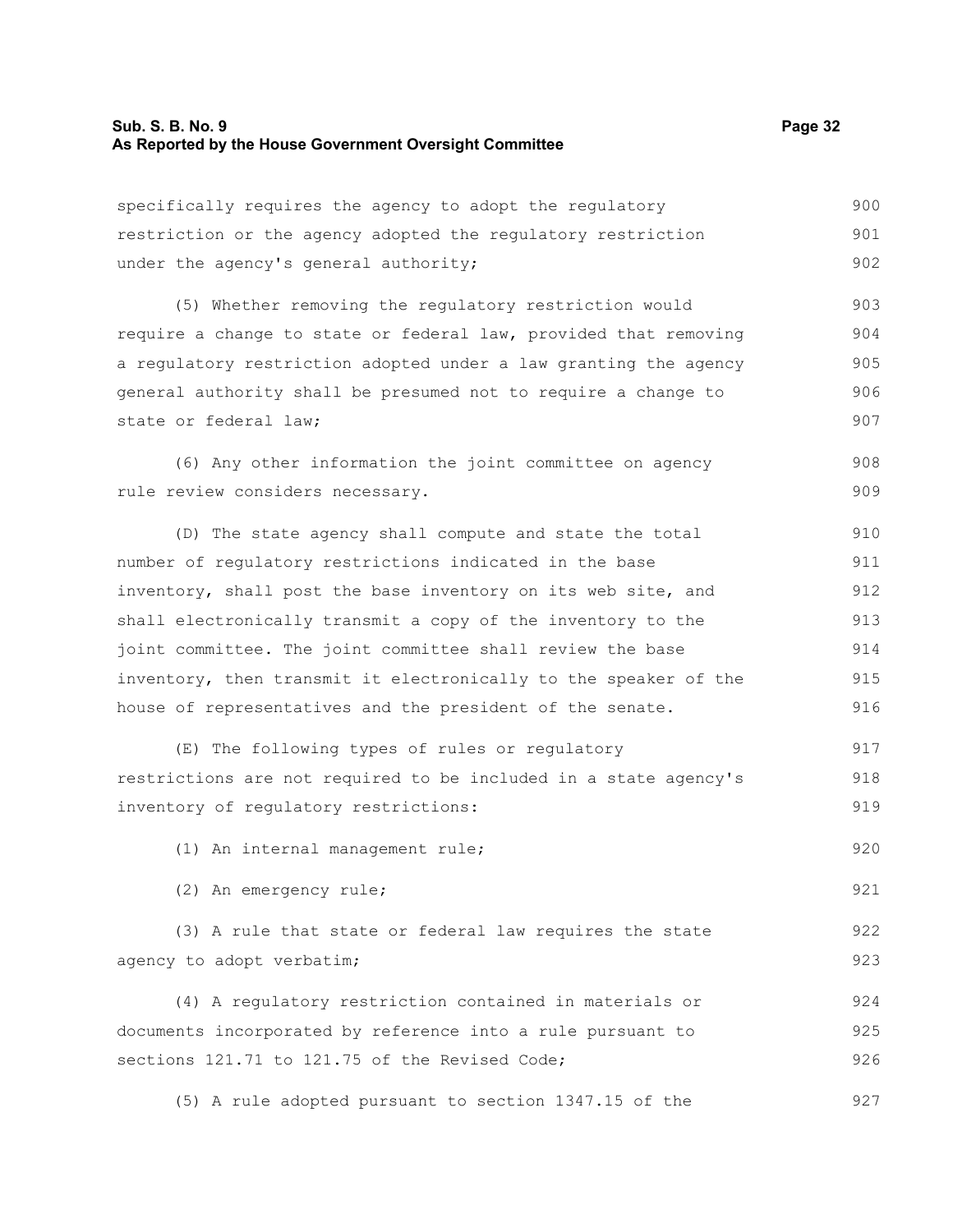920

921

specifically requires the agency to adopt the regulatory restriction or the agency adopted the regulatory restriction under the agency's general authority; 900 901 902

(5) Whether removing the regulatory restriction would require a change to state or federal law, provided that removing a regulatory restriction adopted under a law granting the agency general authority shall be presumed not to require a change to state or federal law; 903 904 905 906 907

(6) Any other information the joint committee on agency rule review considers necessary. 908 909

(D) The state agency shall compute and state the total number of regulatory restrictions indicated in the base inventory, shall post the base inventory on its web site, and shall electronically transmit a copy of the inventory to the joint committee. The joint committee shall review the base inventory, then transmit it electronically to the speaker of the house of representatives and the president of the senate. 910 911 912 913 914 915 916

(E) The following types of rules or regulatory restrictions are not required to be included in a state agency's inventory of regulatory restrictions: 917 918 919

(1) An internal management rule;

(2) An emergency rule;

(3) A rule that state or federal law requires the state agency to adopt verbatim; 922 923

(4) A regulatory restriction contained in materials or documents incorporated by reference into a rule pursuant to sections 121.71 to 121.75 of the Revised Code; 924 925 926

(5) A rule adopted pursuant to section 1347.15 of the 927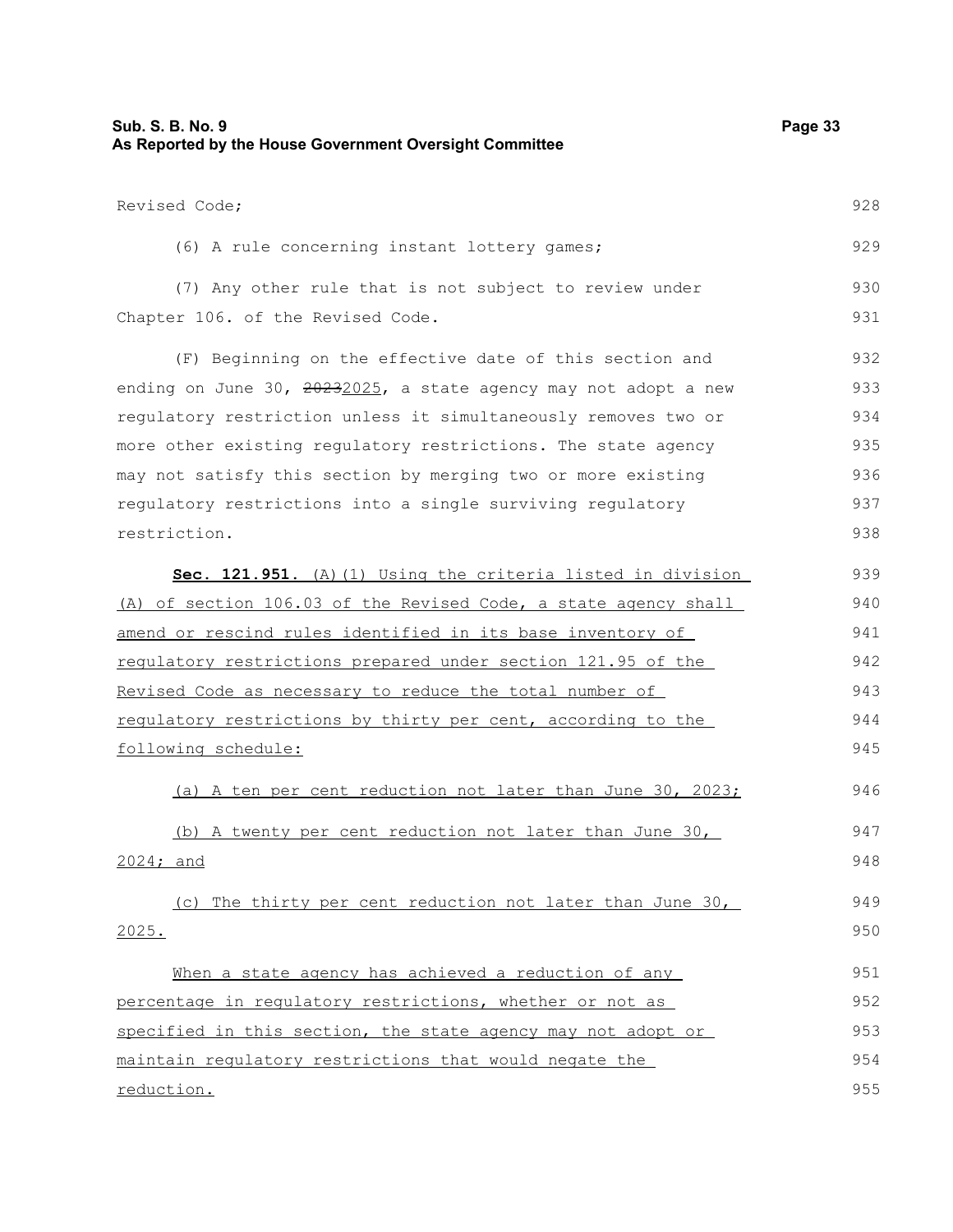| <b>Sub. S. B. No. 9</b><br>As Reported by the House Government Oversight Committee          | Page 33    |
|---------------------------------------------------------------------------------------------|------------|
| Revised Code;                                                                               | 928        |
| (6) A rule concerning instant lottery games;                                                | 929        |
| (7) Any other rule that is not subject to review under<br>Chapter 106. of the Revised Code. | 930<br>931 |
| (F) Beginning on the effective date of this section and                                     | 932        |
| ending on June 30, 20232025, a state agency may not adopt a new                             | 933        |
| regulatory restriction unless it simultaneously removes two or                              | 934        |
| more other existing regulatory restrictions. The state agency                               | 935        |
| may not satisfy this section by merging two or more existing                                | 936        |
| regulatory restrictions into a single surviving regulatory                                  | 937        |
| restriction.                                                                                | 938        |
| Sec. 121.951. (A) (1) Using the criteria listed in division                                 | 939        |
| (A) of section 106.03 of the Revised Code, a state agency shall                             | 940        |
| amend or rescind rules identified in its base inventory of                                  | 941        |
| regulatory restrictions prepared under section 121.95 of the                                | 942        |
| Revised Code as necessary to reduce the total number of                                     | 943        |
| regulatory restrictions by thirty per cent, according to the                                | 944        |
| following schedule:                                                                         | 945        |
| (a) A ten per cent reduction not later than June 30, 2023;                                  | 946        |
| (b) A twenty per cent reduction not later than June 30,                                     | 947        |
| $2024;$ and                                                                                 | 948        |
| (c) The thirty per cent reduction not later than June 30,                                   | 949        |
| 2025.                                                                                       | 950        |
| When a state agency has achieved a reduction of any                                         | 951        |
| percentage in regulatory restrictions, whether or not as                                    | 952        |
| specified in this section, the state agency may not adopt or                                | 953        |
| maintain regulatory restrictions that would negate the                                      | 954        |
| reduction.                                                                                  | 955        |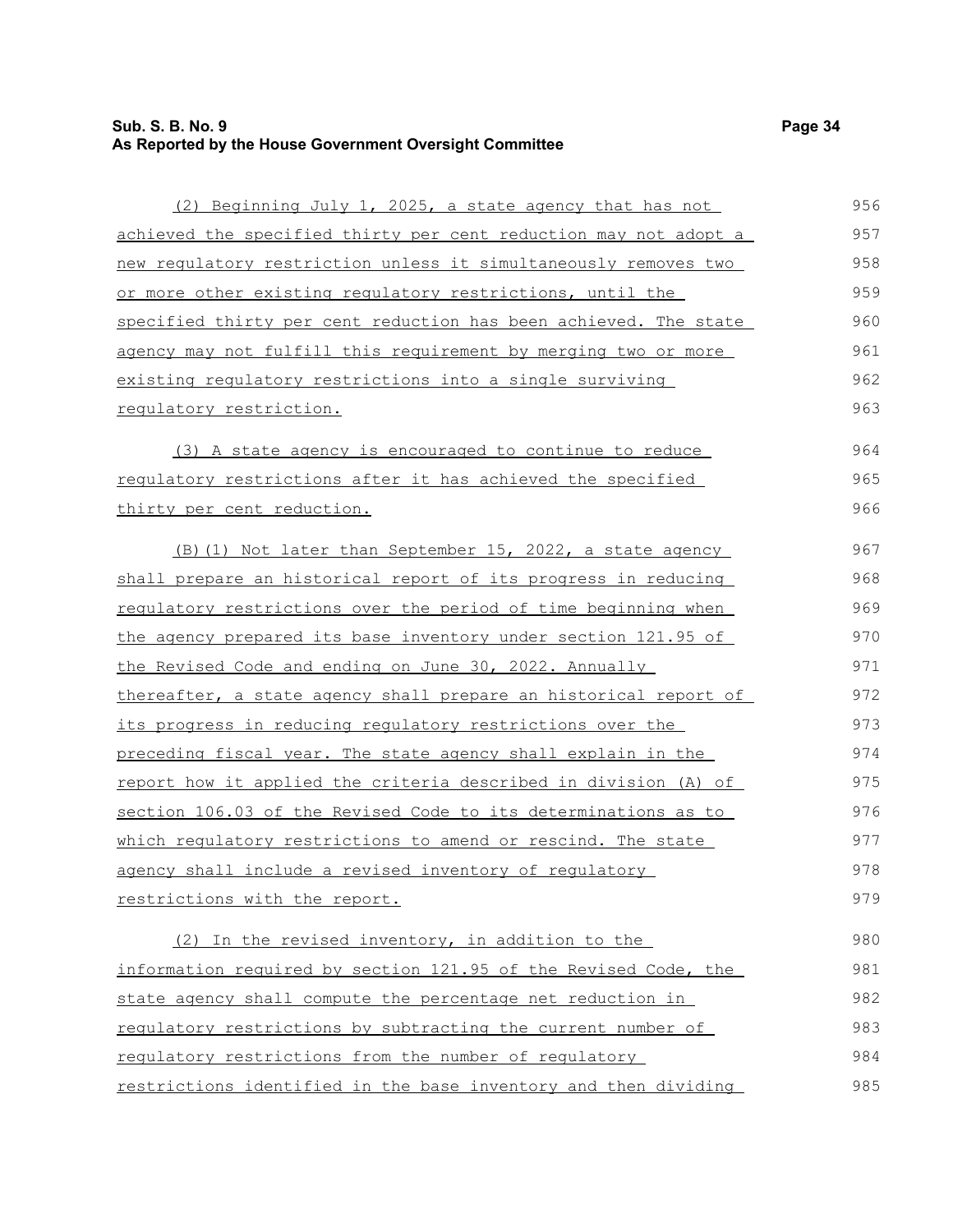# **Sub. S. B. No. 9 Page 34 As Reported by the House Government Oversight Committee**

| (2) Beginning July 1, 2025, a state agency that has not          | 956 |
|------------------------------------------------------------------|-----|
| achieved the specified thirty per cent reduction may not adopt a | 957 |
| new requlatory restriction unless it simultaneously removes two  | 958 |
| or more other existing regulatory restrictions, until the        | 959 |
| specified thirty per cent reduction has been achieved. The state | 960 |
| agency may not fulfill this requirement by merging two or more   | 961 |
| existing regulatory restrictions into a single surviving         | 962 |
| requlatory restriction.                                          | 963 |
| (3) A state agency is encouraged to continue to reduce           | 964 |
| requlatory restrictions after it has achieved the specified      | 965 |
| thirty per cent reduction.                                       | 966 |
| (B) (1) Not later than September 15, 2022, a state agency        | 967 |
| shall prepare an historical report of its progress in reducing   | 968 |
| requlatory restrictions over the period of time beginning when   | 969 |
| the agency prepared its base inventory under section 121.95 of   | 970 |
| the Revised Code and ending on June 30, 2022. Annually           | 971 |
| thereafter, a state agency shall prepare an historical report of | 972 |
| its progress in reducing regulatory restrictions over the        | 973 |
| preceding fiscal year. The state agency shall explain in the     | 974 |
| report how it applied the criteria described in division (A) of  | 975 |
| section 106.03 of the Revised Code to its determinations as to   | 976 |
| which regulatory restrictions to amend or rescind. The state     | 977 |
| agency shall include a revised inventory of regulatory           | 978 |
| restrictions with the report.                                    | 979 |
| (2) In the revised inventory, in addition to the                 | 980 |
| information required by section 121.95 of the Revised Code, the  | 981 |
| state agency shall compute the percentage net reduction in       | 982 |
| requiatory restrictions by subtracting the current number of     | 983 |
| requiatory restrictions from the number of requiatory            | 984 |
| restrictions identified in the base inventory and then dividing  | 985 |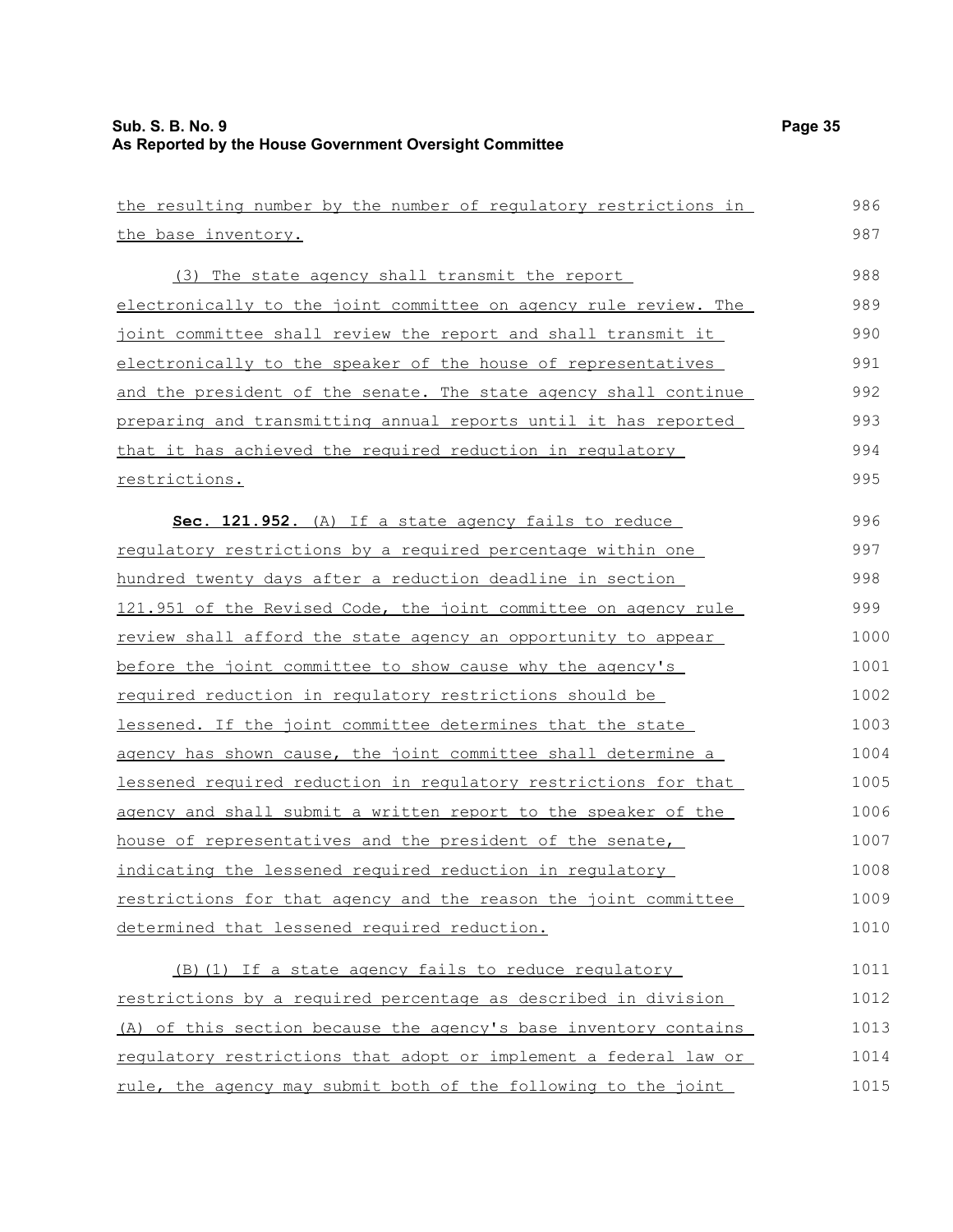| the resulting number by the number of regulatory restrictions in       | 986  |
|------------------------------------------------------------------------|------|
| the base inventory.                                                    | 987  |
| (3) The state agency shall transmit the report                         | 988  |
| electronically to the joint committee on agency rule review. The       | 989  |
| joint committee shall review the report and shall transmit it          | 990  |
| electronically to the speaker of the house of representatives          | 991  |
| and the president of the senate. The state agency shall continue       | 992  |
| <u>preparing and transmitting annual reports until it has reported</u> | 993  |
| that it has achieved the required reduction in regulatory              | 994  |
| restrictions.                                                          | 995  |
| Sec. 121.952. (A) If a state agency fails to reduce                    | 996  |
| requlatory restrictions by a required percentage within one            | 997  |
| hundred twenty days after a reduction deadline in section              | 998  |
| 121.951 of the Revised Code, the joint committee on agency rule        | 999  |
| review shall afford the state agency an opportunity to appear          | 1000 |
| before the joint committee to show cause why the agency's              | 1001 |
| required reduction in requlatory restrictions should be                | 1002 |
| lessened. If the joint committee determines that the state             | 1003 |
| agency has shown cause, the joint committee shall determine a          | 1004 |
| lessened required reduction in requlatory restrictions for that        | 1005 |
| agency and shall submit a written report to the speaker of the         | 1006 |
| house of representatives and the president of the senate,              | 1007 |
| indicating the lessened required reduction in requlatory               | 1008 |
| restrictions for that agency and the reason the joint committee        | 1009 |
| determined that lessened required reduction.                           | 1010 |
| (B) (1) If a state agency fails to reduce regulatory                   | 1011 |
| restrictions by a required percentage as described in division         | 1012 |
| (A) of this section because the agency's base inventory contains       | 1013 |
| requiatory restrictions that adopt or implement a federal law or       | 1014 |
| rule, the agency may submit both of the following to the joint         | 1015 |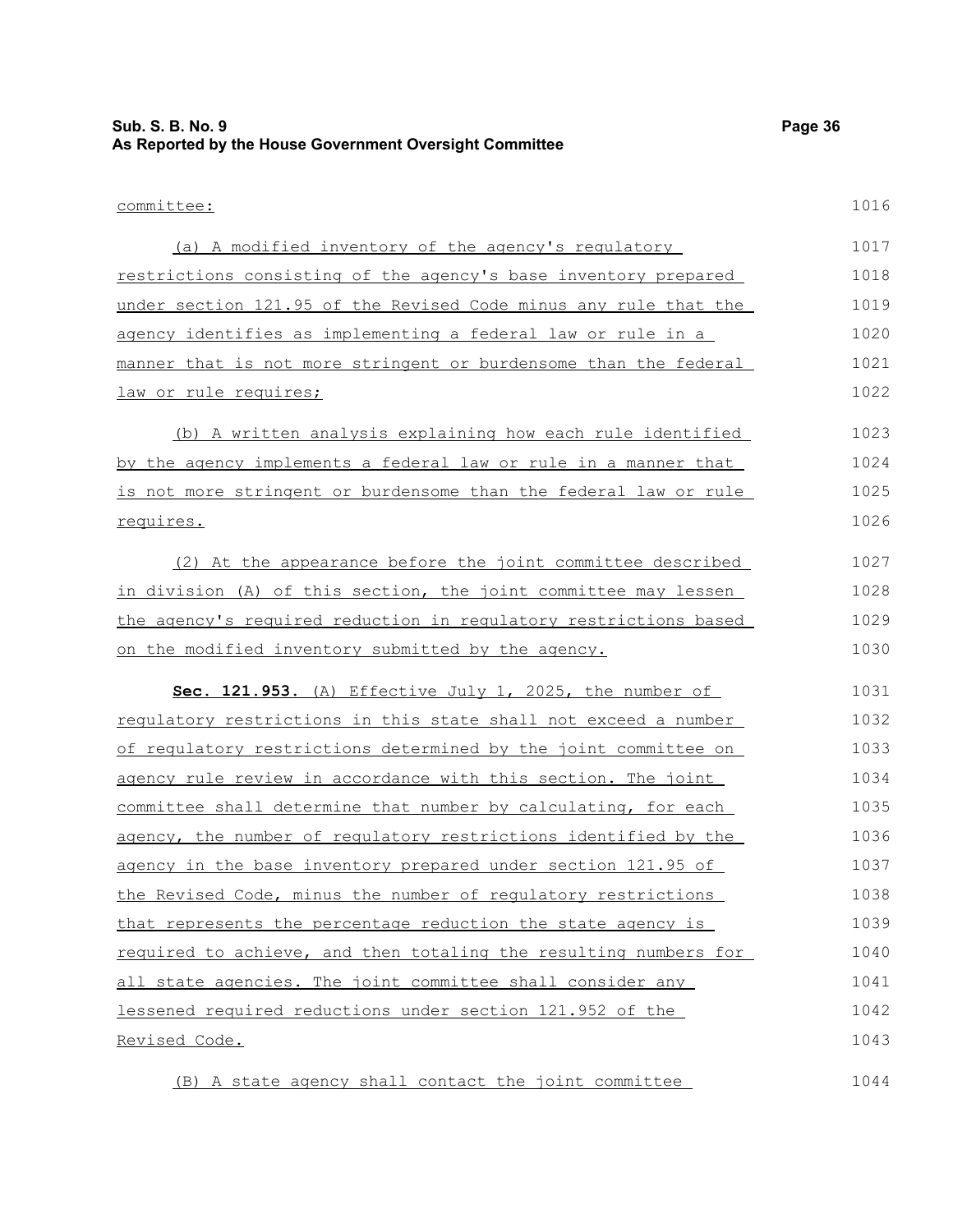| <b>Sub. S. B. No. 9</b><br>As Reported by the House Government Oversight Committee |      |  |  |  |  |  |
|------------------------------------------------------------------------------------|------|--|--|--|--|--|
| committee:                                                                         | 1016 |  |  |  |  |  |
|                                                                                    |      |  |  |  |  |  |
| (a) A modified inventory of the agency's regulatory                                | 1017 |  |  |  |  |  |
| restrictions consisting of the agency's base inventory prepared                    | 1018 |  |  |  |  |  |
| under section 121.95 of the Revised Code minus any rule that the                   | 1019 |  |  |  |  |  |
| agency identifies as implementing a federal law or rule in a                       | 1020 |  |  |  |  |  |
| manner that is not more stringent or burdensome than the federal                   | 1021 |  |  |  |  |  |
| law or rule requires;                                                              | 1022 |  |  |  |  |  |
| (b) A written analysis explaining how each rule identified                         | 1023 |  |  |  |  |  |
| by the agency implements a federal law or rule in a manner that                    | 1024 |  |  |  |  |  |
| is not more stringent or burdensome than the federal law or rule                   | 1025 |  |  |  |  |  |
| requires.                                                                          | 1026 |  |  |  |  |  |
| (2) At the appearance before the joint committee described                         | 1027 |  |  |  |  |  |
| in division (A) of this section, the joint committee may lessen                    | 1028 |  |  |  |  |  |
| the agency's required reduction in regulatory restrictions based                   | 1029 |  |  |  |  |  |
| on the modified inventory submitted by the agency.                                 | 1030 |  |  |  |  |  |
| Sec. 121.953. (A) Effective July 1, 2025, the number of                            | 1031 |  |  |  |  |  |
| requlatory restrictions in this state shall not exceed a number                    | 1032 |  |  |  |  |  |
| of requiatory restrictions determined by the joint committee on                    | 1033 |  |  |  |  |  |
| agency rule review in accordance with this section. The joint                      | 1034 |  |  |  |  |  |
| committee shall determine that number by calculating, for each                     | 1035 |  |  |  |  |  |
| agency, the number of regulatory restrictions identified by the                    | 1036 |  |  |  |  |  |
| agency in the base inventory prepared under section 121.95 of                      | 1037 |  |  |  |  |  |
| the Revised Code, minus the number of requlatory restrictions                      | 1038 |  |  |  |  |  |
| that represents the percentage reduction the state agency is                       | 1039 |  |  |  |  |  |
| required to achieve, and then totaling the resulting numbers for                   | 1040 |  |  |  |  |  |
| all state agencies. The joint committee shall consider any                         | 1041 |  |  |  |  |  |
| lessened required reductions under section 121.952 of the                          | 1042 |  |  |  |  |  |
| Revised Code.                                                                      | 1043 |  |  |  |  |  |
| (B) A state agency shall contact the joint committee                               | 1044 |  |  |  |  |  |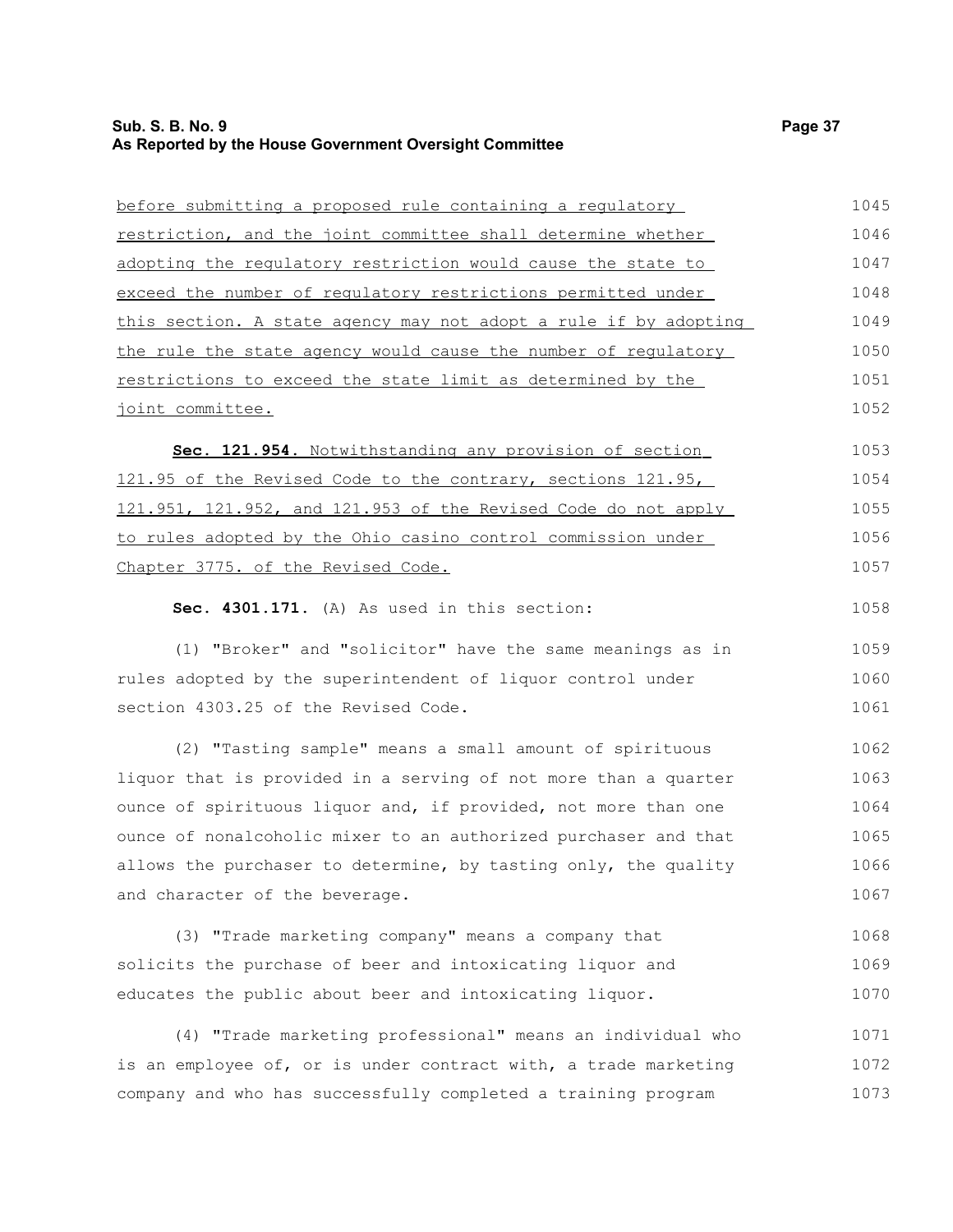## **Sub. S. B. No. 9** Page 37 **As Reported by the House Government Oversight Committee**

| before submitting a proposed rule containing a regulatory        | 1045 |
|------------------------------------------------------------------|------|
| restriction, and the joint committee shall determine whether     | 1046 |
| adopting the regulatory restriction would cause the state to     | 1047 |
| exceed the number of requlatory restrictions permitted under     | 1048 |
| this section. A state agency may not adopt a rule if by adopting | 1049 |
| the rule the state agency would cause the number of regulatory   | 1050 |
| restrictions to exceed the state limit as determined by the      | 1051 |
| joint committee.                                                 | 1052 |
| Sec. 121.954. Notwithstanding any provision of section           | 1053 |
| 121.95 of the Revised Code to the contrary, sections 121.95,     | 1054 |
| 121.951, 121.952, and 121.953 of the Revised Code do not apply   | 1055 |
| to rules adopted by the Ohio casino control commission under     | 1056 |
| Chapter 3775. of the Revised Code.                               | 1057 |
| Sec. 4301.171. (A) As used in this section:                      | 1058 |
| (1) "Broker" and "solicitor" have the same meanings as in        | 1059 |
| rules adopted by the superintendent of liquor control under      | 1060 |
| section 4303.25 of the Revised Code.                             | 1061 |
| (2) "Tasting sample" means a small amount of spirituous          | 1062 |
| liquor that is provided in a serving of not more than a quarter  | 1063 |
| ounce of spirituous liquor and, if provided, not more than one   | 1064 |
| ounce of nonalcoholic mixer to an authorized purchaser and that  | 1065 |
| allows the purchaser to determine, by tasting only, the quality  | 1066 |
| and character of the beverage.                                   | 1067 |
| (3) "Trade marketing company" means a company that               | 1068 |
| solicits the purchase of beer and intoxicating liquor and        | 1069 |

educates the public about beer and intoxicating liquor. (4) "Trade marketing professional" means an individual who 1070 1071

is an employee of, or is under contract with, a trade marketing company and who has successfully completed a training program 1072 1073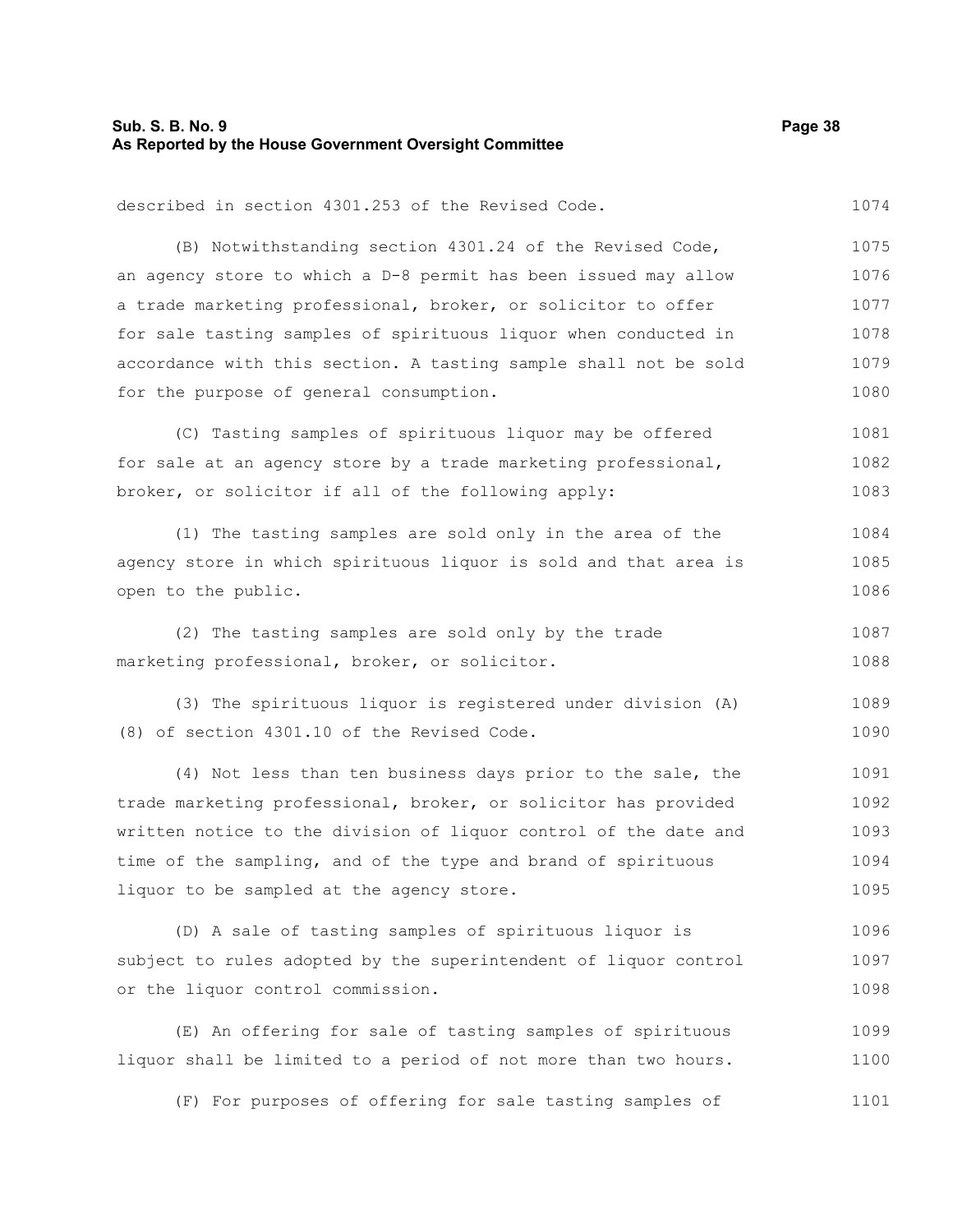#### **Sub. S. B. No. 9 Page 38 As Reported by the House Government Oversight Committee**

1074

described in section 4301.253 of the Revised Code.

(B) Notwithstanding section 4301.24 of the Revised Code, an agency store to which a D-8 permit has been issued may allow a trade marketing professional, broker, or solicitor to offer for sale tasting samples of spirituous liquor when conducted in accordance with this section. A tasting sample shall not be sold for the purpose of general consumption. 1075 1076 1077 1078 1079 1080

(C) Tasting samples of spirituous liquor may be offered for sale at an agency store by a trade marketing professional, broker, or solicitor if all of the following apply: 1081 1082 1083

(1) The tasting samples are sold only in the area of the agency store in which spirituous liquor is sold and that area is open to the public. 1084 1085 1086

(2) The tasting samples are sold only by the trade marketing professional, broker, or solicitor. 1087 1088

(3) The spirituous liquor is registered under division (A) (8) of section 4301.10 of the Revised Code. 1089 1090

(4) Not less than ten business days prior to the sale, the trade marketing professional, broker, or solicitor has provided written notice to the division of liquor control of the date and time of the sampling, and of the type and brand of spirituous liquor to be sampled at the agency store. 1091 1092 1093 1094 1095

(D) A sale of tasting samples of spirituous liquor is subject to rules adopted by the superintendent of liquor control or the liquor control commission. 1096 1097 1098

(E) An offering for sale of tasting samples of spirituous liquor shall be limited to a period of not more than two hours. 1099 1100

(F) For purposes of offering for sale tasting samples of 1101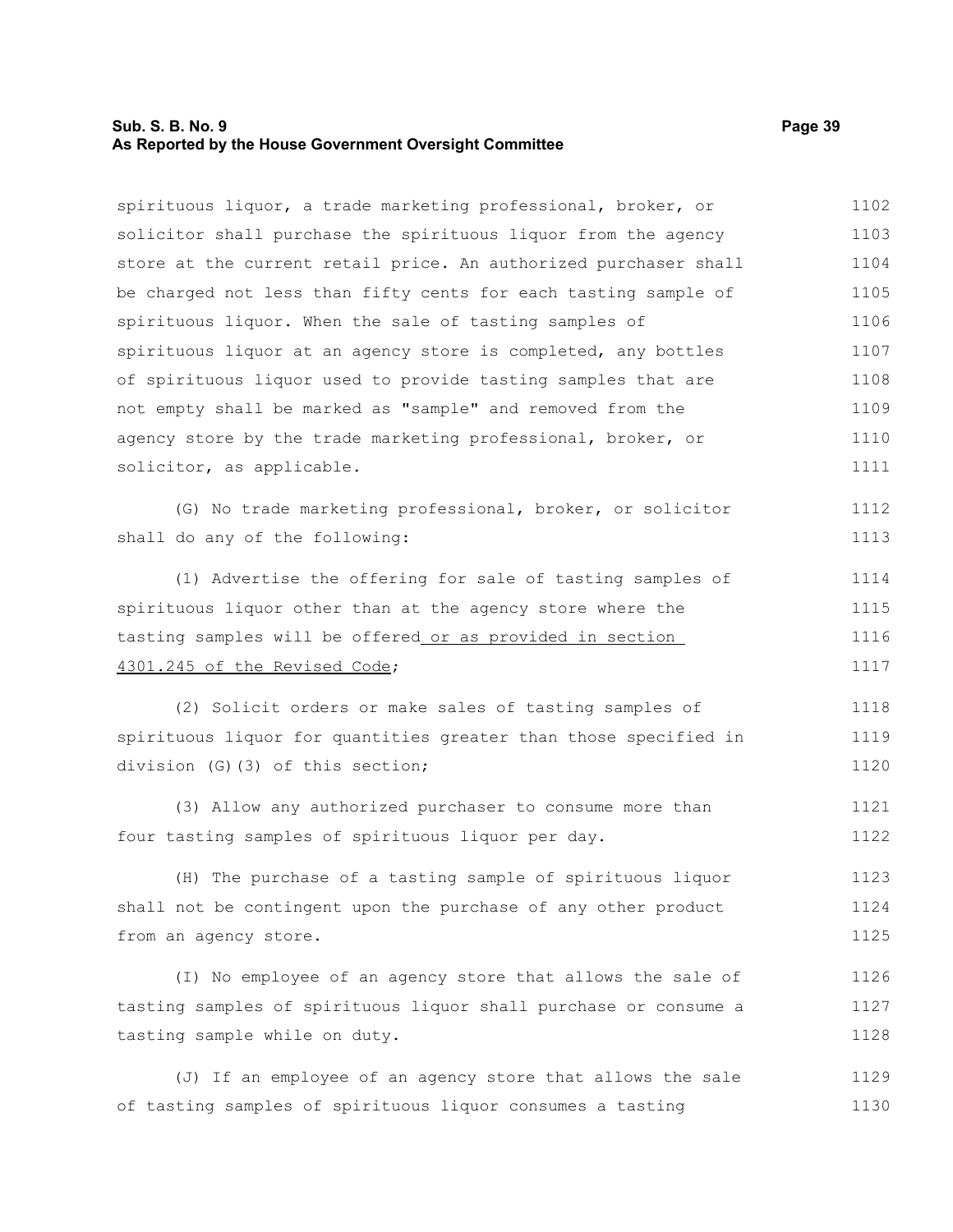#### **Sub. S. B. No. 9 Page 39 As Reported by the House Government Oversight Committee**

solicitor, as applicable.

spirituous liquor, a trade marketing professional, broker, or solicitor shall purchase the spirituous liquor from the agency store at the current retail price. An authorized purchaser shall be charged not less than fifty cents for each tasting sample of spirituous liquor. When the sale of tasting samples of spirituous liquor at an agency store is completed, any bottles of spirituous liquor used to provide tasting samples that are not empty shall be marked as "sample" and removed from the agency store by the trade marketing professional, broker, or 1102 1103 1104 1105 1106 1107 1108 1109 1110

(G) No trade marketing professional, broker, or solicitor shall do any of the following: 1112 1113

(1) Advertise the offering for sale of tasting samples of spirituous liquor other than at the agency store where the tasting samples will be offered or as provided in section 4301.245 of the Revised Code; 1114 1115 1116 1117

(2) Solicit orders or make sales of tasting samples of spirituous liquor for quantities greater than those specified in division (G)(3) of this section; 1118 1119 1120

(3) Allow any authorized purchaser to consume more than four tasting samples of spirituous liquor per day. 1121 1122

(H) The purchase of a tasting sample of spirituous liquor shall not be contingent upon the purchase of any other product from an agency store. 1123 1124 1125

(I) No employee of an agency store that allows the sale of tasting samples of spirituous liquor shall purchase or consume a tasting sample while on duty. 1126 1127 1128

(J) If an employee of an agency store that allows the sale of tasting samples of spirituous liquor consumes a tasting 1129 1130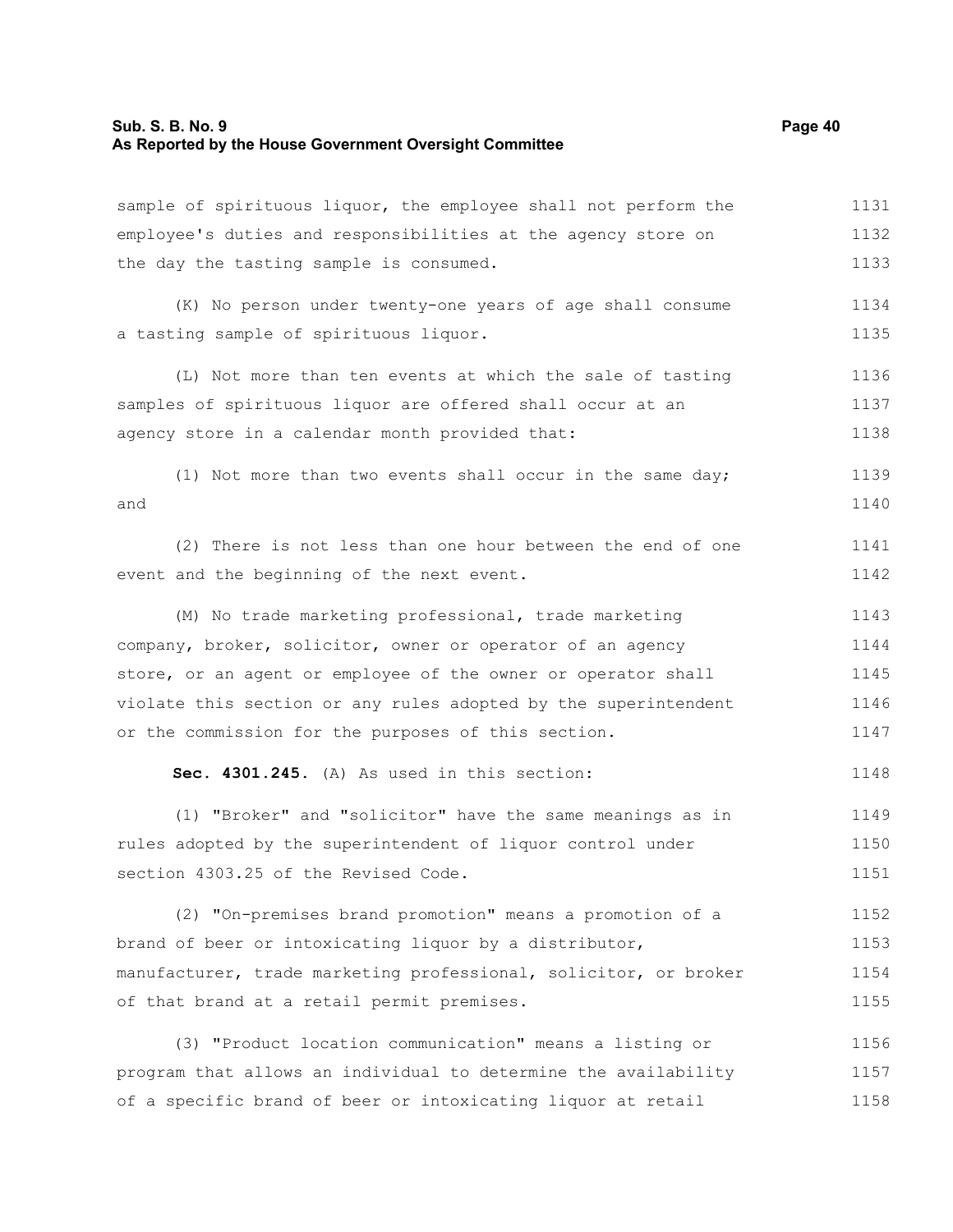# **Sub. S. B. No. 9 Page 40 As Reported by the House Government Oversight Committee**

| sample of spirituous liquor, the employee shall not perform the  | 1131 |
|------------------------------------------------------------------|------|
| employee's duties and responsibilities at the agency store on    | 1132 |
| the day the tasting sample is consumed.                          | 1133 |
| (K) No person under twenty-one years of age shall consume        | 1134 |
| a tasting sample of spirituous liquor.                           | 1135 |
| (L) Not more than ten events at which the sale of tasting        | 1136 |
| samples of spirituous liquor are offered shall occur at an       | 1137 |
| agency store in a calendar month provided that:                  | 1138 |
| (1) Not more than two events shall occur in the same day;        | 1139 |
| and                                                              | 1140 |
| (2) There is not less than one hour between the end of one       | 1141 |
| event and the beginning of the next event.                       | 1142 |
| (M) No trade marketing professional, trade marketing             | 1143 |
| company, broker, solicitor, owner or operator of an agency       | 1144 |
| store, or an agent or employee of the owner or operator shall    | 1145 |
| violate this section or any rules adopted by the superintendent  | 1146 |
| or the commission for the purposes of this section.              | 1147 |
| Sec. 4301.245. (A) As used in this section:                      | 1148 |
| (1) "Broker" and "solicitor" have the same meanings as in        | 1149 |
| rules adopted by the superintendent of liquor control under      | 1150 |
| section 4303.25 of the Revised Code.                             | 1151 |
| (2) "On-premises brand promotion" means a promotion of a         | 1152 |
| brand of beer or intoxicating liquor by a distributor,           | 1153 |
| manufacturer, trade marketing professional, solicitor, or broker | 1154 |
| of that brand at a retail permit premises.                       | 1155 |
| (3) "Product location communication" means a listing or          | 1156 |
| program that allows an individual to determine the availability  | 1157 |
| of a specific brand of beer or intoxicating liquor at retail     | 1158 |
|                                                                  |      |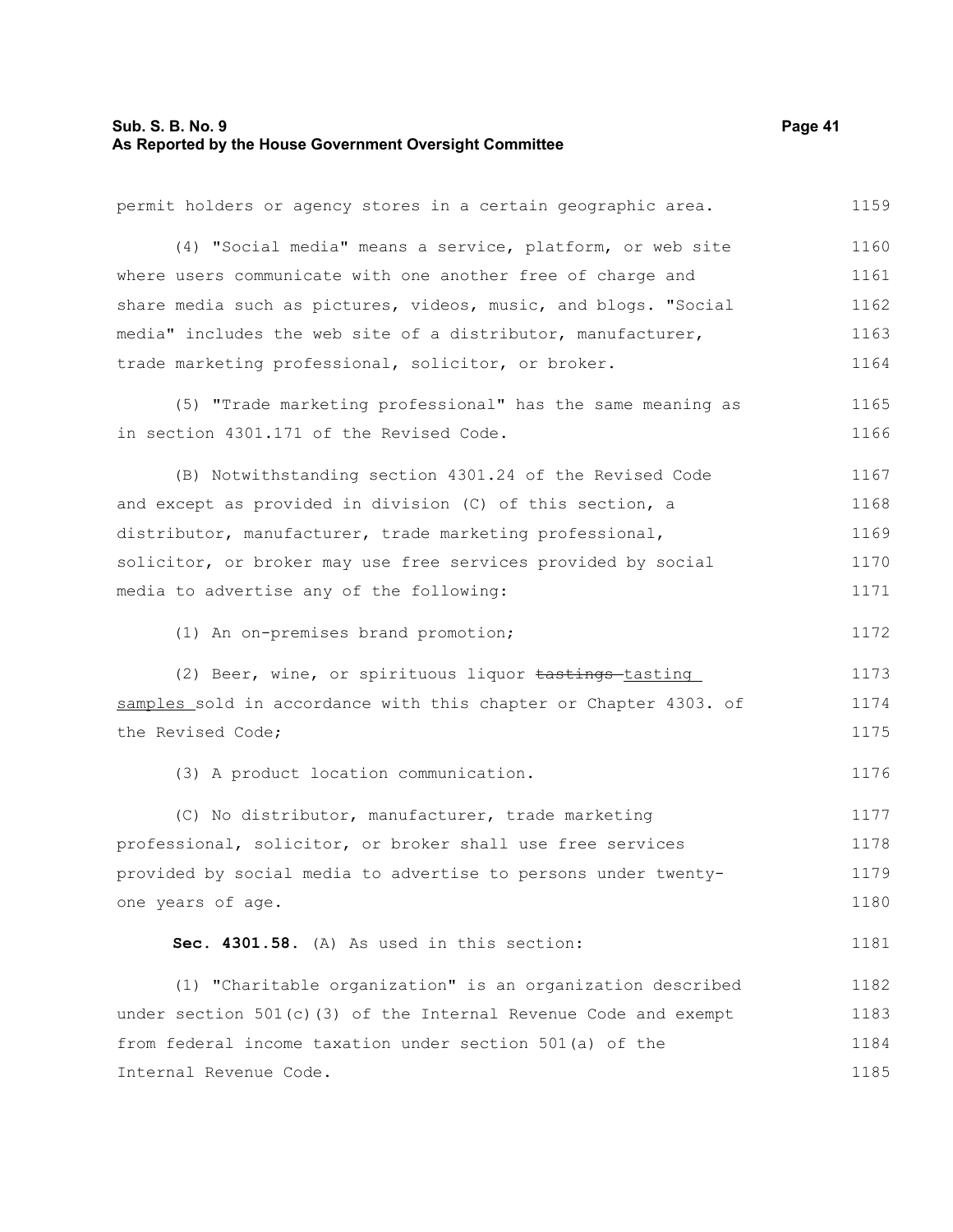# **Sub. S. B. No. 9** Page 41 **As Reported by the House Government Oversight Committee**

| permit holders or agency stores in a certain geographic area.      | 1159 |
|--------------------------------------------------------------------|------|
| (4) "Social media" means a service, platform, or web site          | 1160 |
| where users communicate with one another free of charge and        | 1161 |
| share media such as pictures, videos, music, and blogs. "Social    | 1162 |
| media" includes the web site of a distributor, manufacturer,       | 1163 |
| trade marketing professional, solicitor, or broker.                | 1164 |
| (5) "Trade marketing professional" has the same meaning as         | 1165 |
| in section 4301.171 of the Revised Code.                           | 1166 |
| (B) Notwithstanding section 4301.24 of the Revised Code            | 1167 |
| and except as provided in division (C) of this section, a          | 1168 |
| distributor, manufacturer, trade marketing professional,           | 1169 |
| solicitor, or broker may use free services provided by social      | 1170 |
| media to advertise any of the following:                           | 1171 |
| (1) An on-premises brand promotion;                                | 1172 |
| (2) Beer, wine, or spirituous liquor tastings-tasting              | 1173 |
| samples sold in accordance with this chapter or Chapter 4303. of   | 1174 |
| the Revised Code;                                                  | 1175 |
| (3) A product location communication.                              | 1176 |
| (C) No distributor, manufacturer, trade marketing                  | 1177 |
| professional, solicitor, or broker shall use free services         | 1178 |
| provided by social media to advertise to persons under twenty-     | 1179 |
| one years of age.                                                  | 1180 |
| Sec. 4301.58. (A) As used in this section:                         | 1181 |
| (1) "Charitable organization" is an organization described         | 1182 |
| under section $501(c)$ (3) of the Internal Revenue Code and exempt | 1183 |
| from federal income taxation under section 501(a) of the           | 1184 |
| Internal Revenue Code.                                             | 1185 |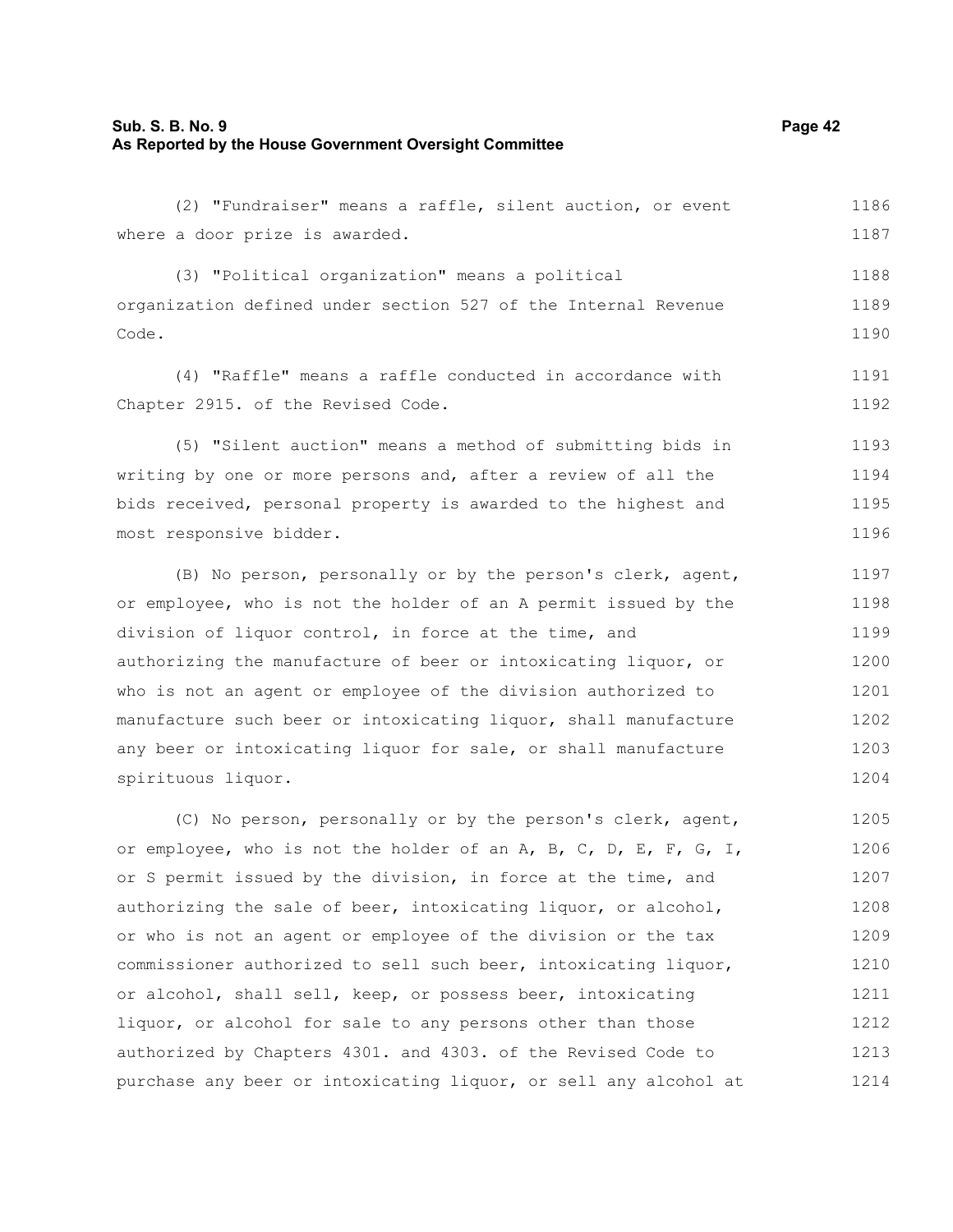#### **Sub. S. B. No. 9 Page 42 As Reported by the House Government Oversight Committee**

(2) "Fundraiser" means a raffle, silent auction, or event where a door prize is awarded. 1186 1187

(3) "Political organization" means a political organization defined under section 527 of the Internal Revenue Code. 1189 1190

(4) "Raffle" means a raffle conducted in accordance with Chapter 2915. of the Revised Code. 1191 1192

(5) "Silent auction" means a method of submitting bids in writing by one or more persons and, after a review of all the bids received, personal property is awarded to the highest and most responsive bidder. 1193 1194 1195 1196

(B) No person, personally or by the person's clerk, agent, or employee, who is not the holder of an A permit issued by the division of liquor control, in force at the time, and authorizing the manufacture of beer or intoxicating liquor, or who is not an agent or employee of the division authorized to manufacture such beer or intoxicating liquor, shall manufacture any beer or intoxicating liquor for sale, or shall manufacture spirituous liquor. 1197 1198 1199 1200 1201 1202 1203 1204

(C) No person, personally or by the person's clerk, agent, or employee, who is not the holder of an  $A$ ,  $B$ ,  $C$ ,  $D$ ,  $E$ ,  $F$ ,  $G$ ,  $I$ , or S permit issued by the division, in force at the time, and authorizing the sale of beer, intoxicating liquor, or alcohol, or who is not an agent or employee of the division or the tax commissioner authorized to sell such beer, intoxicating liquor, or alcohol, shall sell, keep, or possess beer, intoxicating liquor, or alcohol for sale to any persons other than those authorized by Chapters 4301. and 4303. of the Revised Code to purchase any beer or intoxicating liquor, or sell any alcohol at 1205 1206 1207 1208 1209 1210 1211 1212 1213 1214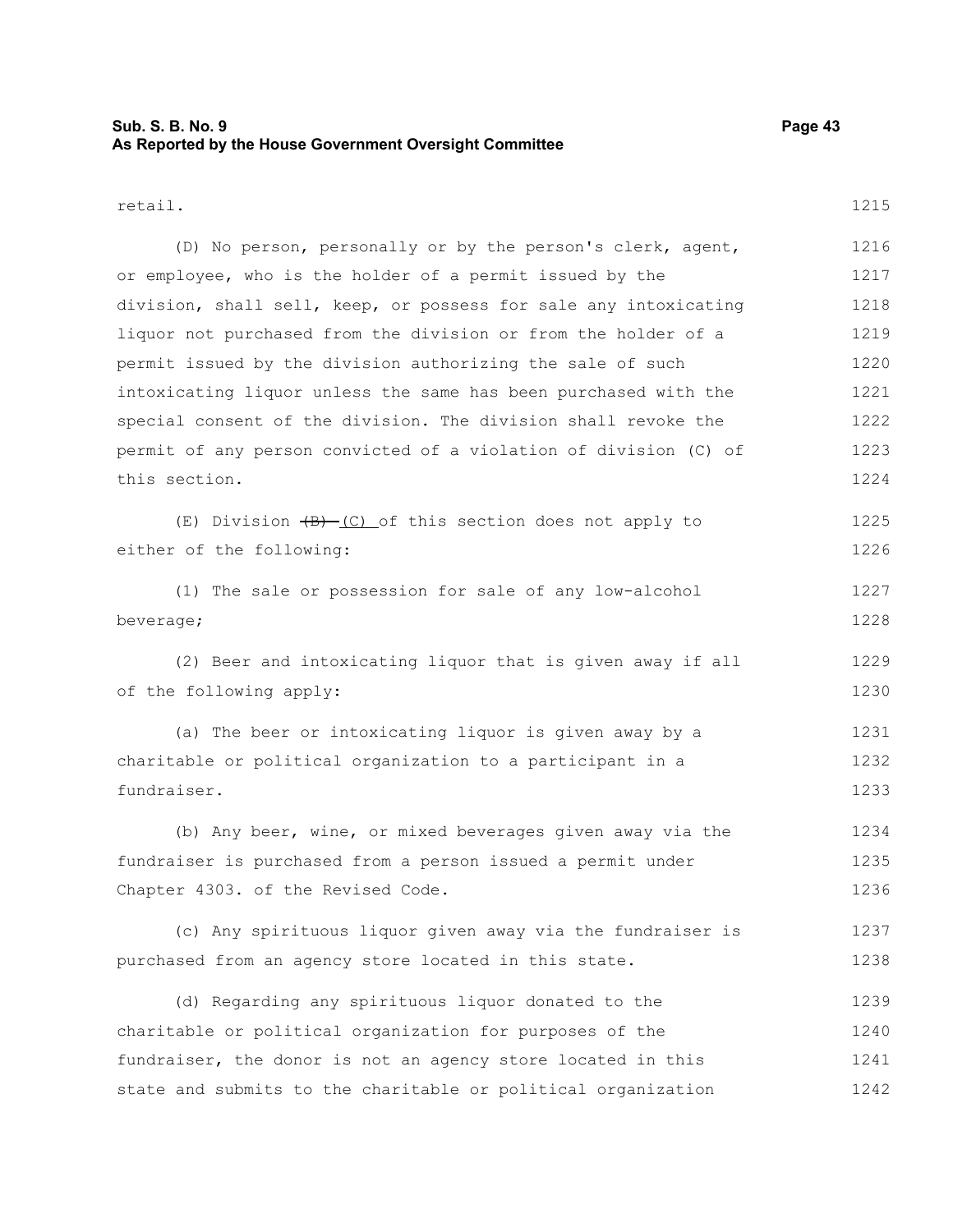#### **Sub. S. B. No. 9 Page 43 As Reported by the House Government Oversight Committee**

#### retail.

(D) No person, personally or by the person's clerk, agent, or employee, who is the holder of a permit issued by the division, shall sell, keep, or possess for sale any intoxicating liquor not purchased from the division or from the holder of a permit issued by the division authorizing the sale of such intoxicating liquor unless the same has been purchased with the special consent of the division. The division shall revoke the permit of any person convicted of a violation of division (C) of this section. 1216 1217 1218 1219 1220 1221 1222 1223 1224

|                          |  |  | (E) Division $\overline{(B)}$ (C) of this section does not apply to |  |  | 1225 |
|--------------------------|--|--|---------------------------------------------------------------------|--|--|------|
| either of the following: |  |  |                                                                     |  |  | 1226 |

(1) The sale or possession for sale of any low-alcohol beverage; 1227 1228

(2) Beer and intoxicating liquor that is given away if all of the following apply: 1229 1230

(a) The beer or intoxicating liquor is given away by a charitable or political organization to a participant in a fundraiser. 1231 1232 1233

(b) Any beer, wine, or mixed beverages given away via the fundraiser is purchased from a person issued a permit under Chapter 4303. of the Revised Code. 1234 1235 1236

(c) Any spirituous liquor given away via the fundraiser is purchased from an agency store located in this state. 1237 1238

(d) Regarding any spirituous liquor donated to the charitable or political organization for purposes of the fundraiser, the donor is not an agency store located in this state and submits to the charitable or political organization 1239 1240 1241 1242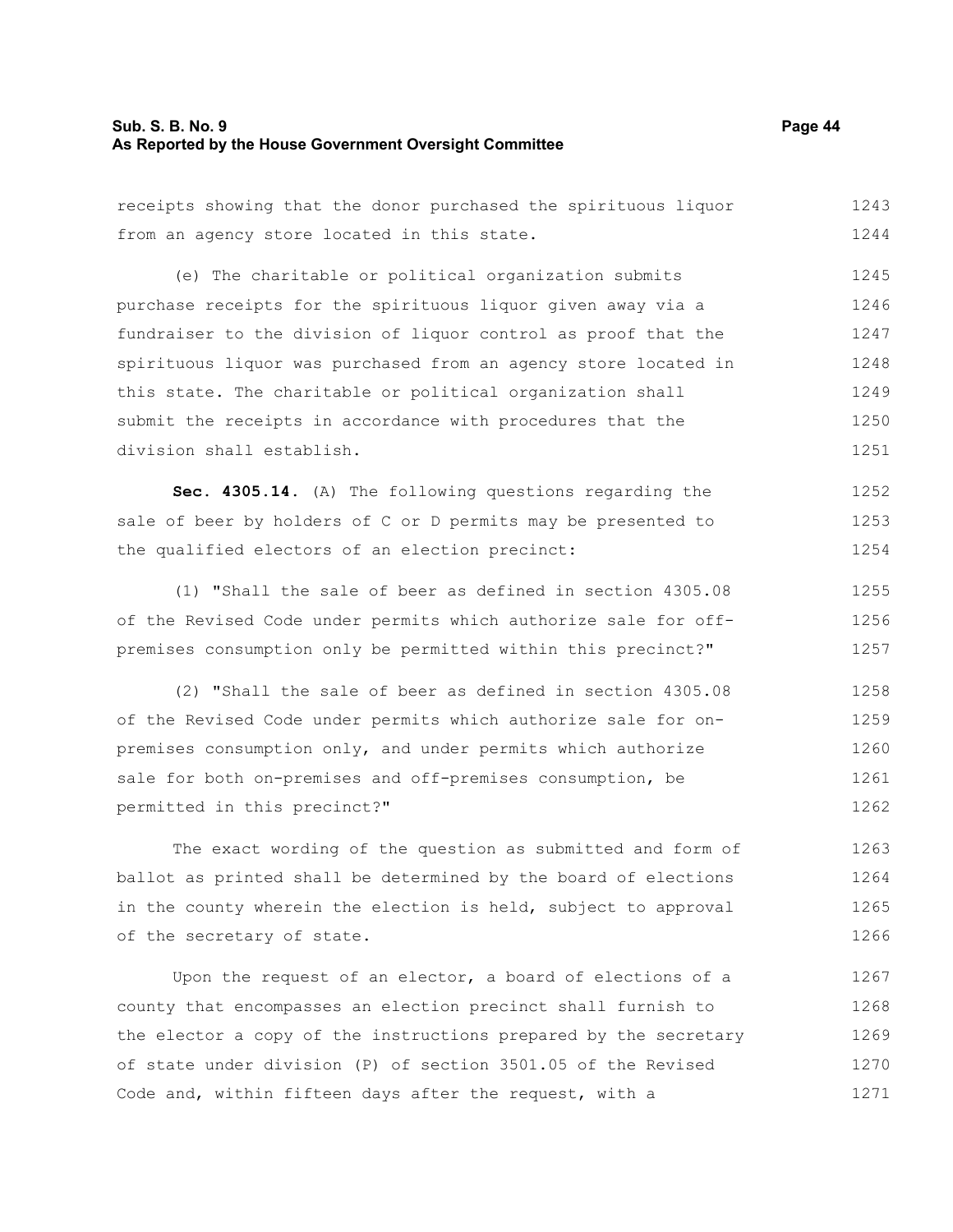# **Sub. S. B. No. 9** Page 44 **As Reported by the House Government Oversight Committee**

| receipts showing that the donor purchased the spirituous liquor  | 1243 |
|------------------------------------------------------------------|------|
| from an agency store located in this state.                      | 1244 |
| (e) The charitable or political organization submits             | 1245 |
| purchase receipts for the spirituous liquor given away via a     | 1246 |
| fundraiser to the division of liquor control as proof that the   | 1247 |
| spirituous liquor was purchased from an agency store located in  | 1248 |
| this state. The charitable or political organization shall       | 1249 |
| submit the receipts in accordance with procedures that the       | 1250 |
| division shall establish.                                        | 1251 |
| Sec. 4305.14. (A) The following questions regarding the          | 1252 |
| sale of beer by holders of C or D permits may be presented to    | 1253 |
| the qualified electors of an election precinct:                  | 1254 |
| (1) "Shall the sale of beer as defined in section 4305.08        | 1255 |
| of the Revised Code under permits which authorize sale for off-  | 1256 |
| premises consumption only be permitted within this precinct?"    | 1257 |
| (2) "Shall the sale of beer as defined in section 4305.08        | 1258 |
| of the Revised Code under permits which authorize sale for on-   | 1259 |
| premises consumption only, and under permits which authorize     | 1260 |
| sale for both on-premises and off-premises consumption, be       | 1261 |
| permitted in this precinct?"                                     | 1262 |
| The exact wording of the question as submitted and form of       | 1263 |
| ballot as printed shall be determined by the board of elections  | 1264 |
| in the county wherein the election is held, subject to approval  | 1265 |
| of the secretary of state.                                       | 1266 |
| Upon the request of an elector, a board of elections of a        | 1267 |
| county that encompasses an election precinct shall furnish to    | 1268 |
| the elector a copy of the instructions prepared by the secretary | 1269 |
| of state under division (P) of section 3501.05 of the Revised    | 1270 |
| Code and, within fifteen days after the request, with a          | 1271 |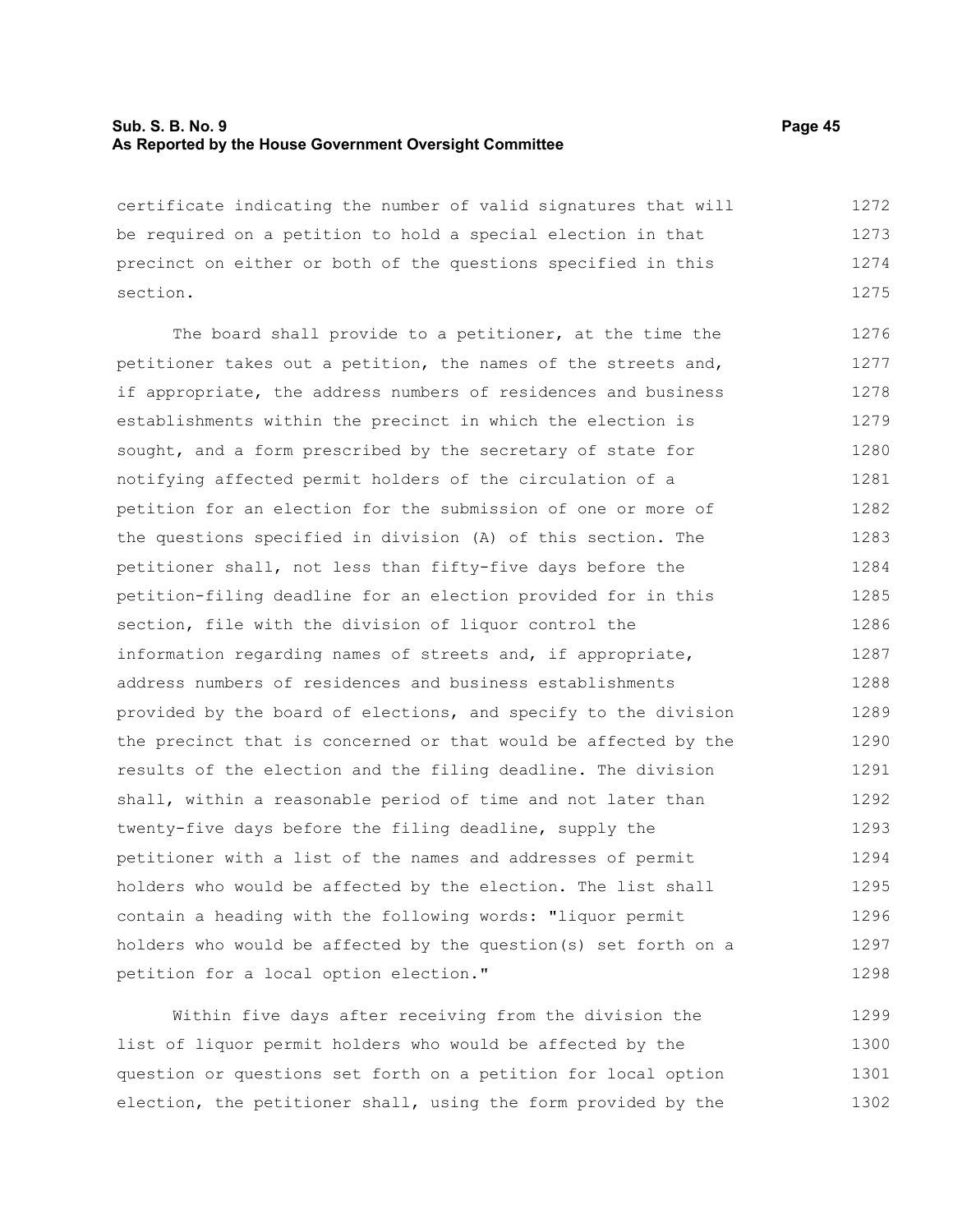#### **Sub. S. B. No. 9 Page 45 As Reported by the House Government Oversight Committee**

certificate indicating the number of valid signatures that will be required on a petition to hold a special election in that precinct on either or both of the questions specified in this section. 1272 1273 1274 1275

The board shall provide to a petitioner, at the time the petitioner takes out a petition, the names of the streets and, if appropriate, the address numbers of residences and business establishments within the precinct in which the election is sought, and a form prescribed by the secretary of state for notifying affected permit holders of the circulation of a petition for an election for the submission of one or more of the questions specified in division (A) of this section. The petitioner shall, not less than fifty-five days before the petition-filing deadline for an election provided for in this section, file with the division of liquor control the information regarding names of streets and, if appropriate, address numbers of residences and business establishments provided by the board of elections, and specify to the division the precinct that is concerned or that would be affected by the results of the election and the filing deadline. The division shall, within a reasonable period of time and not later than twenty-five days before the filing deadline, supply the petitioner with a list of the names and addresses of permit holders who would be affected by the election. The list shall contain a heading with the following words: "liquor permit holders who would be affected by the question(s) set forth on a petition for a local option election." 1276 1277 1278 1279 1280 1281 1282 1283 1284 1285 1286 1287 1288 1289 1290 1291 1292 1293 1294 1295 1296 1297 1298

Within five days after receiving from the division the list of liquor permit holders who would be affected by the question or questions set forth on a petition for local option election, the petitioner shall, using the form provided by the 1299 1300 1301 1302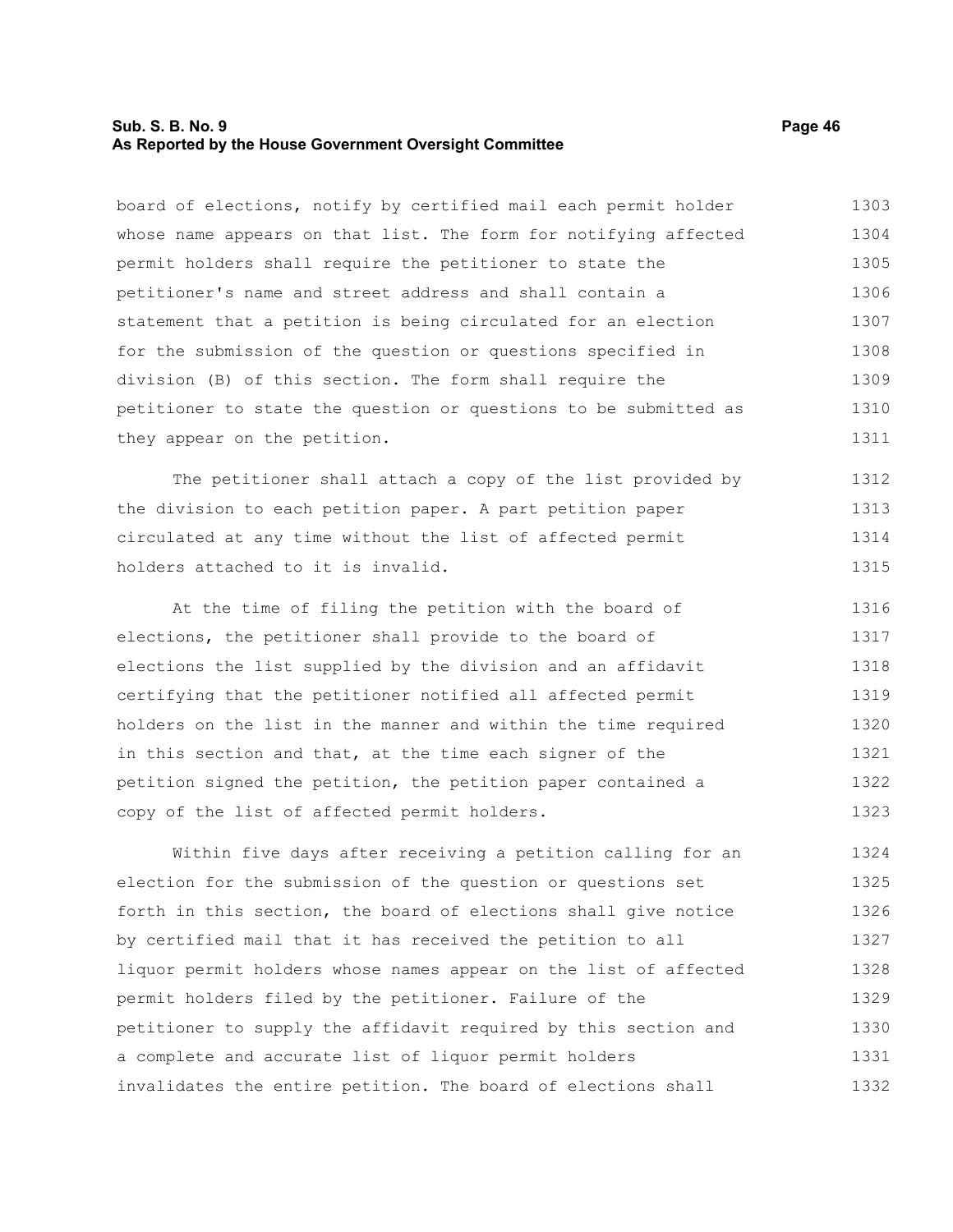#### **Sub. S. B. No. 9 Page 46 As Reported by the House Government Oversight Committee**

board of elections, notify by certified mail each permit holder whose name appears on that list. The form for notifying affected permit holders shall require the petitioner to state the petitioner's name and street address and shall contain a statement that a petition is being circulated for an election for the submission of the question or questions specified in division (B) of this section. The form shall require the petitioner to state the question or questions to be submitted as they appear on the petition. 1303 1304 1305 1306 1307 1308 1309 1310 1311

The petitioner shall attach a copy of the list provided by the division to each petition paper. A part petition paper circulated at any time without the list of affected permit holders attached to it is invalid. 1312 1313 1314 1315

At the time of filing the petition with the board of elections, the petitioner shall provide to the board of elections the list supplied by the division and an affidavit certifying that the petitioner notified all affected permit holders on the list in the manner and within the time required in this section and that, at the time each signer of the petition signed the petition, the petition paper contained a copy of the list of affected permit holders. 1316 1317 1318 1319 1320 1321 1322 1323

Within five days after receiving a petition calling for an election for the submission of the question or questions set forth in this section, the board of elections shall give notice by certified mail that it has received the petition to all liquor permit holders whose names appear on the list of affected permit holders filed by the petitioner. Failure of the petitioner to supply the affidavit required by this section and a complete and accurate list of liquor permit holders invalidates the entire petition. The board of elections shall 1324 1325 1326 1327 1328 1329 1330 1331 1332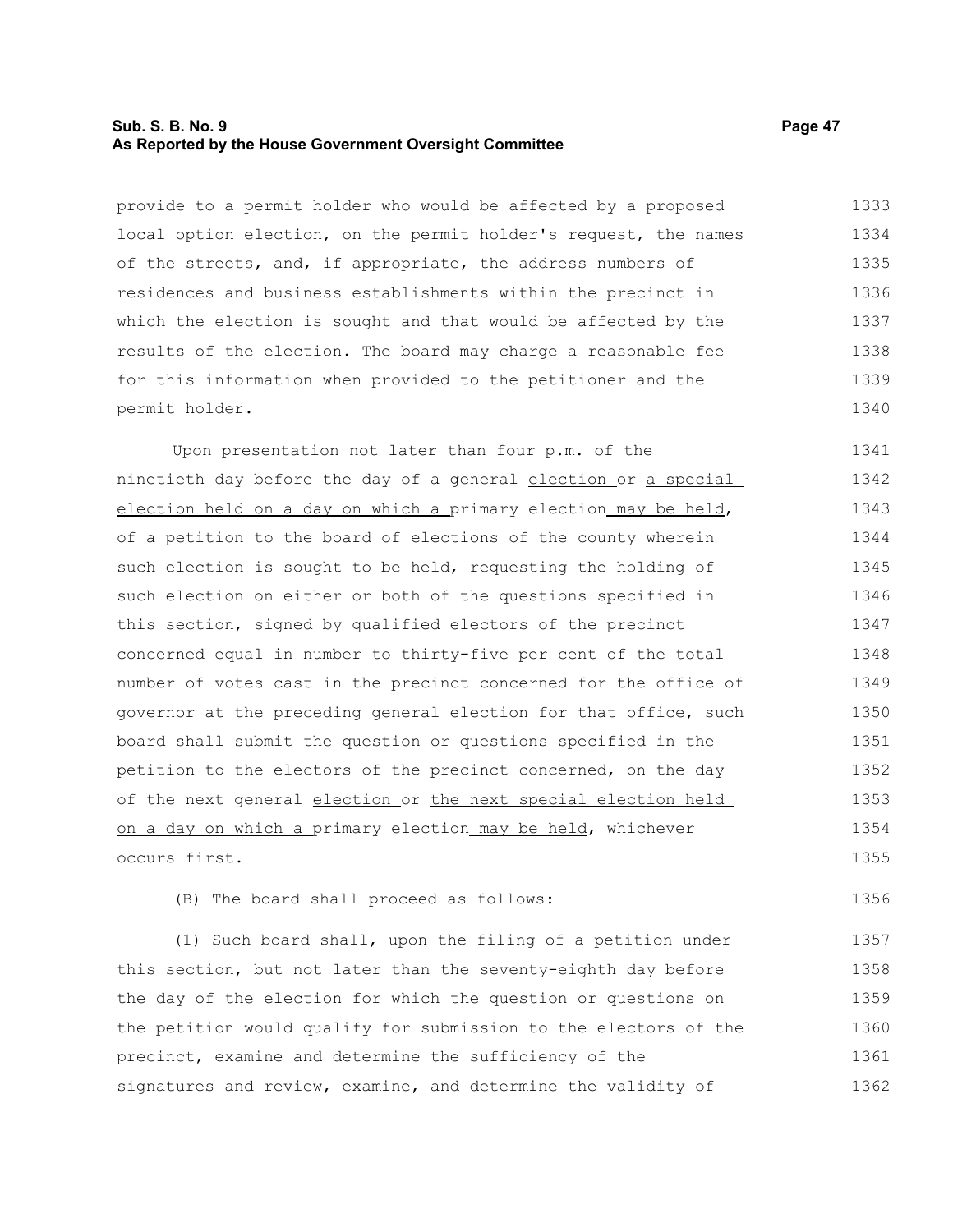#### **Sub. S. B. No. 9 Page 47 As Reported by the House Government Oversight Committee**

provide to a permit holder who would be affected by a proposed local option election, on the permit holder's request, the names of the streets, and, if appropriate, the address numbers of residences and business establishments within the precinct in which the election is sought and that would be affected by the results of the election. The board may charge a reasonable fee for this information when provided to the petitioner and the permit holder. 1333 1334 1335 1336 1337 1338 1339 1340

Upon presentation not later than four p.m. of the ninetieth day before the day of a general election or a special election held on a day on which a primary election may be held, of a petition to the board of elections of the county wherein such election is sought to be held, requesting the holding of such election on either or both of the questions specified in this section, signed by qualified electors of the precinct concerned equal in number to thirty-five per cent of the total number of votes cast in the precinct concerned for the office of governor at the preceding general election for that office, such board shall submit the question or questions specified in the petition to the electors of the precinct concerned, on the day of the next general election or the next special election held on a day on which a primary election may be held, whichever occurs first. 1341 1342 1343 1344 1345 1346 1347 1348 1349 1350 1351 1352 1353 1354 1355

#### (B) The board shall proceed as follows: 1356

(1) Such board shall, upon the filing of a petition under this section, but not later than the seventy-eighth day before the day of the election for which the question or questions on the petition would qualify for submission to the electors of the precinct, examine and determine the sufficiency of the signatures and review, examine, and determine the validity of 1357 1358 1359 1360 1361 1362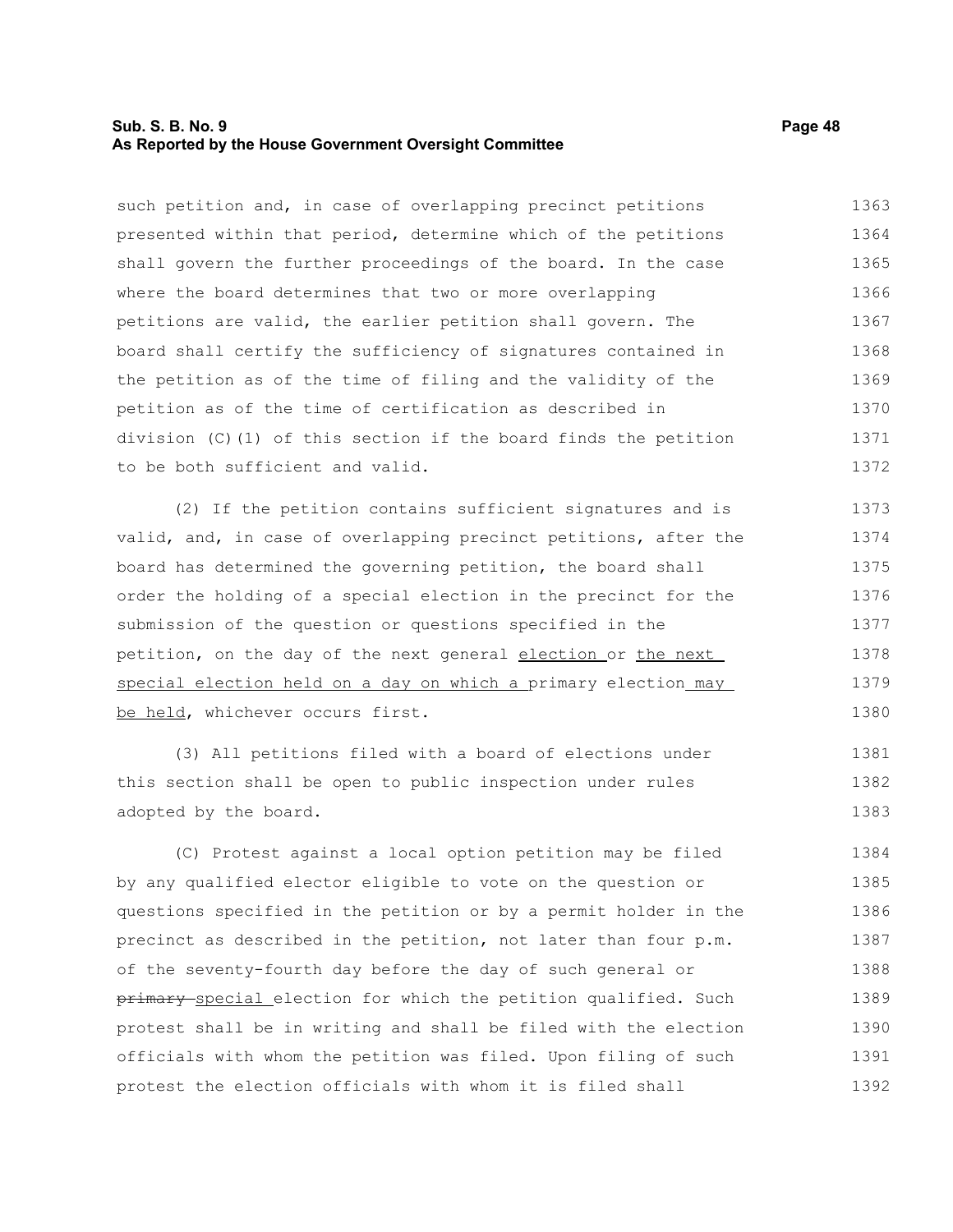#### **Sub. S. B. No. 9 Page 48 As Reported by the House Government Oversight Committee**

such petition and, in case of overlapping precinct petitions presented within that period, determine which of the petitions shall govern the further proceedings of the board. In the case where the board determines that two or more overlapping petitions are valid, the earlier petition shall govern. The board shall certify the sufficiency of signatures contained in the petition as of the time of filing and the validity of the petition as of the time of certification as described in division (C)(1) of this section if the board finds the petition to be both sufficient and valid. 1363 1364 1365 1366 1367 1368 1369 1370 1371 1372

(2) If the petition contains sufficient signatures and is valid, and, in case of overlapping precinct petitions, after the board has determined the governing petition, the board shall order the holding of a special election in the precinct for the submission of the question or questions specified in the petition, on the day of the next general election or the next special election held on a day on which a primary election may be held, whichever occurs first. 1373 1374 1375 1376 1377 1378 1379 1380

(3) All petitions filed with a board of elections under this section shall be open to public inspection under rules adopted by the board. 1381 1382 1383

(C) Protest against a local option petition may be filed by any qualified elector eligible to vote on the question or questions specified in the petition or by a permit holder in the precinct as described in the petition, not later than four p.m. of the seventy-fourth day before the day of such general or primary special election for which the petition qualified. Such protest shall be in writing and shall be filed with the election officials with whom the petition was filed. Upon filing of such protest the election officials with whom it is filed shall 1384 1385 1386 1387 1388 1389 1390 1391 1392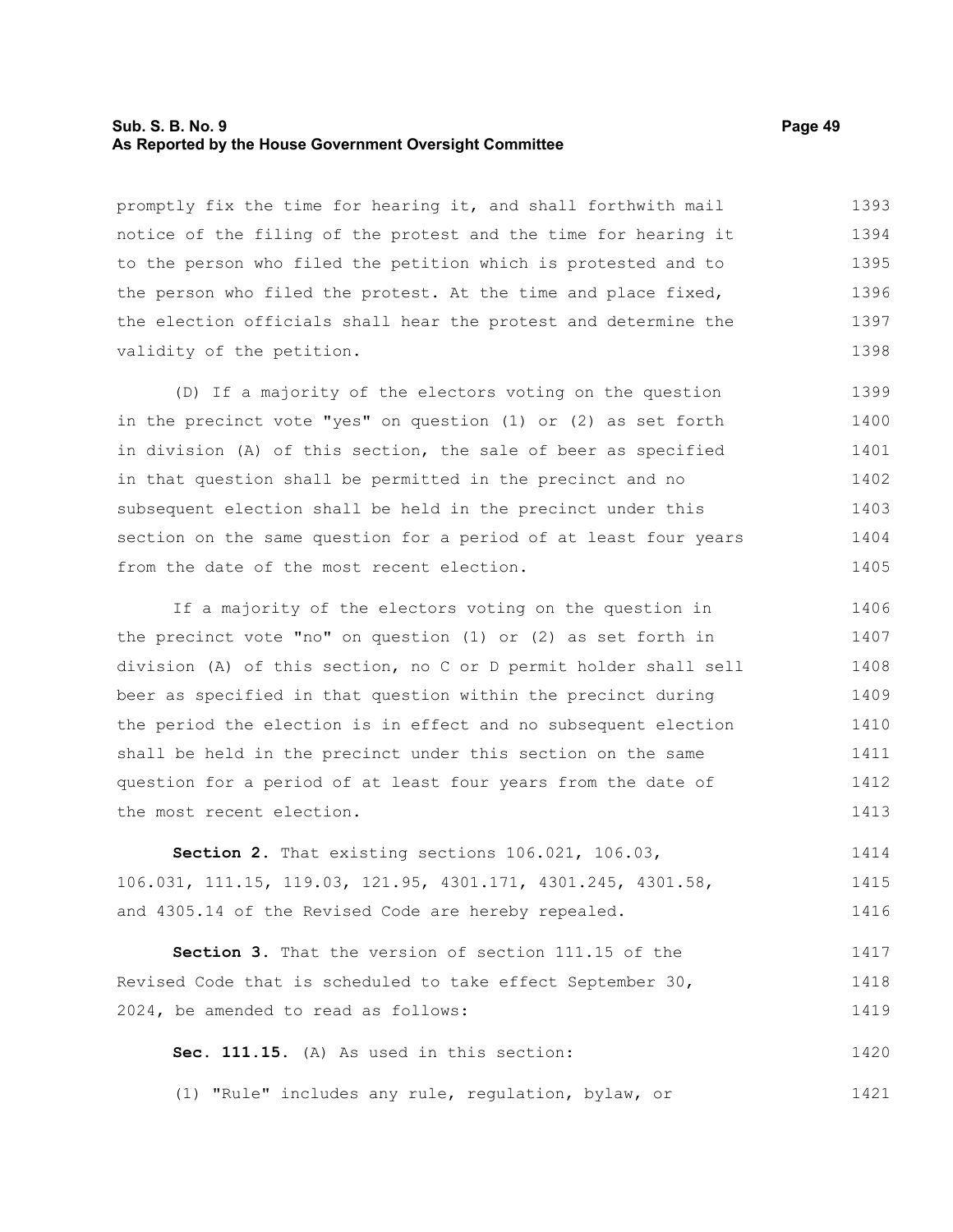#### **Sub. S. B. No. 9 Page 49 As Reported by the House Government Oversight Committee**

promptly fix the time for hearing it, and shall forthwith mail notice of the filing of the protest and the time for hearing it to the person who filed the petition which is protested and to the person who filed the protest. At the time and place fixed, the election officials shall hear the protest and determine the validity of the petition. 1393 1394 1395 1396 1397 1398

(D) If a majority of the electors voting on the question in the precinct vote "yes" on question (1) or (2) as set forth in division (A) of this section, the sale of beer as specified in that question shall be permitted in the precinct and no subsequent election shall be held in the precinct under this section on the same question for a period of at least four years from the date of the most recent election. 1399 1400 1401 1402 1403 1404 1405

If a majority of the electors voting on the question in the precinct vote "no" on question (1) or (2) as set forth in division (A) of this section, no C or D permit holder shall sell beer as specified in that question within the precinct during the period the election is in effect and no subsequent election shall be held in the precinct under this section on the same question for a period of at least four years from the date of the most recent election. 1406 1407 1408 1409 1410 1411 1412 1413

**Section 2.** That existing sections 106.021, 106.03, 106.031, 111.15, 119.03, 121.95, 4301.171, 4301.245, 4301.58, and 4305.14 of the Revised Code are hereby repealed. 1414 1415 1416

**Section 3.** That the version of section 111.15 of the Revised Code that is scheduled to take effect September 30, 2024, be amended to read as follows: 1417 1418 1419

**Sec. 111.15.** (A) As used in this section: 1420

(1) "Rule" includes any rule, regulation, bylaw, or 1421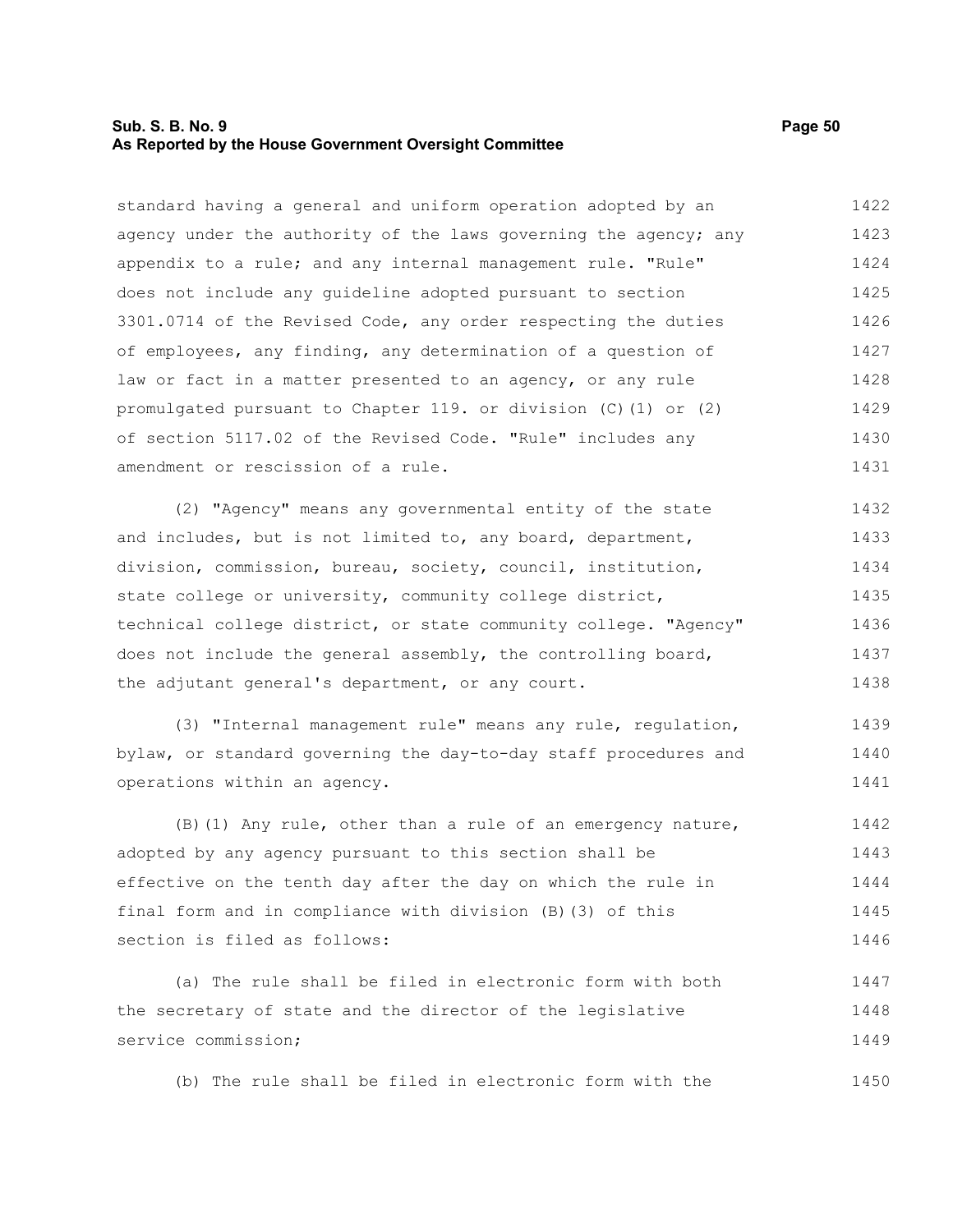#### **Sub. S. B. No. 9 Page 50 As Reported by the House Government Oversight Committee**

standard having a general and uniform operation adopted by an agency under the authority of the laws governing the agency; any appendix to a rule; and any internal management rule. "Rule" does not include any guideline adopted pursuant to section 3301.0714 of the Revised Code, any order respecting the duties of employees, any finding, any determination of a question of law or fact in a matter presented to an agency, or any rule promulgated pursuant to Chapter 119. or division (C)(1) or (2) of section 5117.02 of the Revised Code. "Rule" includes any amendment or rescission of a rule. 1422 1423 1424 1425 1426 1427 1428 1429 1430 1431

(2) "Agency" means any governmental entity of the state and includes, but is not limited to, any board, department, division, commission, bureau, society, council, institution, state college or university, community college district, technical college district, or state community college. "Agency" does not include the general assembly, the controlling board, the adjutant general's department, or any court. 1432 1433 1434 1435 1436 1437 1438

(3) "Internal management rule" means any rule, regulation, bylaw, or standard governing the day-to-day staff procedures and operations within an agency. 1439 1440 1441

(B)(1) Any rule, other than a rule of an emergency nature, adopted by any agency pursuant to this section shall be effective on the tenth day after the day on which the rule in final form and in compliance with division (B)(3) of this section is filed as follows: 1442 1443 1444 1445 1446

(a) The rule shall be filed in electronic form with both the secretary of state and the director of the legislative service commission; 1447 1448 1449

(b) The rule shall be filed in electronic form with the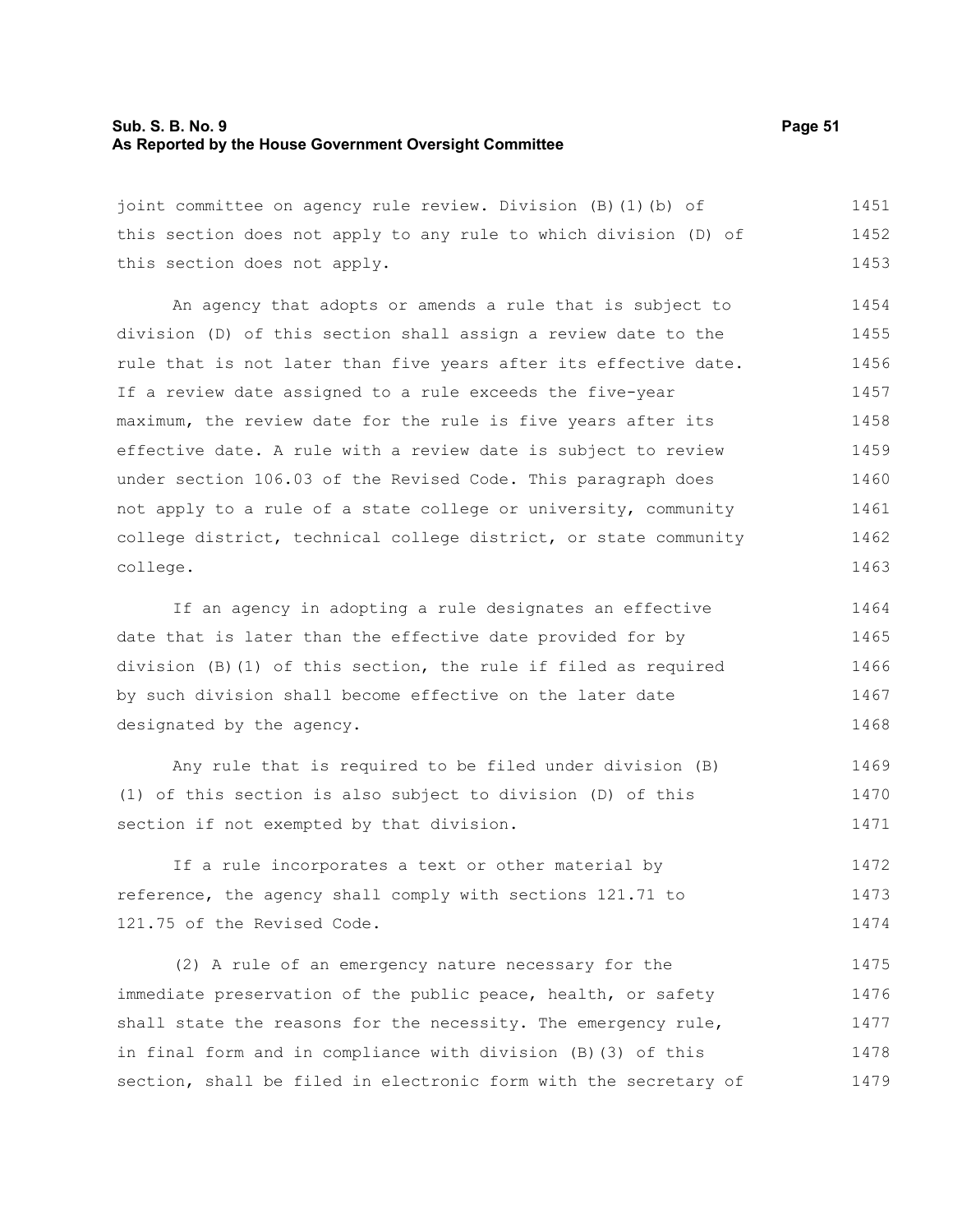#### **Sub. S. B. No. 9 Page 51 As Reported by the House Government Oversight Committee**

joint committee on agency rule review. Division (B)(1)(b) of this section does not apply to any rule to which division (D) of this section does not apply. 1451 1452 1453

An agency that adopts or amends a rule that is subject to division (D) of this section shall assign a review date to the rule that is not later than five years after its effective date. If a review date assigned to a rule exceeds the five-year maximum, the review date for the rule is five years after its effective date. A rule with a review date is subject to review under section 106.03 of the Revised Code. This paragraph does not apply to a rule of a state college or university, community college district, technical college district, or state community college. 1454 1455 1456 1457 1458 1459 1460 1461 1462 1463

If an agency in adopting a rule designates an effective date that is later than the effective date provided for by division (B)(1) of this section, the rule if filed as required by such division shall become effective on the later date designated by the agency. 1464 1465 1466 1467 1468

Any rule that is required to be filed under division (B) (1) of this section is also subject to division (D) of this section if not exempted by that division. 1469 1470 1471

If a rule incorporates a text or other material by reference, the agency shall comply with sections 121.71 to 121.75 of the Revised Code. 1472 1473 1474

(2) A rule of an emergency nature necessary for the immediate preservation of the public peace, health, or safety shall state the reasons for the necessity. The emergency rule, in final form and in compliance with division (B)(3) of this section, shall be filed in electronic form with the secretary of 1475 1476 1477 1478 1479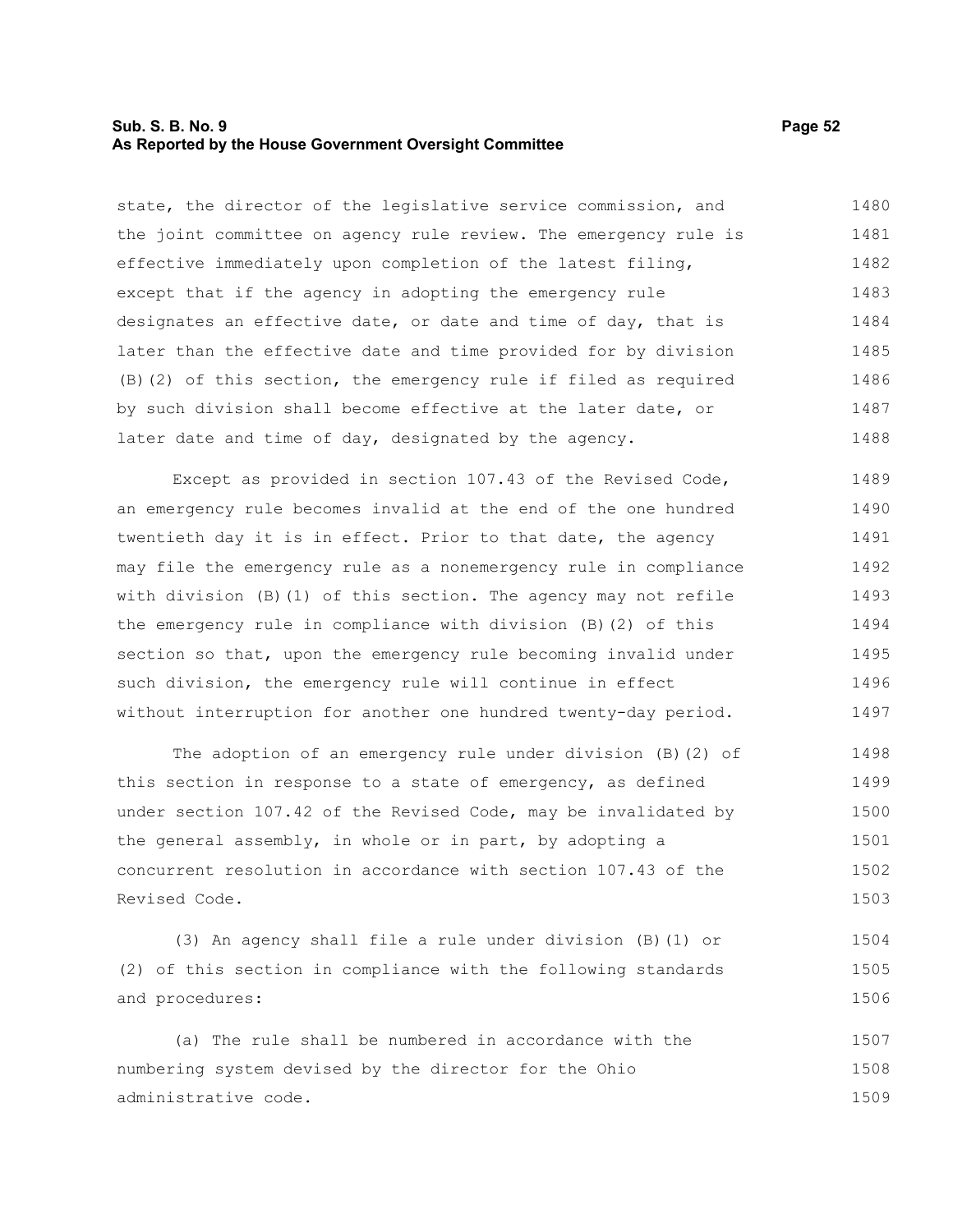#### **Sub. S. B. No. 9 Page 52 As Reported by the House Government Oversight Committee**

state, the director of the legislative service commission, and the joint committee on agency rule review. The emergency rule is effective immediately upon completion of the latest filing, except that if the agency in adopting the emergency rule designates an effective date, or date and time of day, that is later than the effective date and time provided for by division (B)(2) of this section, the emergency rule if filed as required by such division shall become effective at the later date, or later date and time of day, designated by the agency. 1480 1481 1482 1483 1484 1485 1486 1487 1488

Except as provided in section 107.43 of the Revised Code, an emergency rule becomes invalid at the end of the one hundred twentieth day it is in effect. Prior to that date, the agency may file the emergency rule as a nonemergency rule in compliance with division (B)(1) of this section. The agency may not refile the emergency rule in compliance with division (B)(2) of this section so that, upon the emergency rule becoming invalid under such division, the emergency rule will continue in effect without interruption for another one hundred twenty-day period. 1489 1490 1491 1492 1493 1494 1495 1496 1497

The adoption of an emergency rule under division (B)(2) of this section in response to a state of emergency, as defined under section 107.42 of the Revised Code, may be invalidated by the general assembly, in whole or in part, by adopting a concurrent resolution in accordance with section 107.43 of the Revised Code. 1498 1499 1500 1501 1502 1503

(3) An agency shall file a rule under division (B)(1) or (2) of this section in compliance with the following standards and procedures: 1504 1505 1506

(a) The rule shall be numbered in accordance with the numbering system devised by the director for the Ohio administrative code. 1507 1508 1509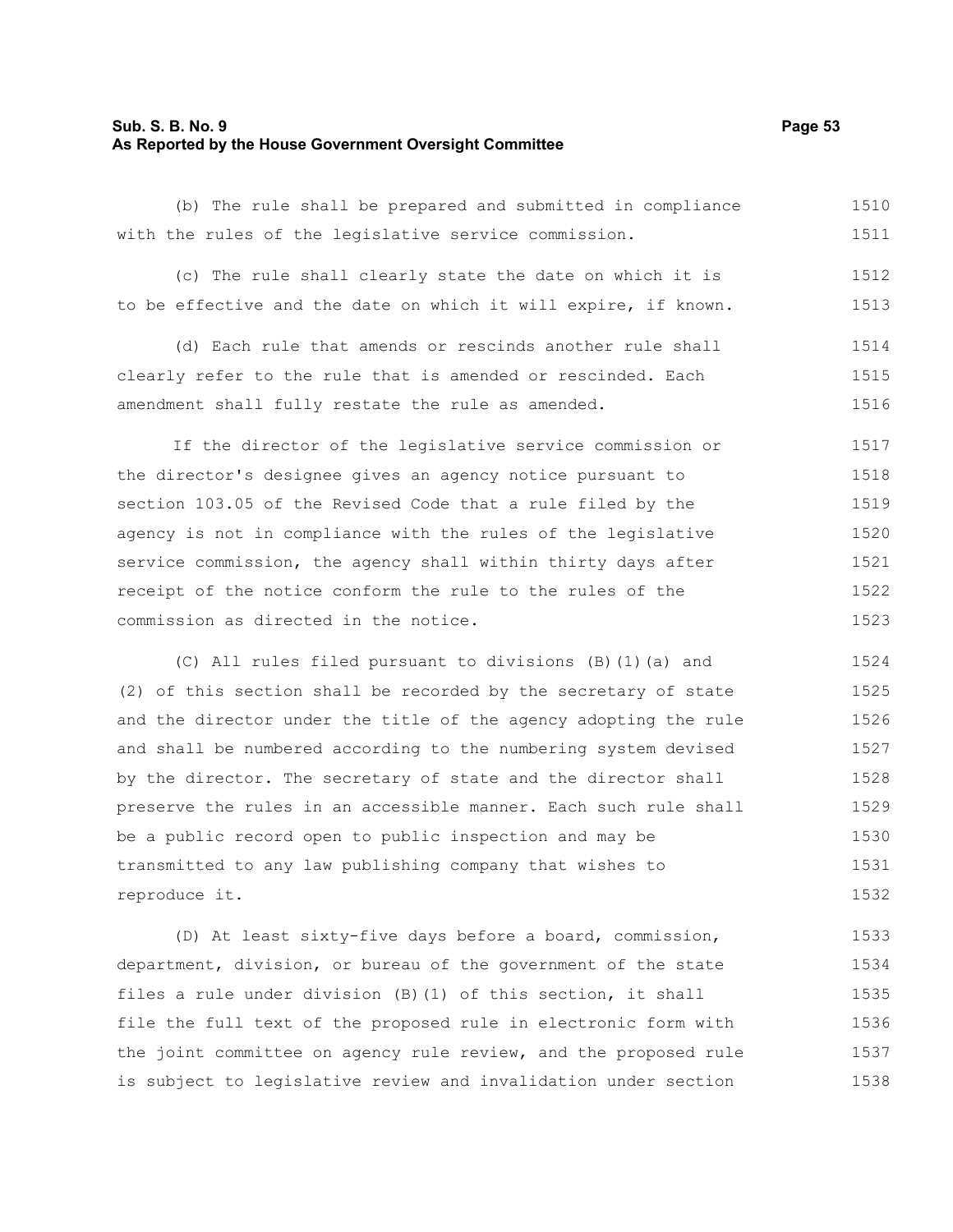#### **Sub. S. B. No. 9 Page 53 As Reported by the House Government Oversight Committee**

(b) The rule shall be prepared and submitted in compliance with the rules of the legislative service commission. 1510

(c) The rule shall clearly state the date on which it is to be effective and the date on which it will expire, if known. 1512 1513

(d) Each rule that amends or rescinds another rule shall clearly refer to the rule that is amended or rescinded. Each amendment shall fully restate the rule as amended. 1514 1515 1516

If the director of the legislative service commission or the director's designee gives an agency notice pursuant to section 103.05 of the Revised Code that a rule filed by the agency is not in compliance with the rules of the legislative service commission, the agency shall within thirty days after receipt of the notice conform the rule to the rules of the commission as directed in the notice. 1517 1518 1519 1520 1521 1522 1523

(C) All rules filed pursuant to divisions (B)(1)(a) and (2) of this section shall be recorded by the secretary of state and the director under the title of the agency adopting the rule and shall be numbered according to the numbering system devised by the director. The secretary of state and the director shall preserve the rules in an accessible manner. Each such rule shall be a public record open to public inspection and may be transmitted to any law publishing company that wishes to reproduce it. 1524 1525 1526 1527 1528 1529 1530 1531 1532

(D) At least sixty-five days before a board, commission, department, division, or bureau of the government of the state files a rule under division (B)(1) of this section, it shall file the full text of the proposed rule in electronic form with the joint committee on agency rule review, and the proposed rule is subject to legislative review and invalidation under section 1533 1534 1535 1536 1537 1538

- -
- - 1511
		-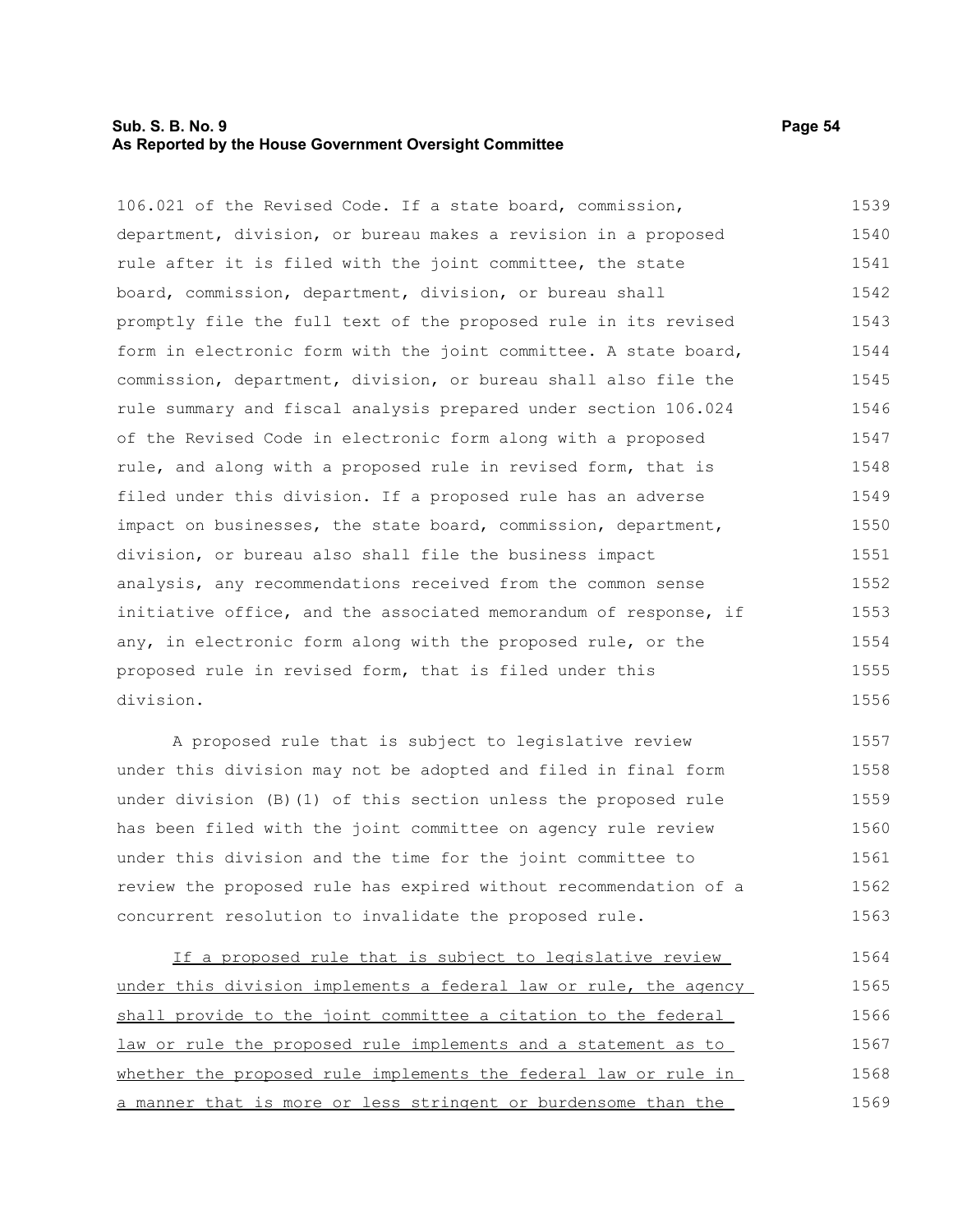#### **Sub. S. B. No. 9 Page 54 As Reported by the House Government Oversight Committee**

106.021 of the Revised Code. If a state board, commission, department, division, or bureau makes a revision in a proposed rule after it is filed with the joint committee, the state board, commission, department, division, or bureau shall promptly file the full text of the proposed rule in its revised form in electronic form with the joint committee. A state board, commission, department, division, or bureau shall also file the rule summary and fiscal analysis prepared under section 106.024 of the Revised Code in electronic form along with a proposed rule, and along with a proposed rule in revised form, that is filed under this division. If a proposed rule has an adverse impact on businesses, the state board, commission, department, division, or bureau also shall file the business impact 1539 1540 1541 1542 1543 1544 1545 1546 1547 1548 1549 1550 1551

initiative office, and the associated memorandum of response, if any, in electronic form along with the proposed rule, or the proposed rule in revised form, that is filed under this division. A proposed rule that is subject to legislative review 1554 1555 1556 1557

analysis, any recommendations received from the common sense

under this division may not be adopted and filed in final form under division (B)(1) of this section unless the proposed rule has been filed with the joint committee on agency rule review under this division and the time for the joint committee to review the proposed rule has expired without recommendation of a concurrent resolution to invalidate the proposed rule. 1558 1559 1560 1561 1562 1563

If a proposed rule that is subject to legislative review under this division implements a federal law or rule, the agency shall provide to the joint committee a citation to the federal law or rule the proposed rule implements and a statement as to whether the proposed rule implements the federal law or rule in a manner that is more or less stringent or burdensome than the 1564 1565 1566 1567 1568 1569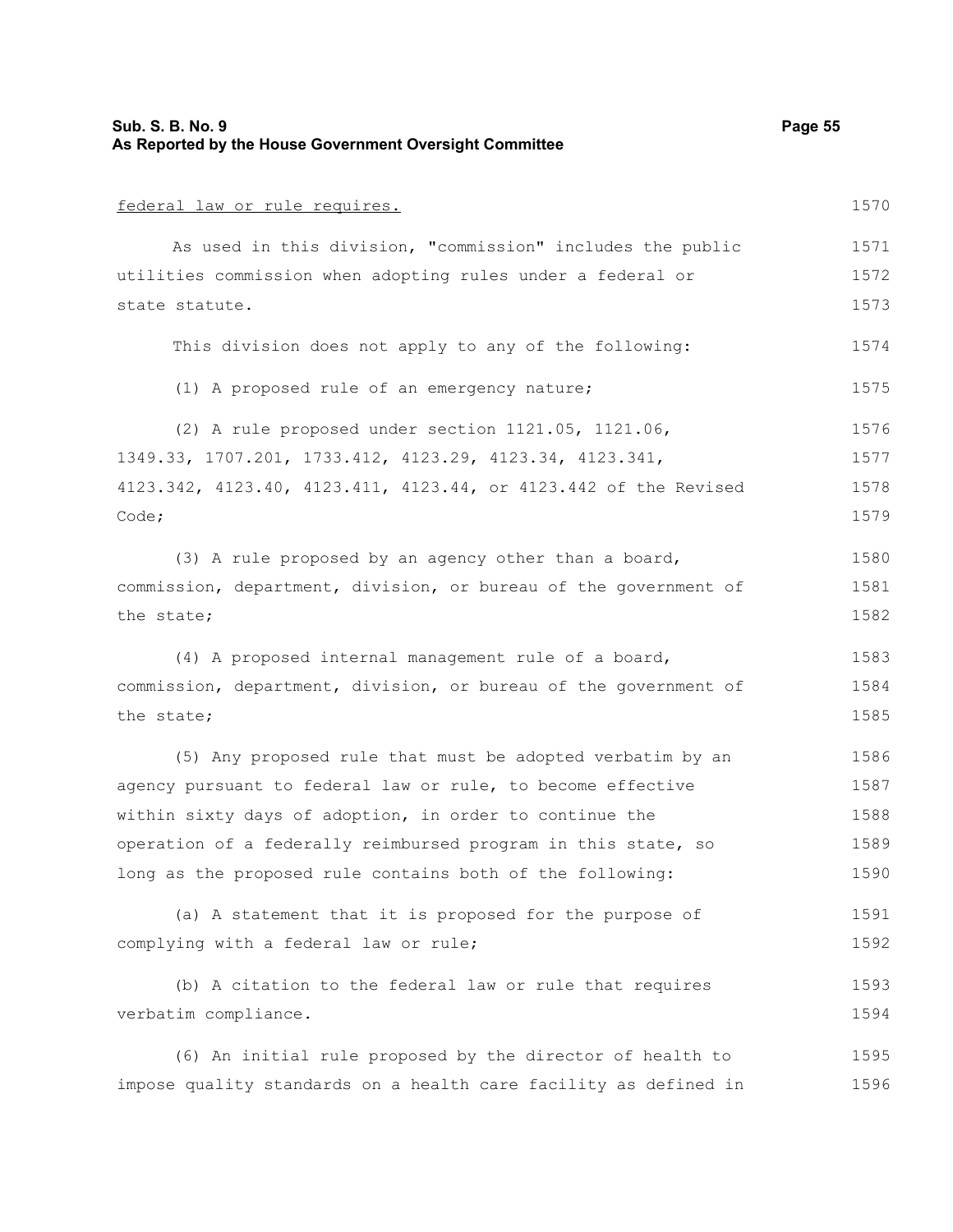| Sub. S. B. No. 9<br>As Reported by the House Government Oversight Committee | Page 55 |
|-----------------------------------------------------------------------------|---------|
| federal law or rule requires.                                               | 1570    |
| As used in this division, "commission" includes the public                  | 1571    |
| utilities commission when adopting rules under a federal or                 | 1572    |
| state statute.                                                              | 1573    |
| This division does not apply to any of the following:                       | 1574    |
| (1) A proposed rule of an emergency nature;                                 | 1575    |
| (2) A rule proposed under section 1121.05, 1121.06,                         | 1576    |
| 1349.33, 1707.201, 1733.412, 4123.29, 4123.34, 4123.341,                    | 1577    |
| 4123.342, 4123.40, 4123.411, 4123.44, or 4123.442 of the Revised            | 1578    |
| Code;                                                                       | 1579    |
| (3) A rule proposed by an agency other than a board,                        | 1580    |
| commission, department, division, or bureau of the government of            | 1581    |
| the state;                                                                  | 1582    |
| (4) A proposed internal management rule of a board,                         | 1583    |
| commission, department, division, or bureau of the government of            | 1584    |
| the state;                                                                  | 1585    |
| (5) Any proposed rule that must be adopted verbatim by an                   | 1586    |
| agency pursuant to federal law or rule, to become effective                 | 1587    |
| within sixty days of adoption, in order to continue the                     | 1588    |
| operation of a federally reimbursed program in this state, so               | 1589    |
| long as the proposed rule contains both of the following:                   | 1590    |
| (a) A statement that it is proposed for the purpose of                      | 1591    |
| complying with a federal law or rule;                                       | 1592    |
| (b) A citation to the federal law or rule that requires                     | 1593    |
| verbatim compliance.                                                        | 1594    |
| (6) An initial rule proposed by the director of health to                   | 1595    |
| impose quality standards on a health care facility as defined in            | 1596    |